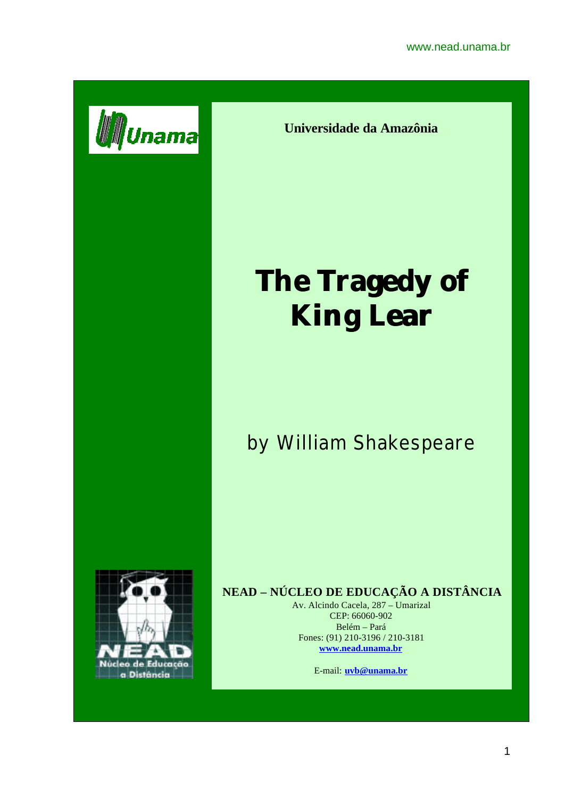

**Universidade da Amazônia**

# **The Tragedy of King Lear**

# by William Shakespeare



## **NEAD – NÚCLEO DE EDUCAÇÃO A DISTÂNCIA**

Av. Alcindo Cacela, 287 – Umarizal CEP: 66060-902 Belém – Pará Fones: (91) 210-3196 / 210-3181 **www.nead.unama.br**

E-mail: **uvb@unama.br**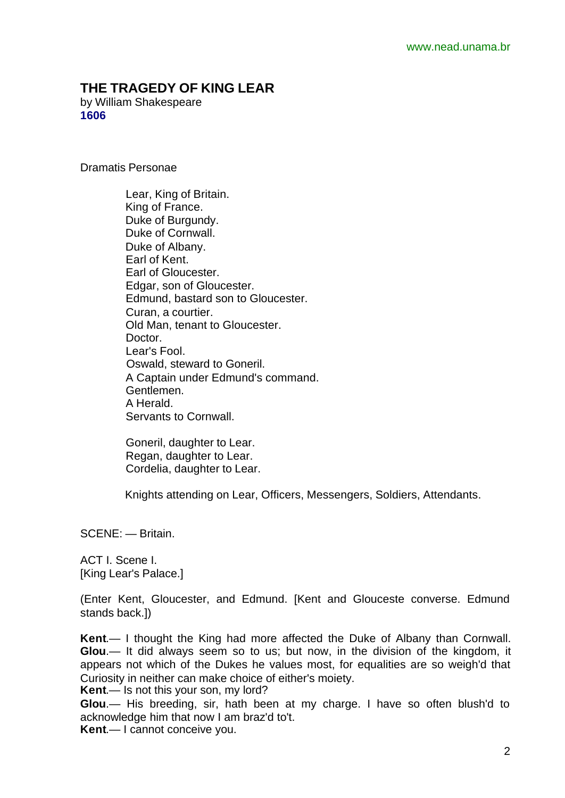### **THE TRAGEDY OF KING LEAR**

by William Shakespeare **1606**

Dramatis Personae

 Lear, King of Britain. King of France. Duke of Burgundy. Duke of Cornwall. Duke of Albany. Earl of Kent. Earl of Gloucester. Edgar, son of Gloucester. Edmund, bastard son to Gloucester. Curan, a courtier. Old Man, tenant to Gloucester. Doctor. Lear's Fool. Oswald, steward to Goneril. A Captain under Edmund's command. Gentlemen. A Herald. Servants to Cornwall.

 Goneril, daughter to Lear. Regan, daughter to Lear. Cordelia, daughter to Lear.

Knights attending on Lear, Officers, Messengers, Soldiers, Attendants.

SCENE: — Britain.

ACT I. Scene I. [King Lear's Palace.]

(Enter Kent, Gloucester, and Edmund. [Kent and Glouceste converse. Edmund stands back.])

**Kent**.— I thought the King had more affected the Duke of Albany than Cornwall. **Glou**.— It did always seem so to us; but now, in the division of the kingdom, it appears not which of the Dukes he values most, for equalities are so weigh'd that Curiosity in neither can make choice of either's moiety.

**Kent**.— Is not this your son, my lord?

**Glou**.— His breeding, sir, hath been at my charge. I have so often blush'd to acknowledge him that now I am braz'd to't. **Kent**.— I cannot conceive you.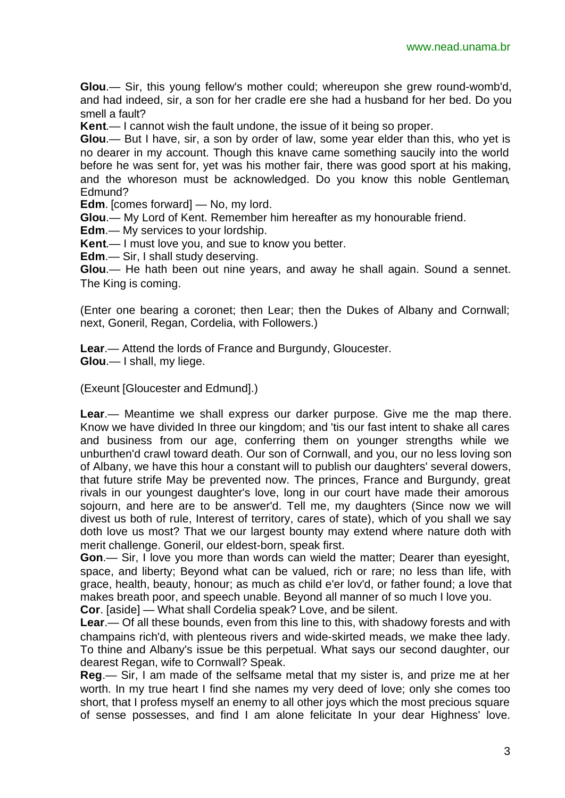**Glou**.— Sir, this young fellow's mother could; whereupon she grew round-womb'd, and had indeed, sir, a son for her cradle ere she had a husband for her bed. Do you smell a fault?

**Kent**.— I cannot wish the fault undone, the issue of it being so proper.

**Glou**.— But I have, sir, a son by order of law, some year elder than this, who yet is no dearer in my account. Though this knave came something saucily into the world before he was sent for, yet was his mother fair, there was good sport at his making, and the whoreson must be acknowledged. Do you know this noble Gentleman, Edmund?

**Edm**. [comes forward] — No, my lord.

**Glou**.— My Lord of Kent. Remember him hereafter as my honourable friend.

**Edm**.— My services to your lordship.

**Kent**.— I must love you, and sue to know you better.

**Edm**.— Sir, I shall study deserving.

**Glou**.— He hath been out nine years, and away he shall again. Sound a sennet. The King is coming.

(Enter one bearing a coronet; then Lear; then the Dukes of Albany and Cornwall; next, Goneril, Regan, Cordelia, with Followers.)

**Lear**.— Attend the lords of France and Burgundy, Gloucester.

**Glou**.— I shall, my liege.

(Exeunt [Gloucester and Edmund].)

**Lear**.— Meantime we shall express our darker purpose. Give me the map there. Know we have divided In three our kingdom; and 'tis our fast intent to shake all cares and business from our age, conferring them on younger strengths while we unburthen'd crawl toward death. Our son of Cornwall, and you, our no less loving son of Albany, we have this hour a constant will to publish our daughters' several dowers, that future strife May be prevented now. The princes, France and Burgundy, great rivals in our youngest daughter's love, long in our court have made their amorous sojourn, and here are to be answer'd. Tell me, my daughters (Since now we will divest us both of rule, Interest of territory, cares of state), which of you shall we say doth love us most? That we our largest bounty may extend where nature doth with merit challenge. Goneril, our eldest-born, speak first.

**Gon**.— Sir, I love you more than words can wield the matter; Dearer than eyesight, space, and liberty; Beyond what can be valued, rich or rare; no less than life, with grace, health, beauty, honour; as much as child e'er lov'd, or father found; a love that makes breath poor, and speech unable. Beyond all manner of so much I love you. **Cor**. [aside] — What shall Cordelia speak? Love, and be silent.

**Lear**.— Of all these bounds, even from this line to this, with shadowy forests and with champains rich'd, with plenteous rivers and wide-skirted meads, we make thee lady. To thine and Albany's issue be this perpetual. What says our second daughter, our dearest Regan, wife to Cornwall? Speak.

**Reg**.— Sir, I am made of the selfsame metal that my sister is, and prize me at her worth. In my true heart I find she names my very deed of love; only she comes too short, that I profess myself an enemy to all other joys which the most precious square of sense possesses, and find I am alone felicitate In your dear Highness' love.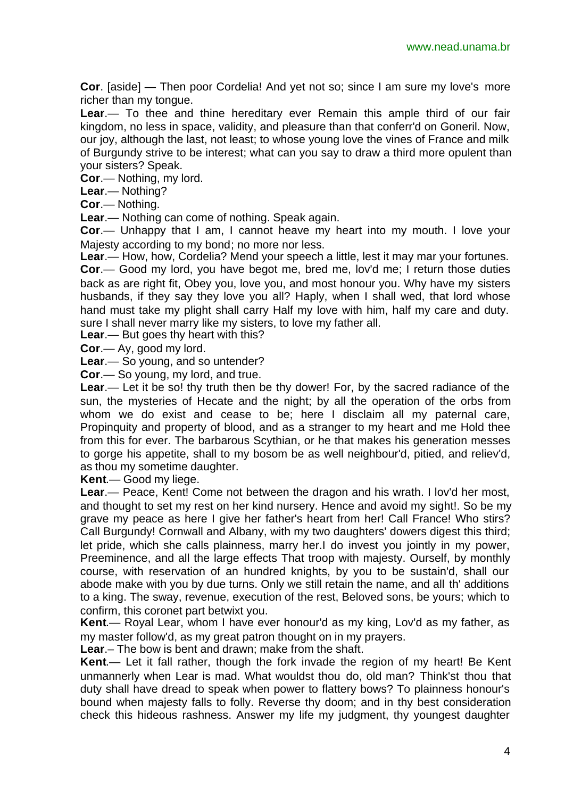**Cor**. [aside] — Then poor Cordelia! And yet not so; since I am sure my love's more richer than my tongue.

**Lear**.— To thee and thine hereditary ever Remain this ample third of our fair kingdom, no less in space, validity, and pleasure than that conferr'd on Goneril. Now, our joy, although the last, not least; to whose young love the vines of France and milk of Burgundy strive to be interest; what can you say to draw a third more opulent than your sisters? Speak.

**Cor**.— Nothing, my lord.

**Lear**.— Nothing?

**Cor**.— Nothing.

**Lear**.— Nothing can come of nothing. Speak again.

**Cor**.— Unhappy that I am, I cannot heave my heart into my mouth. I love your Majesty according to my bond; no more nor less.

**Lear**.— How, how, Cordelia? Mend your speech a little, lest it may mar your fortunes. **Cor**.— Good my lord, you have begot me, bred me, lov'd me; I return those duties back as are right fit, Obey you, love you, and most honour you. Why have my sisters husbands, if they say they love you all? Haply, when I shall wed, that lord whose hand must take my plight shall carry Half my love with him, half my care and duty. sure I shall never marry like my sisters, to love my father all.

**Lear**.— But goes thy heart with this?

**Cor**.— Ay, good my lord.

**Lear**.— So young, and so untender?

**Cor**.— So young, my lord, and true.

**Lear.**— Let it be so! thy truth then be thy dower! For, by the sacred radiance of the sun, the mysteries of Hecate and the night; by all the operation of the orbs from whom we do exist and cease to be; here I disclaim all my paternal care, Propinquity and property of blood, and as a stranger to my heart and me Hold thee from this for ever. The barbarous Scythian, or he that makes his generation messes to gorge his appetite, shall to my bosom be as well neighbour'd, pitied, and reliev'd, as thou my sometime daughter.

**Kent**.— Good my liege.

**Lear**.— Peace, Kent! Come not between the dragon and his wrath. I lov'd her most, and thought to set my rest on her kind nursery. Hence and avoid my sight!. So be my grave my peace as here I give her father's heart from her! Call France! Who stirs? Call Burgundy! Cornwall and Albany, with my two daughters' dowers digest this third; let pride, which she calls plainness, marry her.I do invest you jointly in my power, Preeminence, and all the large effects That troop with majesty. Ourself, by monthly course, with reservation of an hundred knights, by you to be sustain'd, shall our abode make with you by due turns. Only we still retain the name, and all th' additions to a king. The sway, revenue, execution of the rest, Beloved sons, be yours; which to confirm, this coronet part betwixt you.

**Kent**.— Royal Lear, whom I have ever honour'd as my king, Lov'd as my father, as my master follow'd, as my great patron thought on in my prayers.

**Lear**.– The bow is bent and drawn; make from the shaft.

**Kent**.— Let it fall rather, though the fork invade the region of my heart! Be Kent unmannerly when Lear is mad. What wouldst thou do, old man? Think'st thou that duty shall have dread to speak when power to flattery bows? To plainness honour's bound when majesty falls to folly. Reverse thy doom; and in thy best consideration check this hideous rashness. Answer my life my judgment, thy youngest daughter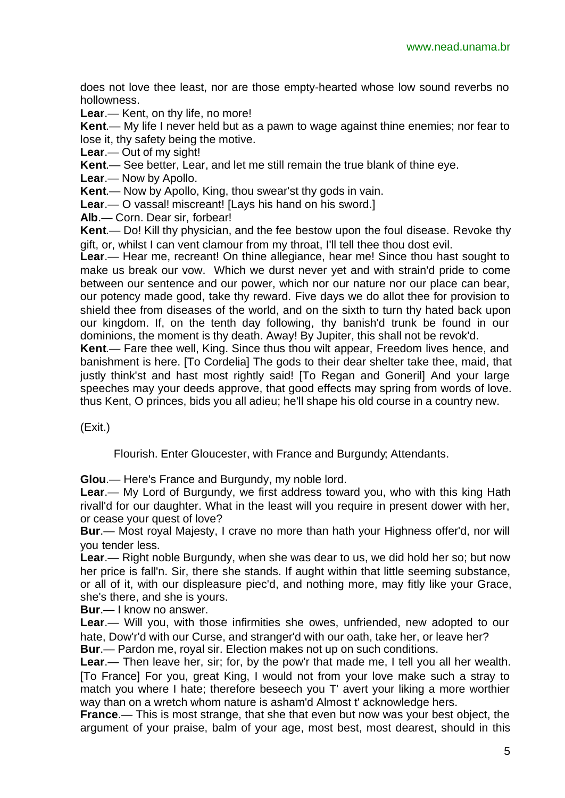does not love thee least, nor are those empty-hearted whose low sound reverbs no hollowness.

**Lear**.— Kent, on thy life, no more!

**Kent**.— My life I never held but as a pawn to wage against thine enemies; nor fear to lose it, thy safety being the motive.

**Lear**.— Out of my sight!

**Kent**.— See better, Lear, and let me still remain the true blank of thine eye.

**Lear**.— Now by Apollo.

**Kent**.— Now by Apollo, King, thou swear'st thy gods in vain.

**Lear**.— O vassal! miscreant! [Lays his hand on his sword.]

**Alb**.— Corn. Dear sir, forbear!

**Kent**.— Do! Kill thy physician, and the fee bestow upon the foul disease. Revoke thy gift, or, whilst I can vent clamour from my throat, I'll tell thee thou dost evil.

**Lear**.— Hear me, recreant! On thine allegiance, hear me! Since thou hast sought to make us break our vow. Which we durst never yet and with strain'd pride to come between our sentence and our power, which nor our nature nor our place can bear, our potency made good, take thy reward. Five days we do allot thee for provision to shield thee from diseases of the world, and on the sixth to turn thy hated back upon our kingdom. If, on the tenth day following, thy banish'd trunk be found in our dominions, the moment is thy death. Away! By Jupiter, this shall not be revok'd.

**Kent**.— Fare thee well, King. Since thus thou wilt appear, Freedom lives hence, and banishment is here. [To Cordelia] The gods to their dear shelter take thee, maid, that justly think'st and hast most rightly said! [To Regan and Goneril] And your large speeches may your deeds approve, that good effects may spring from words of love. thus Kent, O princes, bids you all adieu; he'll shape his old course in a country new.

(Exit.)

Flourish. Enter Gloucester, with France and Burgundy; Attendants.

**Glou**.— Here's France and Burgundy, my noble lord.

**Lear**.— My Lord of Burgundy, we first address toward you, who with this king Hath rivall'd for our daughter. What in the least will you require in present dower with her, or cease your quest of love?

**Bur**.— Most royal Majesty, I crave no more than hath your Highness offer'd, nor will you tender less.

**Lear**.— Right noble Burgundy, when she was dear to us, we did hold her so; but now her price is fall'n. Sir, there she stands. If aught within that little seeming substance, or all of it, with our displeasure piec'd, and nothing more, may fitly like your Grace, she's there, and she is yours.

**Bur**.— I know no answer.

**Lear**.— Will you, with those infirmities she owes, unfriended, new adopted to our hate, Dow'r'd with our Curse, and stranger'd with our oath, take her, or leave her? **Bur**.— Pardon me, royal sir. Election makes not up on such conditions.

**Lear**.— Then leave her, sir; for, by the pow'r that made me, I tell you all her wealth. [To France] For you, great King, I would not from your love make such a stray to match you where I hate; therefore beseech you T' avert your liking a more worthier way than on a wretch whom nature is asham'd Almost t' acknowledge hers.

**France**.— This is most strange, that she that even but now was your best object, the argument of your praise, balm of your age, most best, most dearest, should in this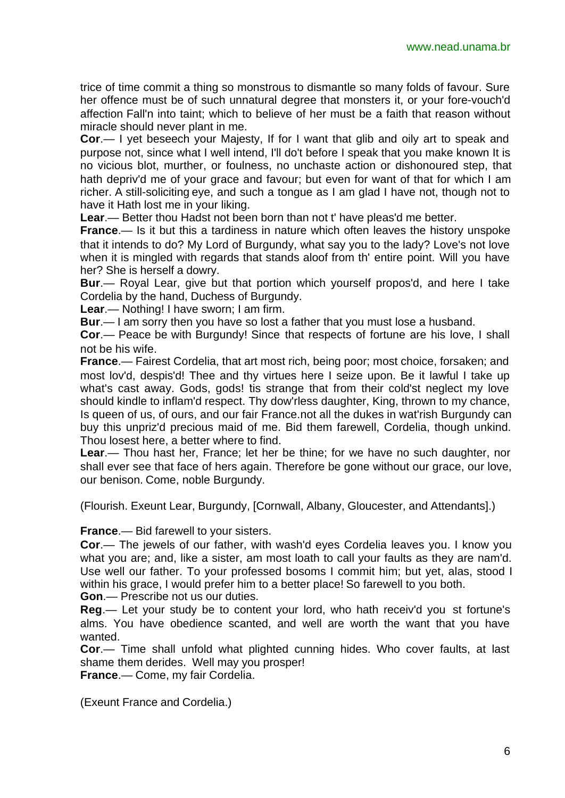trice of time commit a thing so monstrous to dismantle so many folds of favour. Sure her offence must be of such unnatural degree that monsters it, or your fore-vouch'd affection Fall'n into taint; which to believe of her must be a faith that reason without miracle should never plant in me.

**Cor**.— I yet beseech your Majesty, If for I want that glib and oily art to speak and purpose not, since what I well intend, I'll do't before I speak that you make known It is no vicious blot, murther, or foulness, no unchaste action or dishonoured step, that hath depriv'd me of your grace and favour; but even for want of that for which I am richer. A still-soliciting eye, and such a tongue as I am glad I have not, though not to have it Hath lost me in your liking.

**Lear**.— Better thou Hadst not been born than not t' have pleas'd me better.

**France**.— Is it but this a tardiness in nature which often leaves the history unspoke that it intends to do? My Lord of Burgundy, what say you to the lady? Love's not love when it is mingled with regards that stands aloof from th' entire point. Will you have her? She is herself a dowry.

**Bur**.— Royal Lear, give but that portion which yourself propos'd, and here I take Cordelia by the hand, Duchess of Burgundy.

**Lear**.— Nothing! I have sworn; I am firm.

**Bur**.— I am sorry then you have so lost a father that you must lose a husband.

**Cor**.— Peace be with Burgundy! Since that respects of fortune are his love, I shall not be his wife.

**France**.— Fairest Cordelia, that art most rich, being poor; most choice, forsaken; and most lov'd, despis'd! Thee and thy virtues here I seize upon. Be it lawful I take up what's cast away. Gods, gods! tis strange that from their cold'st neglect my love should kindle to inflam'd respect. Thy dow'rless daughter, King, thrown to my chance, Is queen of us, of ours, and our fair France.not all the dukes in wat'rish Burgundy can buy this unpriz'd precious maid of me. Bid them farewell, Cordelia, though unkind. Thou losest here, a better where to find.

**Lear**.— Thou hast her, France; let her be thine; for we have no such daughter, nor shall ever see that face of hers again. Therefore be gone without our grace, our love, our benison. Come, noble Burgundy.

(Flourish. Exeunt Lear, Burgundy, [Cornwall, Albany, Gloucester, and Attendants].)

**France**.— Bid farewell to your sisters.

**Cor**.— The jewels of our father, with wash'd eyes Cordelia leaves you. I know you what you are; and, like a sister, am most loath to call your faults as they are nam'd. Use well our father. To your professed bosoms I commit him; but yet, alas, stood I within his grace, I would prefer him to a better place! So farewell to you both.

**Gon**.— Prescribe not us our duties.

**Reg**.— Let your study be to content your lord, who hath receiv'd you st fortune's alms. You have obedience scanted, and well are worth the want that you have wanted.

**Cor**.— Time shall unfold what plighted cunning hides. Who cover faults, at last shame them derides. Well may you prosper!

**France**.— Come, my fair Cordelia.

(Exeunt France and Cordelia.)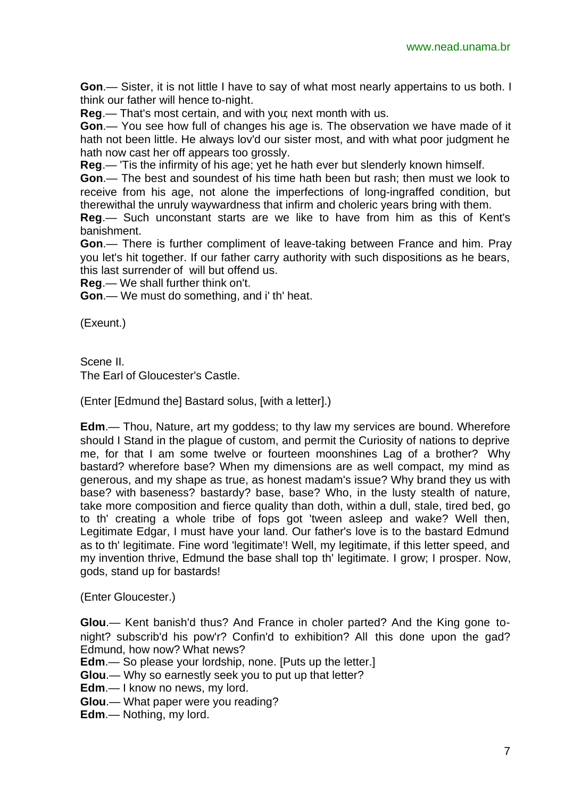**Gon**.— Sister, it is not little I have to say of what most nearly appertains to us both. I think our father will hence to-night.

**Reg**.— That's most certain, and with you; next month with us.

**Gon**.— You see how full of changes his age is. The observation we have made of it hath not been little. He always lov'd our sister most, and with what poor judgment he hath now cast her off appears too grossly.

**Reg**.— 'Tis the infirmity of his age; yet he hath ever but slenderly known himself.

**Gon**.— The best and soundest of his time hath been but rash; then must we look to receive from his age, not alone the imperfections of long-ingraffed condition, but therewithal the unruly waywardness that infirm and choleric years bring with them.

**Reg**.— Such unconstant starts are we like to have from him as this of Kent's banishment.

**Gon**.— There is further compliment of leave-taking between France and him. Pray you let's hit together. If our father carry authority with such dispositions as he bears, this last surrender of will but offend us.

**Reg**.— We shall further think on't.

**Gon**.— We must do something, and i' th' heat.

(Exeunt.)

Scene II. The Earl of Gloucester's Castle.

(Enter [Edmund the] Bastard solus, [with a letter].)

**Edm**.— Thou, Nature, art my goddess; to thy law my services are bound. Wherefore should I Stand in the plague of custom, and permit the Curiosity of nations to deprive me, for that I am some twelve or fourteen moonshines Lag of a brother? Why bastard? wherefore base? When my dimensions are as well compact, my mind as generous, and my shape as true, as honest madam's issue? Why brand they us with base? with baseness? bastardy? base, base? Who, in the lusty stealth of nature, take more composition and fierce quality than doth, within a dull, stale, tired bed, go to th' creating a whole tribe of fops got 'tween asleep and wake? Well then, Legitimate Edgar, I must have your land. Our father's love is to the bastard Edmund as to th' legitimate. Fine word 'legitimate'! Well, my legitimate, if this letter speed, and my invention thrive, Edmund the base shall top th' legitimate. I grow; I prosper. Now, gods, stand up for bastards!

(Enter Gloucester.)

**Glou**.— Kent banish'd thus? And France in choler parted? And the King gone tonight? subscrib'd his pow'r? Confin'd to exhibition? All this done upon the gad? Edmund, how now? What news?

**Edm**.— So please your lordship, none. [Puts up the letter.]

**Glou**.— Why so earnestly seek you to put up that letter?

**Edm**.— I know no news, my lord.

**Glou**.— What paper were you reading?

**Edm**.— Nothing, my lord.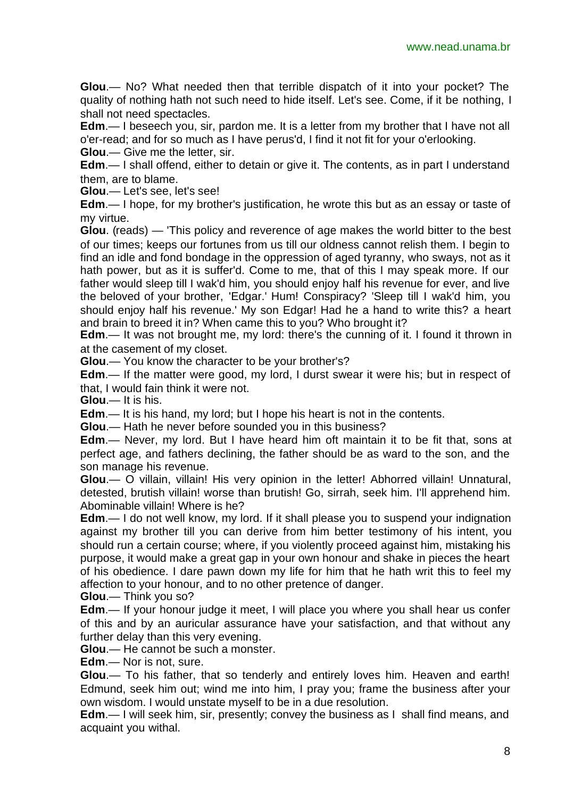**Glou**.— No? What needed then that terrible dispatch of it into your pocket? The quality of nothing hath not such need to hide itself. Let's see. Come, if it be nothing, I shall not need spectacles.

**Edm**.— I beseech you, sir, pardon me. It is a letter from my brother that I have not all o'er-read; and for so much as I have perus'd, I find it not fit for your o'erlooking.

**Glou**.— Give me the letter, sir.

**Edm**.— I shall offend, either to detain or give it. The contents, as in part I understand them, are to blame.

**Glou**.— Let's see, let's see!

**Edm**.— I hope, for my brother's justification, he wrote this but as an essay or taste of my virtue.

**Glou**. (reads) — 'This policy and reverence of age makes the world bitter to the best of our times; keeps our fortunes from us till our oldness cannot relish them. I begin to find an idle and fond bondage in the oppression of aged tyranny, who sways, not as it hath power, but as it is suffer'd. Come to me, that of this I may speak more. If our father would sleep till I wak'd him, you should enjoy half his revenue for ever, and live the beloved of your brother, 'Edgar.' Hum! Conspiracy? 'Sleep till I wak'd him, you should enjoy half his revenue.' My son Edgar! Had he a hand to write this? a heart and brain to breed it in? When came this to you? Who brought it?

**Edm**.— It was not brought me, my lord: there's the cunning of it. I found it thrown in at the casement of my closet.

**Glou**.— You know the character to be your brother's?

**Edm**.— If the matter were good, my lord, I durst swear it were his; but in respect of that, I would fain think it were not.

**Glou**.— It is his.

**Edm**.— It is his hand, my lord; but I hope his heart is not in the contents.

**Glou**.— Hath he never before sounded you in this business?

**Edm**.— Never, my lord. But I have heard him oft maintain it to be fit that, sons at perfect age, and fathers declining, the father should be as ward to the son, and the son manage his revenue.

**Glou**.— O villain, villain! His very opinion in the letter! Abhorred villain! Unnatural, detested, brutish villain! worse than brutish! Go, sirrah, seek him. I'll apprehend him. Abominable villain! Where is he?

**Edm**.— I do not well know, my lord. If it shall please you to suspend your indignation against my brother till you can derive from him better testimony of his intent, you should run a certain course; where, if you violently proceed against him, mistaking his purpose, it would make a great gap in your own honour and shake in pieces the heart of his obedience. I dare pawn down my life for him that he hath writ this to feel my affection to your honour, and to no other pretence of danger.

**Glou**.— Think you so?

**Edm**.— If your honour judge it meet, I will place you where you shall hear us confer of this and by an auricular assurance have your satisfaction, and that without any further delay than this very evening.

**Glou**.— He cannot be such a monster.

**Edm**.— Nor is not, sure.

**Glou**.— To his father, that so tenderly and entirely loves him. Heaven and earth! Edmund, seek him out; wind me into him, I pray you; frame the business after your own wisdom. I would unstate myself to be in a due resolution.

**Edm**.— I will seek him, sir, presently; convey the business as I shall find means, and acquaint you withal.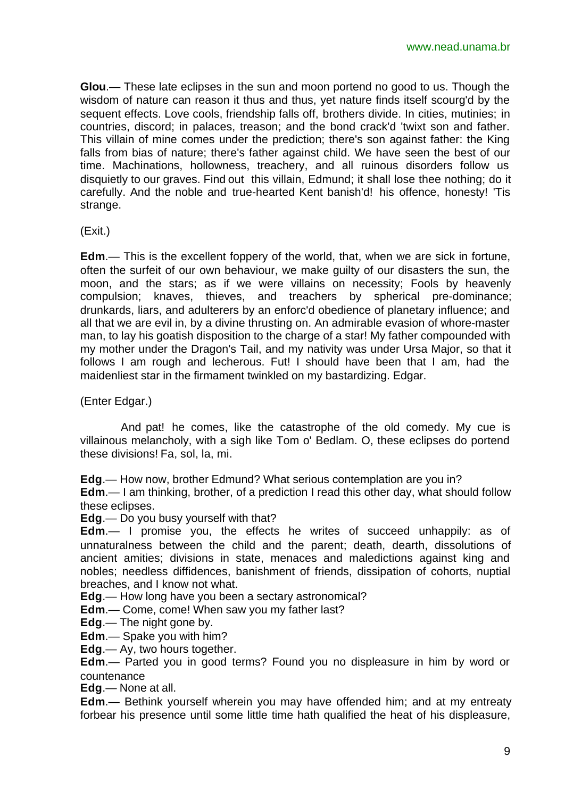**Glou**.— These late eclipses in the sun and moon portend no good to us. Though the wisdom of nature can reason it thus and thus, yet nature finds itself scourg'd by the sequent effects. Love cools, friendship falls off, brothers divide. In cities, mutinies; in countries, discord; in palaces, treason; and the bond crack'd 'twixt son and father. This villain of mine comes under the prediction; there's son against father: the King falls from bias of nature; there's father against child. We have seen the best of our time. Machinations, hollowness, treachery, and all ruinous disorders follow us disquietly to our graves. Find out this villain, Edmund; it shall lose thee nothing; do it carefully. And the noble and true-hearted Kent banish'd! his offence, honesty! 'Tis strange.

(Exit.)

**Edm**.— This is the excellent foppery of the world, that, when we are sick in fortune, often the surfeit of our own behaviour, we make guilty of our disasters the sun, the moon, and the stars; as if we were villains on necessity; Fools by heavenly compulsion; knaves, thieves, and treachers by spherical pre-dominance; drunkards, liars, and adulterers by an enforc'd obedience of planetary influence; and all that we are evil in, by a divine thrusting on. An admirable evasion of whore-master man, to lay his goatish disposition to the charge of a star! My father compounded with my mother under the Dragon's Tail, and my nativity was under Ursa Major, so that it follows I am rough and lecherous. Fut! I should have been that I am, had the maidenliest star in the firmament twinkled on my bastardizing. Edgar.

(Enter Edgar.)

And pat! he comes, like the catastrophe of the old comedy. My cue is villainous melancholy, with a sigh like Tom o' Bedlam. O, these eclipses do portend these divisions! Fa, sol, la, mi.

**Edg**.— How now, brother Edmund? What serious contemplation are you in?

**Edm**.— I am thinking, brother, of a prediction I read this other day, what should follow these eclipses.

**Edg**.— Do you busy yourself with that?

**Edm**.— I promise you, the effects he writes of succeed unhappily: as of unnaturalness between the child and the parent; death, dearth, dissolutions of ancient amities; divisions in state, menaces and maledictions against king and nobles; needless diffidences, banishment of friends, dissipation of cohorts, nuptial breaches, and I know not what.

**Edg**.— How long have you been a sectary astronomical?

**Edm**.— Come, come! When saw you my father last?

**Edg**.— The night gone by.

**Edm**.— Spake you with him?

**Edg**.— Ay, two hours together.

**Edm**.— Parted you in good terms? Found you no displeasure in him by word or countenance

**Edg**.— None at all.

**Edm**.— Bethink yourself wherein you may have offended him; and at my entreaty forbear his presence until some little time hath qualified the heat of his displeasure,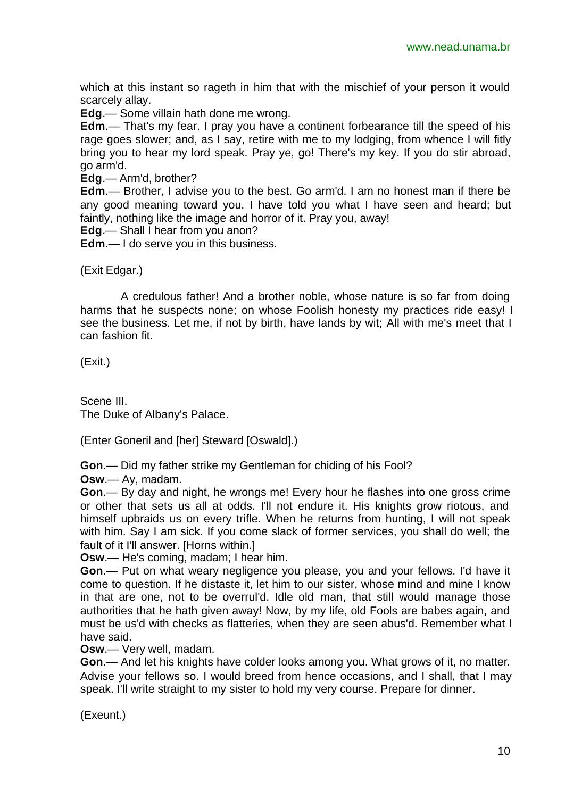which at this instant so rageth in him that with the mischief of your person it would scarcely allay.

**Edg**.— Some villain hath done me wrong.

**Edm**.— That's my fear. I pray you have a continent forbearance till the speed of his rage goes slower; and, as I say, retire with me to my lodging, from whence I will fitly bring you to hear my lord speak. Pray ye, go! There's my key. If you do stir abroad, go arm'd.

**Edg**.— Arm'd, brother?

**Edm**.— Brother, I advise you to the best. Go arm'd. I am no honest man if there be any good meaning toward you. I have told you what I have seen and heard; but faintly, nothing like the image and horror of it. Pray you, away!

**Edg**.— Shall I hear from you anon?

**Edm**.— I do serve you in this business.

(Exit Edgar.)

A credulous father! And a brother noble, whose nature is so far from doing harms that he suspects none; on whose Foolish honesty my practices ride easy! I see the business. Let me, if not by birth, have lands by wit; All with me's meet that I can fashion fit.

(Exit.)

Scene III. The Duke of Albany's Palace.

(Enter Goneril and [her] Steward [Oswald].)

**Gon**.— Did my father strike my Gentleman for chiding of his Fool?

**Osw**.— Ay, madam.

**Gon**.— By day and night, he wrongs me! Every hour he flashes into one gross crime or other that sets us all at odds. I'll not endure it. His knights grow riotous, and himself upbraids us on every trifle. When he returns from hunting, I will not speak with him. Say I am sick. If you come slack of former services, you shall do well; the fault of it I'll answer. [Horns within.]

**Osw**.— He's coming, madam; I hear him.

**Gon**.— Put on what weary negligence you please, you and your fellows. I'd have it come to question. If he distaste it, let him to our sister, whose mind and mine I know in that are one, not to be overrul'd. Idle old man, that still would manage those authorities that he hath given away! Now, by my life, old Fools are babes again, and must be us'd with checks as flatteries, when they are seen abus'd. Remember what I have said.

**Osw**.— Very well, madam.

**Gon**.— And let his knights have colder looks among you. What grows of it, no matter. Advise your fellows so. I would breed from hence occasions, and I shall, that I may speak. I'll write straight to my sister to hold my very course. Prepare for dinner.

(Exeunt.)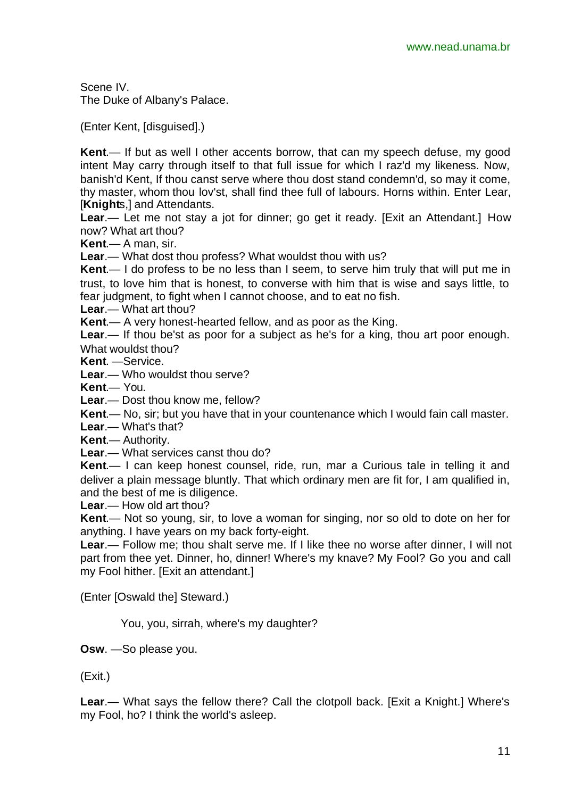Scene IV. The Duke of Albany's Palace.

(Enter Kent, [disguised].)

**Kent**.— If but as well I other accents borrow, that can my speech defuse, my good intent May carry through itself to that full issue for which I raz'd my likeness. Now, banish'd Kent, If thou canst serve where thou dost stand condemn'd, so may it come, thy master, whom thou lov'st, shall find thee full of labours. Horns within. Enter Lear, [**Knight**s,] and Attendants.

**Lear**.— Let me not stay a jot for dinner; go get it ready. [Exit an Attendant.] How now? What art thou?

**Kent**.— A man, sir.

**Lear**.— What dost thou profess? What wouldst thou with us?

**Kent**.— I do profess to be no less than I seem, to serve him truly that will put me in trust, to love him that is honest, to converse with him that is wise and says little, to fear judgment, to fight when I cannot choose, and to eat no fish.

**Lear**.— What art thou?

**Kent**.— A very honest-hearted fellow, and as poor as the King.

**Lear**.— If thou be'st as poor for a subject as he's for a king, thou art poor enough. What wouldst thou?

**Kent**. —Service.

**Lear**.— Who wouldst thou serve?

**Kent**.— You.

**Lear**.— Dost thou know me, fellow?

**Kent**.— No, sir; but you have that in your countenance which I would fain call master.

**Lear**.— What's that?

**Kent**.— Authority.

**Lear**.— What services canst thou do?

**Kent**.— I can keep honest counsel, ride, run, mar a Curious tale in telling it and deliver a plain message bluntly. That which ordinary men are fit for, I am qualified in, and the best of me is diligence.

**Lear**.— How old art thou?

**Kent**.— Not so young, sir, to love a woman for singing, nor so old to dote on her for anything. I have years on my back forty-eight.

**Lear**.— Follow me; thou shalt serve me. If I like thee no worse after dinner, I will not part from thee yet. Dinner, ho, dinner! Where's my knave? My Fool? Go you and call my Fool hither. [Exit an attendant.]

(Enter [Oswald the] Steward.)

You, you, sirrah, where's my daughter?

**Osw**. —So please you.

(Exit.)

**Lear**.— What says the fellow there? Call the clotpoll back. [Exit a Knight.] Where's my Fool, ho? I think the world's asleep.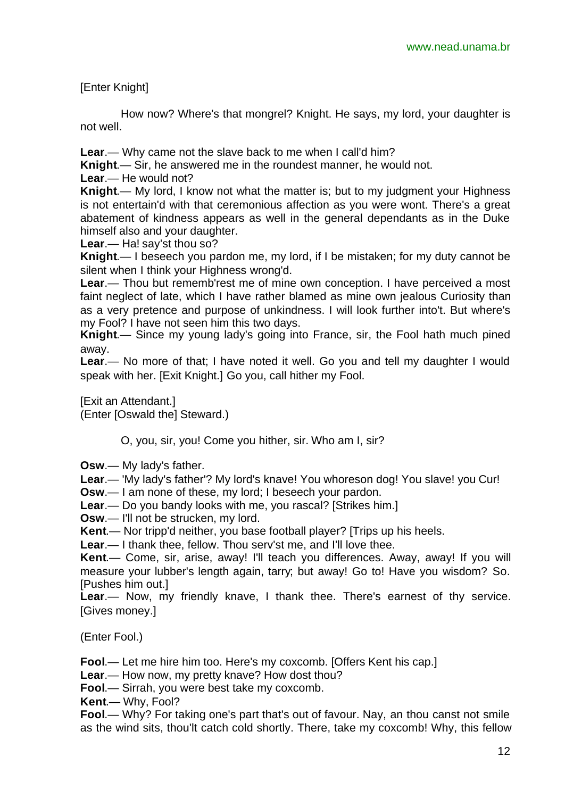[Enter Knight]

How now? Where's that mongrel? Knight. He says, my lord, your daughter is not well.

**Lear**.— Why came not the slave back to me when I call'd him?

**Knight**.— Sir, he answered me in the roundest manner, he would not.

**Lear**.— He would not?

**Knight**.— My lord, I know not what the matter is; but to my judgment your Highness is not entertain'd with that ceremonious affection as you were wont. There's a great abatement of kindness appears as well in the general dependants as in the Duke himself also and your daughter.

**Lear**.— Ha! say'st thou so?

**Knight**.— I beseech you pardon me, my lord, if I be mistaken; for my duty cannot be silent when I think your Highness wrong'd.

**Lear**.— Thou but rememb'rest me of mine own conception. I have perceived a most faint neglect of late, which I have rather blamed as mine own jealous Curiosity than as a very pretence and purpose of unkindness. I will look further into't. But where's my Fool? I have not seen him this two days.

**Knight**.— Since my young lady's going into France, sir, the Fool hath much pined away.

**Lear**.— No more of that; I have noted it well. Go you and tell my daughter I would speak with her. [Exit Knight.] Go you, call hither my Fool.

[Exit an Attendant.] (Enter [Oswald the] Steward.)

O, you, sir, you! Come you hither, sir. Who am I, sir?

**Osw**.— My lady's father.

**Lear**.— 'My lady's father'? My lord's knave! You whoreson dog! You slave! you Cur!

**Osw**.— I am none of these, my lord; I beseech your pardon.

**Lear**.— Do you bandy looks with me, you rascal? [Strikes him.]

**Osw**.— I'll not be strucken, my lord.

**Kent**.— Nor tripp'd neither, you base football player? [Trips up his heels.

**Lear**.— I thank thee, fellow. Thou serv'st me, and I'll love thee.

**Kent**.— Come, sir, arise, away! I'll teach you differences. Away, away! If you will measure your lubber's length again, tarry; but away! Go to! Have you wisdom? So. [Pushes him out.]

**Lear**.— Now, my friendly knave, I thank thee. There's earnest of thy service. [Gives money.]

(Enter Fool.)

**Fool**.— Let me hire him too. Here's my coxcomb. [Offers Kent his cap.]

**Lear**.— How now, my pretty knave? How dost thou?

**Fool**.— Sirrah, you were best take my coxcomb.

**Kent**.— Why, Fool?

**Fool**.— Why? For taking one's part that's out of favour. Nay, an thou canst not smile as the wind sits, thou'lt catch cold shortly. There, take my coxcomb! Why, this fellow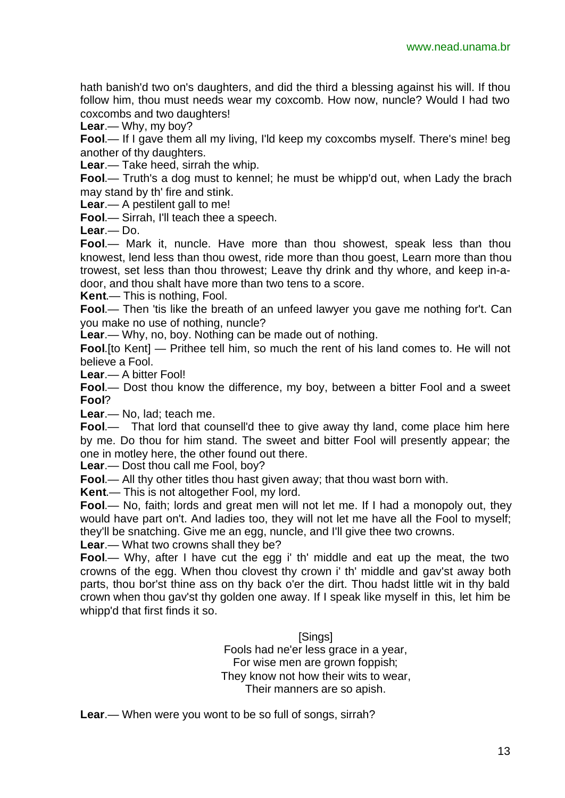hath banish'd two on's daughters, and did the third a blessing against his will. If thou follow him, thou must needs wear my coxcomb. How now, nuncle? Would I had two coxcombs and two daughters!

**Lear**.— Why, my boy?

**Fool**.— If I gave them all my living, I'ld keep my coxcombs myself. There's mine! beg another of thy daughters.

**Lear**.— Take heed, sirrah the whip.

**Fool**.— Truth's a dog must to kennel; he must be whipp'd out, when Lady the brach may stand by th' fire and stink.

**Lear**.— A pestilent gall to me!

**Fool**.— Sirrah, I'll teach thee a speech.

**Lear**.— Do.

**Fool**.— Mark it, nuncle. Have more than thou showest, speak less than thou knowest, lend less than thou owest, ride more than thou goest, Learn more than thou trowest, set less than thou throwest; Leave thy drink and thy whore, and keep in-adoor, and thou shalt have more than two tens to a score.

**Kent**.— This is nothing, Fool.

**Fool.**— Then 'tis like the breath of an unfeed lawyer you gave me nothing for't. Can you make no use of nothing, nuncle?

**Lear**.— Why, no, boy. Nothing can be made out of nothing.

**Fool**.[to Kent] — Prithee tell him, so much the rent of his land comes to. He will not believe a Fool.

**Lear**.— A bitter Fool!

**Fool**.— Dost thou know the difference, my boy, between a bitter Fool and a sweet **Fool**?

**Lear**.— No, lad; teach me.

**Fool**.— That lord that counsell'd thee to give away thy land, come place him here by me. Do thou for him stand. The sweet and bitter Fool will presently appear; the one in motley here, the other found out there.

**Lear**.— Dost thou call me Fool, boy?

**Fool**.— All thy other titles thou hast given away; that thou wast born with.

**Kent**.— This is not altogether Fool, my lord.

**Fool**.— No, faith; lords and great men will not let me. If I had a monopoly out, they would have part on't. And ladies too, they will not let me have all the Fool to myself; they'll be snatching. Give me an egg, nuncle, and I'll give thee two crowns.

**Lear**.— What two crowns shall they be?

**Fool.**— Why, after I have cut the egg i' th' middle and eat up the meat, the two crowns of the egg. When thou clovest thy crown i' th' middle and gav'st away both parts, thou bor'st thine ass on thy back o'er the dirt. Thou hadst little wit in thy bald crown when thou gav'st thy golden one away. If I speak like myself in this, let him be whipp'd that first finds it so.

> [Sings] Fools had ne'er less grace in a year, For wise men are grown foppish; They know not how their wits to wear, Their manners are so apish.

**Lear**.— When were you wont to be so full of songs, sirrah?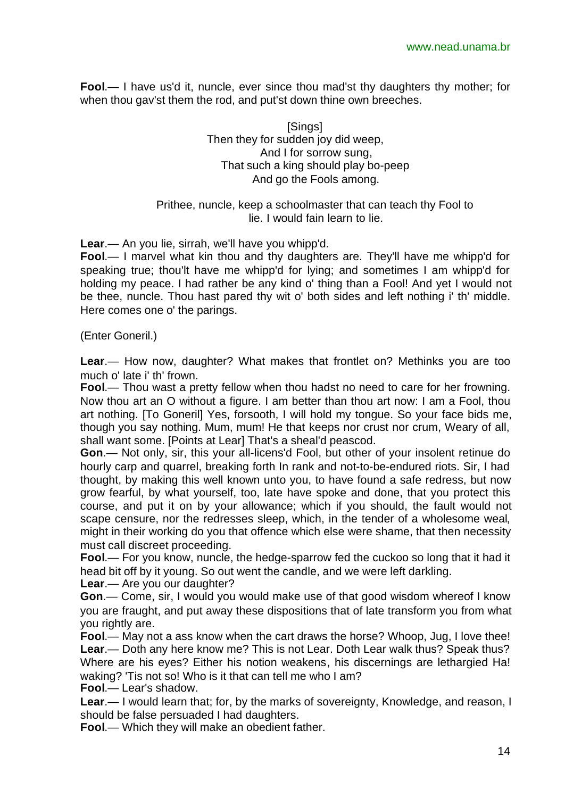**Fool**.— I have us'd it, nuncle, ever since thou mad'st thy daughters thy mother; for when thou gav'st them the rod, and put'st down thine own breeches.

> [Sings] Then they for sudden joy did weep, And I for sorrow sung, That such a king should play bo-peep And go the Fools among.

Prithee, nuncle, keep a schoolmaster that can teach thy Fool to lie. I would fain learn to lie.

**Lear**.— An you lie, sirrah, we'll have you whipp'd.

**Fool**.— I marvel what kin thou and thy daughters are. They'll have me whipp'd for speaking true; thou'lt have me whipp'd for lying; and sometimes I am whipp'd for holding my peace. I had rather be any kind o' thing than a Fool! And yet I would not be thee, nuncle. Thou hast pared thy wit o' both sides and left nothing i' th' middle. Here comes one o' the parings.

(Enter Goneril.)

**Lear**.— How now, daughter? What makes that frontlet on? Methinks you are too much o' late i' th' frown.

**Fool**.— Thou wast a pretty fellow when thou hadst no need to care for her frowning. Now thou art an O without a figure. I am better than thou art now: I am a Fool, thou art nothing. [To Goneril] Yes, forsooth, I will hold my tongue. So your face bids me, though you say nothing. Mum, mum! He that keeps nor crust nor crum, Weary of all, shall want some. [Points at Lear] That's a sheal'd peascod.

**Gon**.— Not only, sir, this your all-licens'd Fool, but other of your insolent retinue do hourly carp and quarrel, breaking forth In rank and not-to-be-endured riots. Sir, I had thought, by making this well known unto you, to have found a safe redress, but now grow fearful, by what yourself, too, late have spoke and done, that you protect this course, and put it on by your allowance; which if you should, the fault would not scape censure, nor the redresses sleep, which, in the tender of a wholesome weal, might in their working do you that offence which else were shame, that then necessity must call discreet proceeding.

**Fool**.— For you know, nuncle, the hedge-sparrow fed the cuckoo so long that it had it head bit off by it young. So out went the candle, and we were left darkling.

**Lear**.— Are you our daughter?

**Gon**.— Come, sir, I would you would make use of that good wisdom whereof I know you are fraught, and put away these dispositions that of late transform you from what you rightly are.

**Fool**.— May not a ass know when the cart draws the horse? Whoop, Jug, I love thee! **Lear**.— Doth any here know me? This is not Lear. Doth Lear walk thus? Speak thus? Where are his eyes? Either his notion weakens, his discernings are lethargied Ha! waking? 'Tis not so! Who is it that can tell me who I am?

**Fool**.— Lear's shadow.

**Lear**.— I would learn that; for, by the marks of sovereignty, Knowledge, and reason, I should be false persuaded I had daughters.

**Fool**.— Which they will make an obedient father.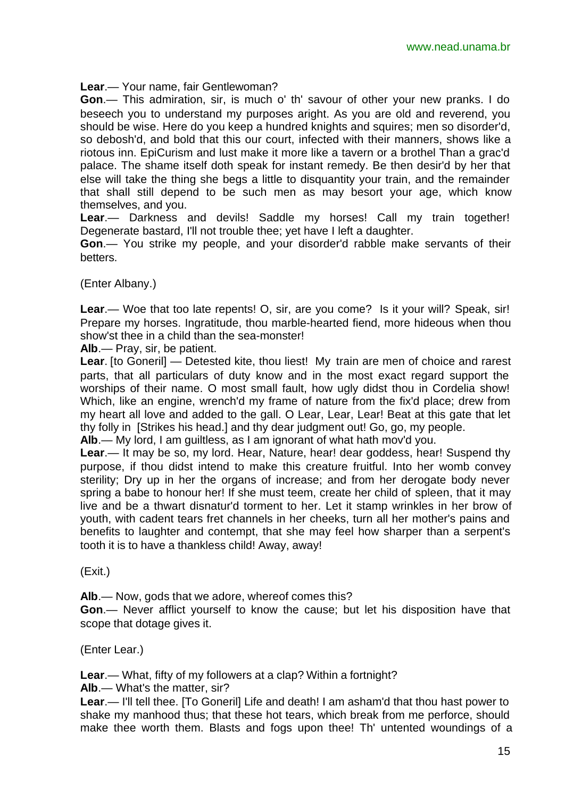**Lear**.— Your name, fair Gentlewoman?

**Gon**.— This admiration, sir, is much o' th' savour of other your new pranks. I do beseech you to understand my purposes aright. As you are old and reverend, you should be wise. Here do you keep a hundred knights and squires; men so disorder'd, so debosh'd, and bold that this our court, infected with their manners, shows like a riotous inn. EpiCurism and lust make it more like a tavern or a brothel Than a grac'd palace. The shame itself doth speak for instant remedy. Be then desir'd by her that else will take the thing she begs a little to disquantity your train, and the remainder that shall still depend to be such men as may besort your age, which know themselves, and you.

**Lear**.— Darkness and devils! Saddle my horses! Call my train together! Degenerate bastard, I'll not trouble thee; yet have I left a daughter.

**Gon**.— You strike my people, and your disorder'd rabble make servants of their betters.

(Enter Albany.)

**Lear**.— Woe that too late repents! O, sir, are you come? Is it your will? Speak, sir! Prepare my horses. Ingratitude, thou marble-hearted fiend, more hideous when thou show'st thee in a child than the sea-monster!

**Alb**.— Pray, sir, be patient.

**Lear**. [to Goneril] — Detested kite, thou liest! My train are men of choice and rarest parts, that all particulars of duty know and in the most exact regard support the worships of their name. O most small fault, how ugly didst thou in Cordelia show! Which, like an engine, wrench'd my frame of nature from the fix'd place; drew from my heart all love and added to the gall. O Lear, Lear, Lear! Beat at this gate that let thy folly in [Strikes his head.] and thy dear judgment out! Go, go, my people.

**Alb**.— My lord, I am guiltless, as I am ignorant of what hath mov'd you.

**Lear**.— It may be so, my lord. Hear, Nature, hear! dear goddess, hear! Suspend thy purpose, if thou didst intend to make this creature fruitful. Into her womb convey sterility; Dry up in her the organs of increase; and from her derogate body never spring a babe to honour her! If she must teem, create her child of spleen, that it may live and be a thwart disnatur'd torment to her. Let it stamp wrinkles in her brow of youth, with cadent tears fret channels in her cheeks, turn all her mother's pains and benefits to laughter and contempt, that she may feel how sharper than a serpent's tooth it is to have a thankless child! Away, away!

(Exit.)

**Alb**.— Now, gods that we adore, whereof comes this?

**Gon**.— Never afflict yourself to know the cause; but let his disposition have that scope that dotage gives it.

(Enter Lear.)

**Lear**.— What, fifty of my followers at a clap? Within a fortnight?

**Alb**.— What's the matter, sir?

**Lear**.— I'll tell thee. [To Goneril] Life and death! I am asham'd that thou hast power to shake my manhood thus; that these hot tears, which break from me perforce, should make thee worth them. Blasts and fogs upon thee! Th' untented woundings of a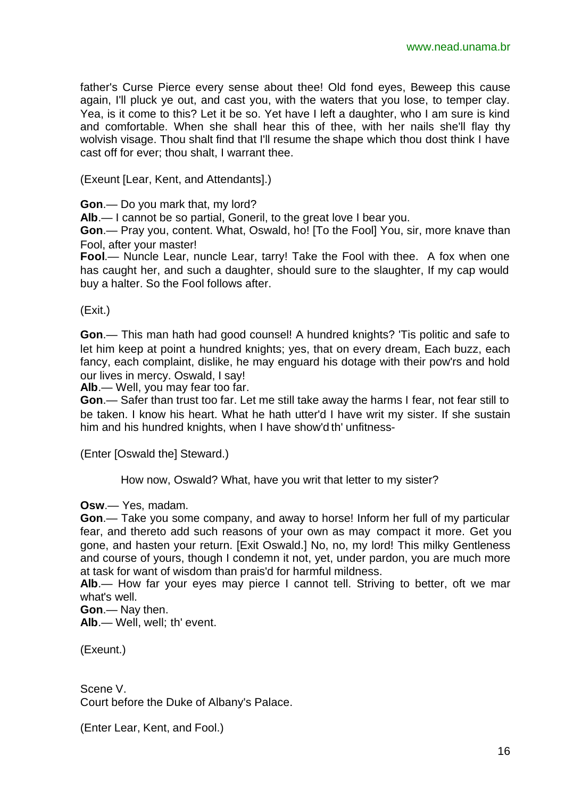father's Curse Pierce every sense about thee! Old fond eyes, Beweep this cause again, I'll pluck ye out, and cast you, with the waters that you lose, to temper clay. Yea, is it come to this? Let it be so. Yet have I left a daughter, who I am sure is kind and comfortable. When she shall hear this of thee, with her nails she'll flay thy wolvish visage. Thou shalt find that I'll resume the shape which thou dost think I have cast off for ever; thou shalt, I warrant thee.

(Exeunt [Lear, Kent, and Attendants].)

**Gon**.— Do you mark that, my lord?

**Alb**.— I cannot be so partial, Goneril, to the great love I bear you.

**Gon**.— Pray you, content. What, Oswald, ho! [To the Fool] You, sir, more knave than Fool, after your master!

**Fool**.— Nuncle Lear, nuncle Lear, tarry! Take the Fool with thee. A fox when one has caught her, and such a daughter, should sure to the slaughter, If my cap would buy a halter. So the Fool follows after.

(Exit.)

**Gon**.— This man hath had good counsel! A hundred knights? 'Tis politic and safe to let him keep at point a hundred knights; yes, that on every dream, Each buzz, each fancy, each complaint, dislike, he may enguard his dotage with their pow'rs and hold our lives in mercy. Oswald, I say!

**Alb**.— Well, you may fear too far.

**Gon**.— Safer than trust too far. Let me still take away the harms I fear, not fear still to be taken. I know his heart. What he hath utter'd I have writ my sister. If she sustain him and his hundred knights, when I have show'd th' unfitness-

(Enter [Oswald the] Steward.)

How now, Oswald? What, have you writ that letter to my sister?

**Osw**.— Yes, madam.

**Gon**.— Take you some company, and away to horse! Inform her full of my particular fear, and thereto add such reasons of your own as may compact it more. Get you gone, and hasten your return. [Exit Oswald.] No, no, my lord! This milky Gentleness and course of yours, though I condemn it not, yet, under pardon, you are much more at task for want of wisdom than prais'd for harmful mildness.

**Alb**.— How far your eyes may pierce I cannot tell. Striving to better, oft we mar what's well.

**Gon**.— Nay then.

**Alb**.— Well, well; th' event.

(Exeunt.)

Scene V. Court before the Duke of Albany's Palace.

(Enter Lear, Kent, and Fool.)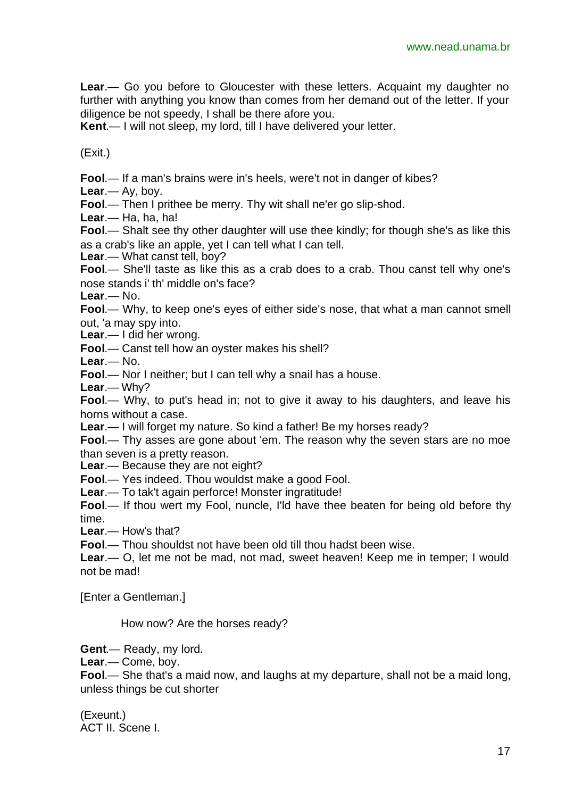**Lear**.— Go you before to Gloucester with these letters. Acquaint my daughter no further with anything you know than comes from her demand out of the letter. If your diligence be not speedy, I shall be there afore you.

**Kent**.— I will not sleep, my lord, till I have delivered your letter.

(Exit.)

**Fool**.— If a man's brains were in's heels, were't not in danger of kibes?

**Lear**.— Ay, boy.

**Fool**.— Then I prithee be merry. Thy wit shall ne'er go slip-shod.

**Lear**.— Ha, ha, ha!

**Fool**.— Shalt see thy other daughter will use thee kindly; for though she's as like this as a crab's like an apple, yet I can tell what I can tell.

Lear.— What canst tell, boy?

**Fool**.— She'll taste as like this as a crab does to a crab. Thou canst tell why one's nose stands i' th' middle on's face?

**Lear**.— No.

**Fool**.— Why, to keep one's eyes of either side's nose, that what a man cannot smell out, 'a may spy into.

**Lear**.— I did her wrong.

**Fool**.— Canst tell how an oyster makes his shell?

**Lear**.— No.

**Fool**.— Nor I neither; but I can tell why a snail has a house.

**Lear**.— Why?

**Fool**.— Why, to put's head in; not to give it away to his daughters, and leave his horns without a case.

**Lear**.— I will forget my nature. So kind a father! Be my horses ready?

**Fool**.— Thy asses are gone about 'em. The reason why the seven stars are no moe than seven is a pretty reason.

**Lear**.— Because they are not eight?

**Fool**.— Yes indeed. Thou wouldst make a good Fool.

**Lear**.— To tak't again perforce! Monster ingratitude!

**Fool**.— If thou wert my Fool, nuncle, I'ld have thee beaten for being old before thy time.

**Lear**.— How's that?

**Fool**.— Thou shouldst not have been old till thou hadst been wise.

**Lear**.— O, let me not be mad, not mad, sweet heaven! Keep me in temper; I would not be mad!

[Enter a Gentleman.]

How now? Are the horses ready?

**Gent**.— Ready, my lord.

**Lear**.— Come, boy.

**Fool**.— She that's a maid now, and laughs at my departure, shall not be a maid long, unless things be cut shorter

(Exeunt.) ACT II. Scene I.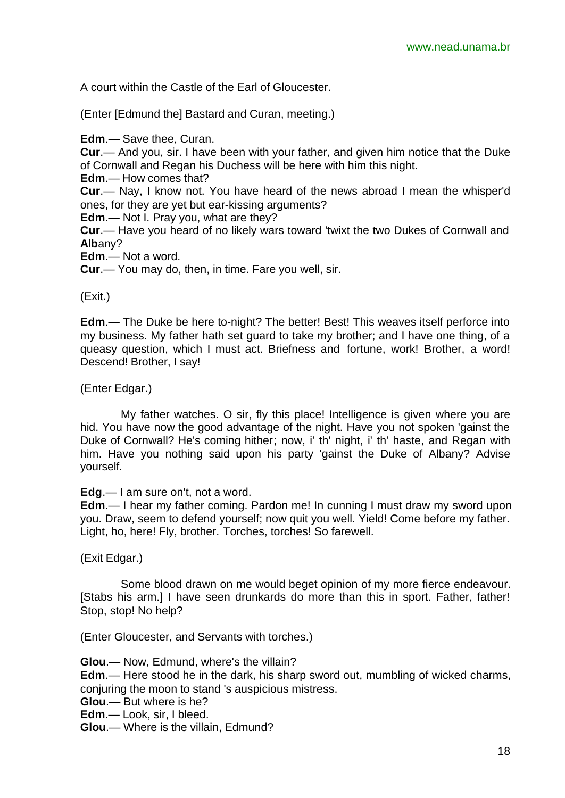A court within the Castle of the Earl of Gloucester.

(Enter [Edmund the] Bastard and Curan, meeting.)

**Edm**.— Save thee, Curan.

**Cur**.— And you, sir. I have been with your father, and given him notice that the Duke of Cornwall and Regan his Duchess will be here with him this night.

**Edm**.— How comes that?

**Cur**.— Nay, I know not. You have heard of the news abroad I mean the whisper'd ones, for they are yet but ear-kissing arguments?

**Edm**.— Not I. Pray you, what are they?

**Cur**.— Have you heard of no likely wars toward 'twixt the two Dukes of Cornwall and **Alb**any?

**Edm**.— Not a word.

**Cur**.— You may do, then, in time. Fare you well, sir.

(Exit.)

**Edm**.— The Duke be here to-night? The better! Best! This weaves itself perforce into my business. My father hath set guard to take my brother; and I have one thing, of a queasy question, which I must act. Briefness and fortune, work! Brother, a word! Descend! Brother, I say!

#### (Enter Edgar.)

My father watches. O sir, fly this place! Intelligence is given where you are hid. You have now the good advantage of the night. Have you not spoken 'gainst the Duke of Cornwall? He's coming hither; now, i' th' night, i' th' haste, and Regan with him. Have you nothing said upon his party 'gainst the Duke of Albany? Advise yourself.

**Edg**.— I am sure on't, not a word.

**Edm**.— I hear my father coming. Pardon me! In cunning I must draw my sword upon you. Draw, seem to defend yourself; now quit you well. Yield! Come before my father. Light, ho, here! Fly, brother. Torches, torches! So farewell.

(Exit Edgar.)

Some blood drawn on me would beget opinion of my more fierce endeavour. [Stabs his arm.] I have seen drunkards do more than this in sport. Father, father! Stop, stop! No help?

(Enter Gloucester, and Servants with torches.)

**Glou**.— Now, Edmund, where's the villain?

**Edm**.— Here stood he in the dark, his sharp sword out, mumbling of wicked charms, conjuring the moon to stand 's auspicious mistress.

- **Glou**.— But where is he?
- **Edm**.— Look, sir, I bleed.

**Glou**.— Where is the villain, Edmund?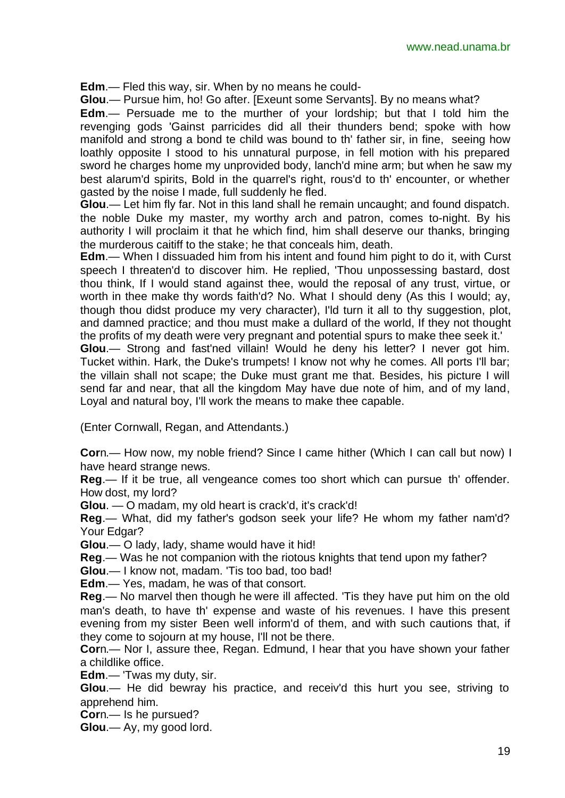**Edm**.— Fled this way, sir. When by no means he could-

**Glou**.— Pursue him, ho! Go after. [Exeunt some Servants]. By no means what?

**Edm**.— Persuade me to the murther of your lordship; but that I told him the revenging gods 'Gainst parricides did all their thunders bend; spoke with how manifold and strong a bond te child was bound to th' father sir, in fine, seeing how loathly opposite I stood to his unnatural purpose, in fell motion with his prepared sword he charges home my unprovided body, lanch'd mine arm; but when he saw my best alarum'd spirits, Bold in the quarrel's right, rous'd to th' encounter, or whether gasted by the noise I made, full suddenly he fled.

**Glou**.— Let him fly far. Not in this land shall he remain uncaught; and found dispatch. the noble Duke my master, my worthy arch and patron, comes to-night. By his authority I will proclaim it that he which find, him shall deserve our thanks, bringing the murderous caitiff to the stake; he that conceals him, death.

**Edm**.— When I dissuaded him from his intent and found him pight to do it, with Curst speech I threaten'd to discover him. He replied, 'Thou unpossessing bastard, dost thou think, If I would stand against thee, would the reposal of any trust, virtue, or worth in thee make thy words faith'd? No. What I should deny (As this I would; ay, though thou didst produce my very character), I'ld turn it all to thy suggestion, plot, and damned practice; and thou must make a dullard of the world, If they not thought the profits of my death were very pregnant and potential spurs to make thee seek it.'

**Glou**.— Strong and fast'ned villain! Would he deny his letter? I never got him. Tucket within. Hark, the Duke's trumpets! I know not why he comes. All ports I'll bar; the villain shall not scape; the Duke must grant me that. Besides, his picture I will send far and near, that all the kingdom May have due note of him, and of my land, Loyal and natural boy, I'll work the means to make thee capable.

(Enter Cornwall, Regan, and Attendants.)

**Cor**n.— How now, my noble friend? Since I came hither (Which I can call but now) I have heard strange news.

**Reg**.— If it be true, all vengeance comes too short which can pursue th' offender. How dost, my lord?

**Glou**. — O madam, my old heart is crack'd, it's crack'd!

**Reg**.— What, did my father's godson seek your life? He whom my father nam'd? Your Edgar?

**Glou**.— O lady, lady, shame would have it hid!

**Reg**.— Was he not companion with the riotous knights that tend upon my father?

**Glou**.— I know not, madam. 'Tis too bad, too bad!

**Edm**.— Yes, madam, he was of that consort.

**Reg**.— No marvel then though he were ill affected. 'Tis they have put him on the old man's death, to have th' expense and waste of his revenues. I have this present evening from my sister Been well inform'd of them, and with such cautions that, if they come to sojourn at my house, I'll not be there.

**Cor**n.— Nor I, assure thee, Regan. Edmund, I hear that you have shown your father a childlike office.

**Edm**.— 'Twas my duty, sir.

**Glou**.— He did bewray his practice, and receiv'd this hurt you see, striving to apprehend him.

**Cor**n.— Is he pursued?

**Glou**.— Ay, my good lord.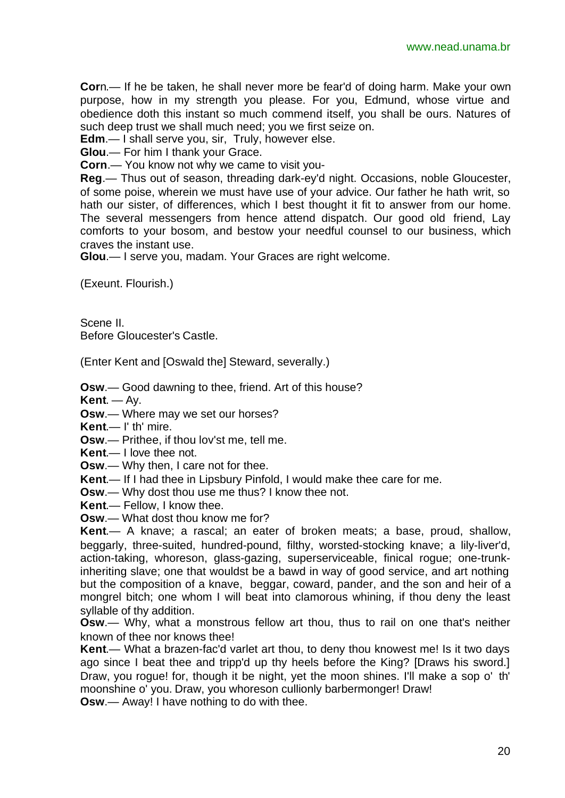**Cor**n.— If he be taken, he shall never more be fear'd of doing harm. Make your own purpose, how in my strength you please. For you, Edmund, whose virtue and obedience doth this instant so much commend itself, you shall be ours. Natures of such deep trust we shall much need; you we first seize on.

**Edm**.— I shall serve you, sir, Truly, however else.

**Glou**.— For him I thank your Grace.

**Corn**.— You know not why we came to visit you-

**Reg**.— Thus out of season, threading dark-ey'd night. Occasions, noble Gloucester, of some poise, wherein we must have use of your advice. Our father he hath writ, so hath our sister, of differences, which I best thought it fit to answer from our home. The several messengers from hence attend dispatch. Our good old friend, Lay comforts to your bosom, and bestow your needful counsel to our business, which craves the instant use.

**Glou**.— I serve you, madam. Your Graces are right welcome.

(Exeunt. Flourish.)

Scene II. Before Gloucester's Castle.

(Enter Kent and [Oswald the] Steward, severally.)

**Osw**.— Good dawning to thee, friend. Art of this house?

**Kent**. — Ay.

**Osw**.— Where may we set our horses?

**Kent**.— I' th' mire.

**Osw**.— Prithee, if thou lov'st me, tell me.

**Kent**.— I love thee not.

**Osw**.— Why then, I care not for thee.

**Kent**.— If I had thee in Lipsbury Pinfold, I would make thee care for me.

**Osw**.— Why dost thou use me thus? I know thee not.

**Kent**.— Fellow, I know thee.

**Osw**.— What dost thou know me for?

**Kent**.— A knave; a rascal; an eater of broken meats; a base, proud, shallow, beggarly, three-suited, hundred-pound, filthy, worsted-stocking knave; a lily-liver'd, action-taking, whoreson, glass-gazing, superserviceable, finical rogue; one-trunkinheriting slave; one that wouldst be a bawd in way of good service, and art nothing but the composition of a knave, beggar, coward, pander, and the son and heir of a mongrel bitch; one whom I will beat into clamorous whining, if thou deny the least syllable of thy addition.

**Osw**.— Why, what a monstrous fellow art thou, thus to rail on one that's neither known of thee nor knows thee!

**Kent**.— What a brazen-fac'd varlet art thou, to deny thou knowest me! Is it two days ago since I beat thee and tripp'd up thy heels before the King? [Draws his sword.] Draw, you rogue! for, though it be night, yet the moon shines. I'll make a sop o' th' moonshine o' you. Draw, you whoreson cullionly barbermonger! Draw!

**Osw**.— Away! I have nothing to do with thee.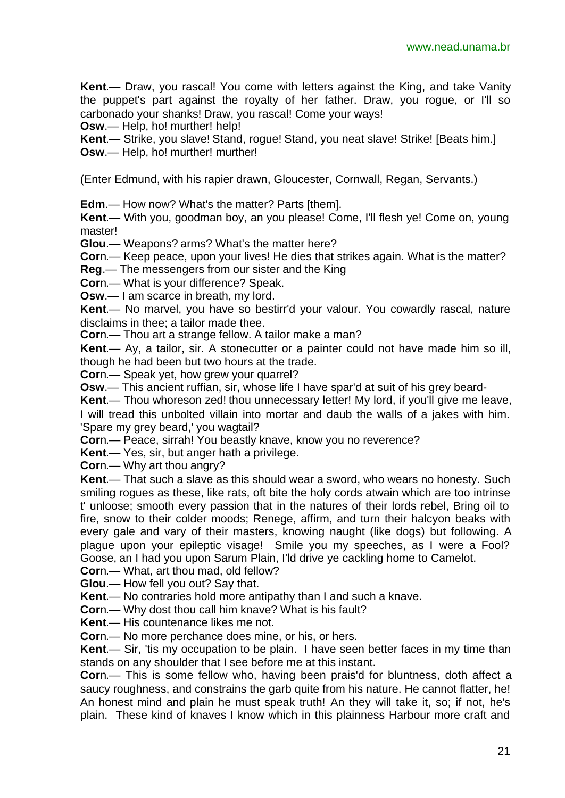**Kent**.— Draw, you rascal! You come with letters against the King, and take Vanity the puppet's part against the royalty of her father. Draw, you rogue, or I'll so carbonado your shanks! Draw, you rascal! Come your ways!

**Osw.**— Help, ho! murther! help!

**Kent**.— Strike, you slave! Stand, rogue! Stand, you neat slave! Strike! [Beats him.] **Osw**.— Help, ho! murther! murther!

(Enter Edmund, with his rapier drawn, Gloucester, Cornwall, Regan, Servants.)

**Edm**.— How now? What's the matter? Parts [them].

**Kent**.— With you, goodman boy, an you please! Come, I'll flesh ye! Come on, young master!

**Glou**.— Weapons? arms? What's the matter here?

**Cor**n.— Keep peace, upon your lives! He dies that strikes again. What is the matter?

**Reg**.— The messengers from our sister and the King

**Cor**n.— What is your difference? Speak.

**Osw**.— I am scarce in breath, my lord.

**Kent**.— No marvel, you have so bestirr'd your valour. You cowardly rascal, nature disclaims in thee; a tailor made thee.

**Cor**n.— Thou art a strange fellow. A tailor make a man?

**Kent**.— Ay, a tailor, sir. A stonecutter or a painter could not have made him so ill, though he had been but two hours at the trade.

**Cor**n.— Speak yet, how grew your quarrel?

**Osw**.— This ancient ruffian, sir, whose life I have spar'd at suit of his grey beard-

**Kent.**— Thou whoreson zed! thou unnecessary letter! My lord, if you'll give me leave,

I will tread this unbolted villain into mortar and daub the walls of a jakes with him. 'Spare my grey beard,' you wagtail?

**Cor**n.— Peace, sirrah! You beastly knave, know you no reverence?

**Kent**.— Yes, sir, but anger hath a privilege.

**Cor**n.— Why art thou angry?

**Kent**.— That such a slave as this should wear a sword, who wears no honesty. Such smiling rogues as these, like rats, oft bite the holy cords atwain which are too intrinse t' unloose; smooth every passion that in the natures of their lords rebel, Bring oil to fire, snow to their colder moods; Renege, affirm, and turn their halcyon beaks with every gale and vary of their masters, knowing naught (like dogs) but following. A plague upon your epileptic visage! Smile you my speeches, as I were a Fool? Goose, an I had you upon Sarum Plain, I'ld drive ye cackling home to Camelot.

**Cor**n.— What, art thou mad, old fellow?

**Glou**.— How fell you out? Say that.

**Kent**.— No contraries hold more antipathy than I and such a knave.

**Cor**n.— Why dost thou call him knave? What is his fault?

**Kent**.— His countenance likes me not.

**Cor**n.— No more perchance does mine, or his, or hers.

**Kent**.— Sir, 'tis my occupation to be plain. I have seen better faces in my time than stands on any shoulder that I see before me at this instant.

**Cor**n.— This is some fellow who, having been prais'd for bluntness, doth affect a saucy roughness, and constrains the garb quite from his nature. He cannot flatter, he! An honest mind and plain he must speak truth! An they will take it, so; if not, he's plain. These kind of knaves I know which in this plainness Harbour more craft and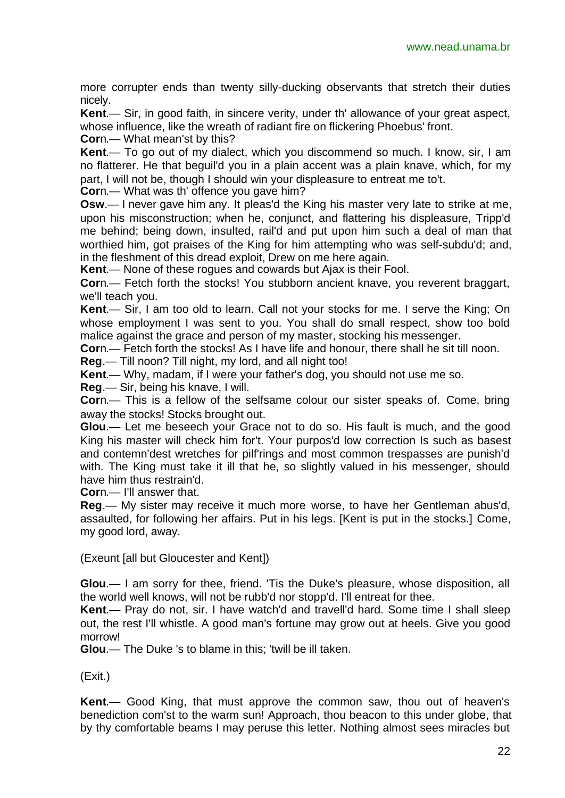more corrupter ends than twenty silly-ducking observants that stretch their duties nicely.

**Kent**.— Sir, in good faith, in sincere verity, under th' allowance of your great aspect, whose influence, like the wreath of radiant fire on flickering Phoebus' front.

**Cor**n.— What mean'st by this?

**Kent**.— To go out of my dialect, which you discommend so much. I know, sir, I am no flatterer. He that beguil'd you in a plain accent was a plain knave, which, for my part, I will not be, though I should win your displeasure to entreat me to't.

**Cor**n.— What was th' offence you gave him?

**Osw**.— I never gave him any. It pleas'd the King his master very late to strike at me, upon his misconstruction; when he, conjunct, and flattering his displeasure, Tripp'd me behind; being down, insulted, rail'd and put upon him such a deal of man that worthied him, got praises of the King for him attempting who was self-subdu'd: and, in the fleshment of this dread exploit, Drew on me here again.

**Kent**.— None of these rogues and cowards but Ajax is their Fool.

**Cor**n.— Fetch forth the stocks! You stubborn ancient knave, you reverent braggart, we'll teach you.

**Kent**.— Sir, I am too old to learn. Call not your stocks for me. I serve the King; On whose employment I was sent to you. You shall do small respect, show too bold malice against the grace and person of my master, stocking his messenger.

**Cor**n.— Fetch forth the stocks! As I have life and honour, there shall he sit till noon.

**Reg**.— Till noon? Till night, my lord, and all night too!

**Kent**.— Why, madam, if I were your father's dog, you should not use me so.

**Reg**.— Sir, being his knave, I will.

**Cor**n.— This is a fellow of the selfsame colour our sister speaks of. Come, bring away the stocks! Stocks brought out.

**Glou**.— Let me beseech your Grace not to do so. His fault is much, and the good King his master will check him for't. Your purpos'd low correction Is such as basest and contemn'dest wretches for pilf'rings and most common trespasses are punish'd with. The King must take it ill that he, so slightly valued in his messenger, should have him thus restrain'd.

**Cor**n.— I'll answer that.

**Reg**.— My sister may receive it much more worse, to have her Gentleman abus'd, assaulted, for following her affairs. Put in his legs. [Kent is put in the stocks.] Come, my good lord, away.

(Exeunt [all but Gloucester and Kent])

**Glou**.— I am sorry for thee, friend. 'Tis the Duke's pleasure, whose disposition, all the world well knows, will not be rubb'd nor stopp'd. I'll entreat for thee.

**Kent**.— Pray do not, sir. I have watch'd and travell'd hard. Some time I shall sleep out, the rest I'll whistle. A good man's fortune may grow out at heels. Give you good morrow!

**Glou**.— The Duke 's to blame in this; 'twill be ill taken.

(Exit.)

**Kent**.— Good King, that must approve the common saw, thou out of heaven's benediction com'st to the warm sun! Approach, thou beacon to this under globe, that by thy comfortable beams I may peruse this letter. Nothing almost sees miracles but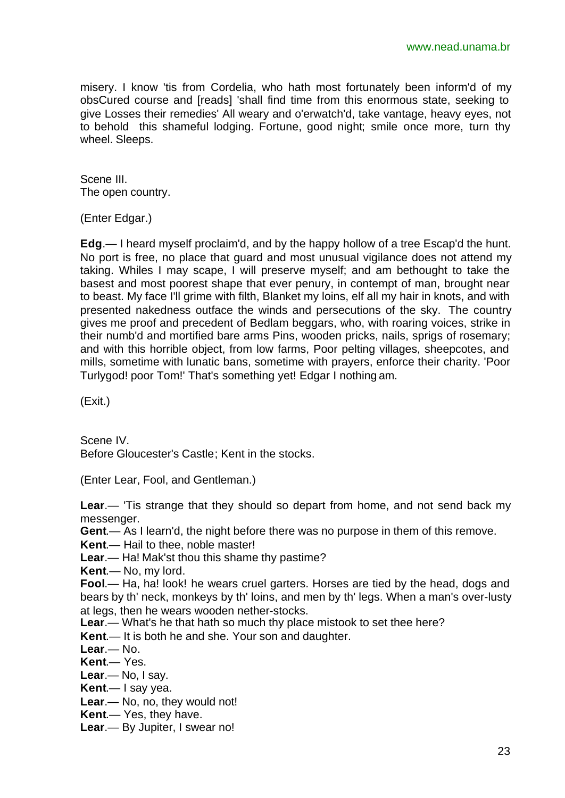misery. I know 'tis from Cordelia, who hath most fortunately been inform'd of my obsCured course and [reads] 'shall find time from this enormous state, seeking to give Losses their remedies' All weary and o'erwatch'd, take vantage, heavy eyes, not to behold this shameful lodging. Fortune, good night; smile once more, turn thy wheel. Sleeps.

Scene III. The open country.

(Enter Edgar.)

**Edg**.— I heard myself proclaim'd, and by the happy hollow of a tree Escap'd the hunt. No port is free, no place that guard and most unusual vigilance does not attend my taking. Whiles I may scape, I will preserve myself; and am bethought to take the basest and most poorest shape that ever penury, in contempt of man, brought near to beast. My face I'll grime with filth, Blanket my loins, elf all my hair in knots, and with presented nakedness outface the winds and persecutions of the sky. The country gives me proof and precedent of Bedlam beggars, who, with roaring voices, strike in their numb'd and mortified bare arms Pins, wooden pricks, nails, sprigs of rosemary; and with this horrible object, from low farms, Poor pelting villages, sheepcotes, and mills, sometime with lunatic bans, sometime with prayers, enforce their charity. 'Poor Turlygod! poor Tom!' That's something yet! Edgar I nothing am.

(Exit.)

Scene IV. Before Gloucester's Castle; Kent in the stocks.

(Enter Lear, Fool, and Gentleman.)

**Lear**.— 'Tis strange that they should so depart from home, and not send back my messenger.

**Gent**.— As I learn'd, the night before there was no purpose in them of this remove.

**Kent**.— Hail to thee, noble master!

**Lear**.— Ha! Mak'st thou this shame thy pastime?

**Kent**.— No, my lord.

**Fool**.— Ha, ha! look! he wears cruel garters. Horses are tied by the head, dogs and bears by th' neck, monkeys by th' loins, and men by th' legs. When a man's over-lusty at legs, then he wears wooden nether-stocks.

**Lear**.— What's he that hath so much thy place mistook to set thee here?

**Kent**.— It is both he and she. Your son and daughter.

**Lear**.— No.

**Kent**.— Yes.

**Lear**.— No, I say.

**Kent**.— I say yea.

**Lear**.— No, no, they would not!

**Kent**.— Yes, they have.

**Lear**.— By Jupiter, I swear no!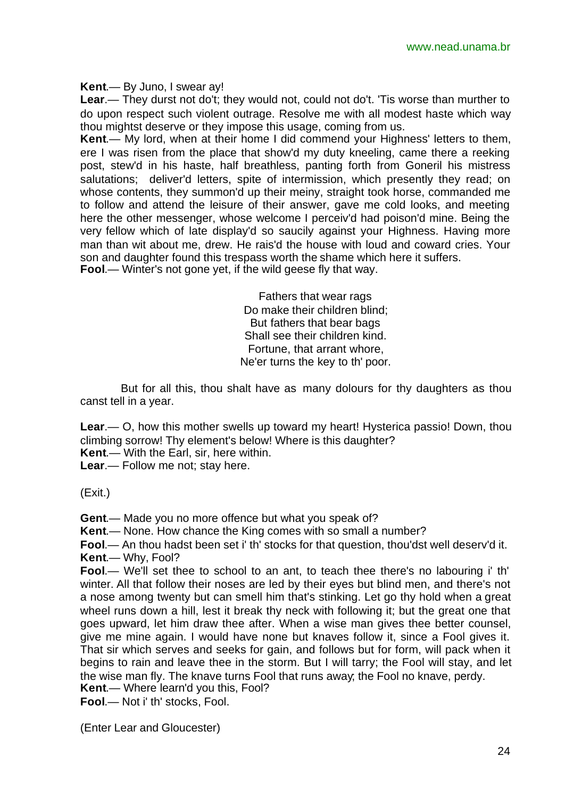**Kent**.— By Juno, I swear ay!

**Lear**.— They durst not do't; they would not, could not do't. 'Tis worse than murther to do upon respect such violent outrage. Resolve me with all modest haste which way thou mightst deserve or they impose this usage, coming from us.

**Kent**.— My lord, when at their home I did commend your Highness' letters to them, ere I was risen from the place that show'd my duty kneeling, came there a reeking post, stew'd in his haste, half breathless, panting forth from Goneril his mistress salutations; deliver'd letters, spite of intermission, which presently they read; on whose contents, they summon'd up their meiny, straight took horse, commanded me to follow and attend the leisure of their answer, gave me cold looks, and meeting here the other messenger, whose welcome I perceiv'd had poison'd mine. Being the very fellow which of late display'd so saucily against your Highness. Having more man than wit about me, drew. He rais'd the house with loud and coward cries. Your son and daughter found this trespass worth the shame which here it suffers. **Fool**.— Winter's not gone yet, if the wild geese fly that way.

> Fathers that wear rags Do make their children blind; But fathers that bear bags Shall see their children kind. Fortune, that arrant whore, Ne'er turns the key to th' poor.

But for all this, thou shalt have as many dolours for thy daughters as thou canst tell in a year.

**Lear**.— O, how this mother swells up toward my heart! Hysterica passio! Down, thou climbing sorrow! Thy element's below! Where is this daughter?

**Kent**.— With the Earl, sir, here within.

**Lear**.— Follow me not; stay here.

(Exit.)

**Gent**.— Made you no more offence but what you speak of?

**Kent**.— None. How chance the King comes with so small a number?

**Fool**.— An thou hadst been set i' th' stocks for that question, thou'dst well deserv'd it. **Kent**.— Why, Fool?

**Fool**.— We'll set thee to school to an ant, to teach thee there's no labouring i' th' winter. All that follow their noses are led by their eyes but blind men, and there's not a nose among twenty but can smell him that's stinking. Let go thy hold when a great wheel runs down a hill, lest it break thy neck with following it; but the great one that goes upward, let him draw thee after. When a wise man gives thee better counsel, give me mine again. I would have none but knaves follow it, since a Fool gives it. That sir which serves and seeks for gain, and follows but for form, will pack when it begins to rain and leave thee in the storm. But I will tarry; the Fool will stay, and let the wise man fly. The knave turns Fool that runs away; the Fool no knave, perdy.

**Kent**.— Where learn'd you this, Fool? **Fool**.— Not i' th' stocks, Fool.

(Enter Lear and Gloucester)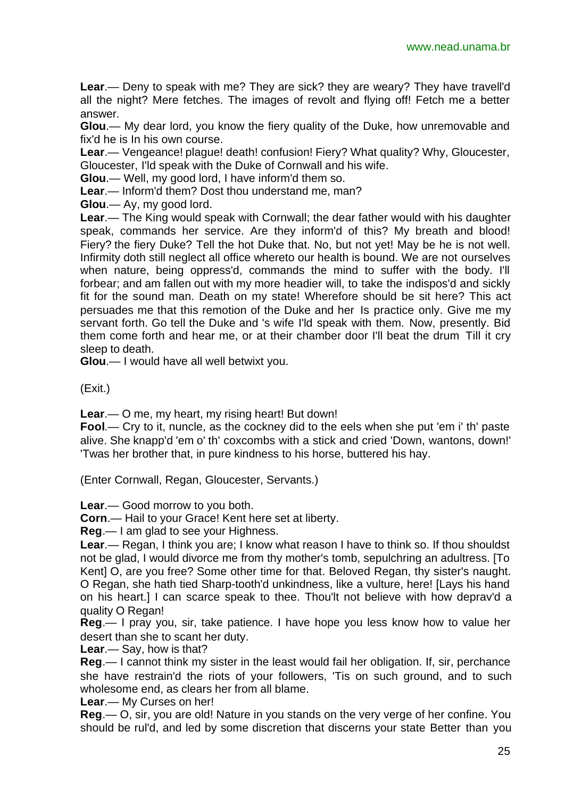**Lear**.— Deny to speak with me? They are sick? they are weary? They have travell'd all the night? Mere fetches. The images of revolt and flying off! Fetch me a better answer.

**Glou**.— My dear lord, you know the fiery quality of the Duke, how unremovable and fix'd he is In his own course.

**Lear**.— Vengeance! plague! death! confusion! Fiery? What quality? Why, Gloucester, Gloucester, I'ld speak with the Duke of Cornwall and his wife.

**Glou**.— Well, my good lord, I have inform'd them so.

**Lear**.— Inform'd them? Dost thou understand me, man?

**Glou**.— Ay, my good lord.

**Lear**.— The King would speak with Cornwall; the dear father would with his daughter speak, commands her service. Are they inform'd of this? My breath and blood! Fiery? the fiery Duke? Tell the hot Duke that. No, but not yet! May be he is not well. Infirmity doth still neglect all office whereto our health is bound. We are not ourselves when nature, being oppress'd, commands the mind to suffer with the body. I'll forbear; and am fallen out with my more headier will, to take the indispos'd and sickly fit for the sound man. Death on my state! Wherefore should be sit here? This act persuades me that this remotion of the Duke and her Is practice only. Give me my servant forth. Go tell the Duke and 's wife I'ld speak with them. Now, presently. Bid them come forth and hear me, or at their chamber door I'll beat the drum Till it cry sleep to death.

**Glou**.— I would have all well betwixt you.

(Exit.)

**Lear**.— O me, my heart, my rising heart! But down!

**Fool**.— Cry to it, nuncle, as the cockney did to the eels when she put 'em i' th' paste alive. She knapp'd 'em o' th' coxcombs with a stick and cried 'Down, wantons, down!' 'Twas her brother that, in pure kindness to his horse, buttered his hay.

(Enter Cornwall, Regan, Gloucester, Servants.)

**Lear**.— Good morrow to you both.

**Corn**.— Hail to your Grace! Kent here set at liberty.

**Reg**.— I am glad to see your Highness.

**Lear**.— Regan, I think you are; I know what reason I have to think so. If thou shouldst not be glad, I would divorce me from thy mother's tomb, sepulchring an adultress. [To Kent] O, are you free? Some other time for that. Beloved Regan, thy sister's naught. O Regan, she hath tied Sharp-tooth'd unkindness, like a vulture, here! [Lays his hand on his heart.] I can scarce speak to thee. Thou'lt not believe with how deprav'd a quality O Regan!

**Reg**.— I pray you, sir, take patience. I have hope you less know how to value her desert than she to scant her duty.

**Lear**.— Say, how is that?

**Reg**.— I cannot think my sister in the least would fail her obligation. If, sir, perchance she have restrain'd the riots of your followers, 'Tis on such ground, and to such wholesome end, as clears her from all blame.

**Lear**.— My Curses on her!

**Reg**.— O, sir, you are old! Nature in you stands on the very verge of her confine. You should be rul'd, and led by some discretion that discerns your state Better than you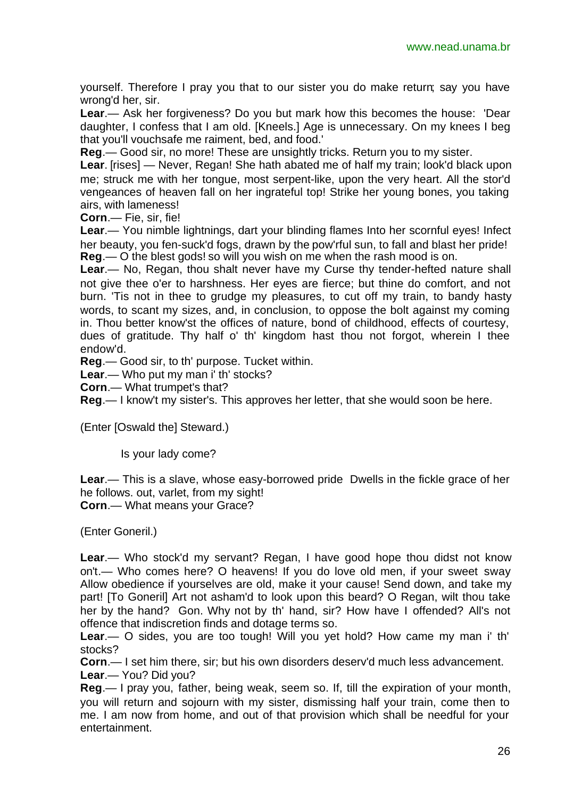yourself. Therefore I pray you that to our sister you do make return; say you have wrong'd her, sir.

**Lear**.— Ask her forgiveness? Do you but mark how this becomes the house: 'Dear daughter, I confess that I am old. [Kneels.] Age is unnecessary. On my knees I beg that you'll vouchsafe me raiment, bed, and food.'

**Reg**.— Good sir, no more! These are unsightly tricks. Return you to my sister.

**Lear**. [rises] — Never, Regan! She hath abated me of half my train; look'd black upon me; struck me with her tongue, most serpent-like, upon the very heart. All the stor'd vengeances of heaven fall on her ingrateful top! Strike her young bones, you taking airs, with lameness!

**Corn**.— Fie, sir, fie!

**Lear**.— You nimble lightnings, dart your blinding flames Into her scornful eyes! Infect her beauty, you fen-suck'd fogs, drawn by the pow'rful sun, to fall and blast her pride! **Reg**.— O the blest gods! so will you wish on me when the rash mood is on.

**Lear**.— No, Regan, thou shalt never have my Curse thy tender-hefted nature shall not give thee o'er to harshness. Her eyes are fierce; but thine do comfort, and not burn. 'Tis not in thee to grudge my pleasures, to cut off my train, to bandy hasty words, to scant my sizes, and, in conclusion, to oppose the bolt against my coming in. Thou better know'st the offices of nature, bond of childhood, effects of courtesy, dues of gratitude. Thy half o' th' kingdom hast thou not forgot, wherein I thee endow'd.

**Reg**.— Good sir, to th' purpose. Tucket within.

**Lear**.— Who put my man i' th' stocks?

**Corn**.— What trumpet's that?

**Reg**.— I know't my sister's. This approves her letter, that she would soon be here.

(Enter [Oswald the] Steward.)

Is your lady come?

**Lear**.— This is a slave, whose easy-borrowed pride Dwells in the fickle grace of her he follows. out, varlet, from my sight! **Corn**.— What means your Grace?

(Enter Goneril.)

**Lear**.— Who stock'd my servant? Regan, I have good hope thou didst not know on't.— Who comes here? O heavens! If you do love old men, if your sweet sway Allow obedience if yourselves are old, make it your cause! Send down, and take my part! [To Goneril] Art not asham'd to look upon this beard? O Regan, wilt thou take her by the hand? Gon. Why not by th' hand, sir? How have I offended? All's not offence that indiscretion finds and dotage terms so.

**Lear**.— O sides, you are too tough! Will you yet hold? How came my man i' th' stocks?

**Corn**.— I set him there, sir; but his own disorders deserv'd much less advancement. **Lear**.— You? Did you?

**Reg**.— I pray you, father, being weak, seem so. If, till the expiration of your month, you will return and sojourn with my sister, dismissing half your train, come then to me. I am now from home, and out of that provision which shall be needful for your entertainment.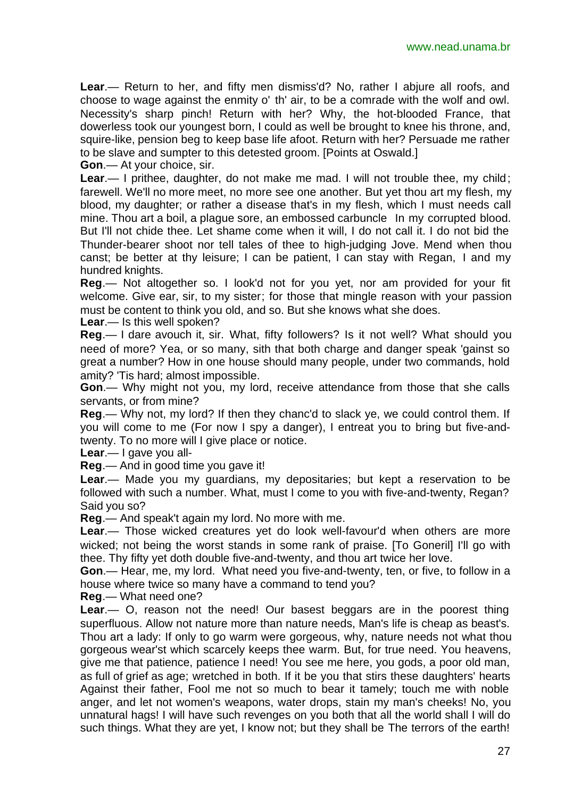**Lear**.— Return to her, and fifty men dismiss'd? No, rather I abjure all roofs, and choose to wage against the enmity o' th' air, to be a comrade with the wolf and owl. Necessity's sharp pinch! Return with her? Why, the hot-blooded France, that dowerless took our youngest born, I could as well be brought to knee his throne, and, squire-like, pension beg to keep base life afoot. Return with her? Persuade me rather to be slave and sumpter to this detested groom. [Points at Oswald.]

**Gon**.— At your choice, sir.

**Lear**.— I prithee, daughter, do not make me mad. I will not trouble thee, my child; farewell. We'll no more meet, no more see one another. But yet thou art my flesh, my blood, my daughter; or rather a disease that's in my flesh, which I must needs call mine. Thou art a boil, a plague sore, an embossed carbuncle In my corrupted blood. But I'll not chide thee. Let shame come when it will, I do not call it. I do not bid the Thunder-bearer shoot nor tell tales of thee to high-judging Jove. Mend when thou canst; be better at thy leisure; I can be patient, I can stay with Regan, I and my hundred knights.

**Reg**.— Not altogether so. I look'd not for you yet, nor am provided for your fit welcome. Give ear, sir, to my sister; for those that mingle reason with your passion must be content to think you old, and so. But she knows what she does.

**Lear**.— Is this well spoken?

**Reg**.— I dare avouch it, sir. What, fifty followers? Is it not well? What should you need of more? Yea, or so many, sith that both charge and danger speak 'gainst so great a number? How in one house should many people, under two commands, hold amity? 'Tis hard; almost impossible.

**Gon**.— Why might not you, my lord, receive attendance from those that she calls servants, or from mine?

**Reg**.— Why not, my lord? If then they chanc'd to slack ye, we could control them. If you will come to me (For now I spy a danger), I entreat you to bring but five-andtwenty. To no more will I give place or notice.

**Lear**.— I gave you all-

**Reg**.— And in good time you gave it!

**Lear**.— Made you my guardians, my depositaries; but kept a reservation to be followed with such a number. What, must I come to you with five-and-twenty, Regan? Said you so?

**Reg**.— And speak't again my lord. No more with me.

**Lear**.— Those wicked creatures yet do look well-favour'd when others are more wicked; not being the worst stands in some rank of praise. [To Goneril] I'll go with thee. Thy fifty yet doth double five-and-twenty, and thou art twice her love.

**Gon**.— Hear, me, my lord. What need you five-and-twenty, ten, or five, to follow in a house where twice so many have a command to tend you?

**Reg**.— What need one?

**Lear**.— O, reason not the need! Our basest beggars are in the poorest thing superfluous. Allow not nature more than nature needs, Man's life is cheap as beast's. Thou art a lady: If only to go warm were gorgeous, why, nature needs not what thou gorgeous wear'st which scarcely keeps thee warm. But, for true need. You heavens, give me that patience, patience I need! You see me here, you gods, a poor old man, as full of grief as age; wretched in both. If it be you that stirs these daughters' hearts Against their father, Fool me not so much to bear it tamely; touch me with noble anger, and let not women's weapons, water drops, stain my man's cheeks! No, you unnatural hags! I will have such revenges on you both that all the world shall I will do such things. What they are yet, I know not; but they shall be The terrors of the earth!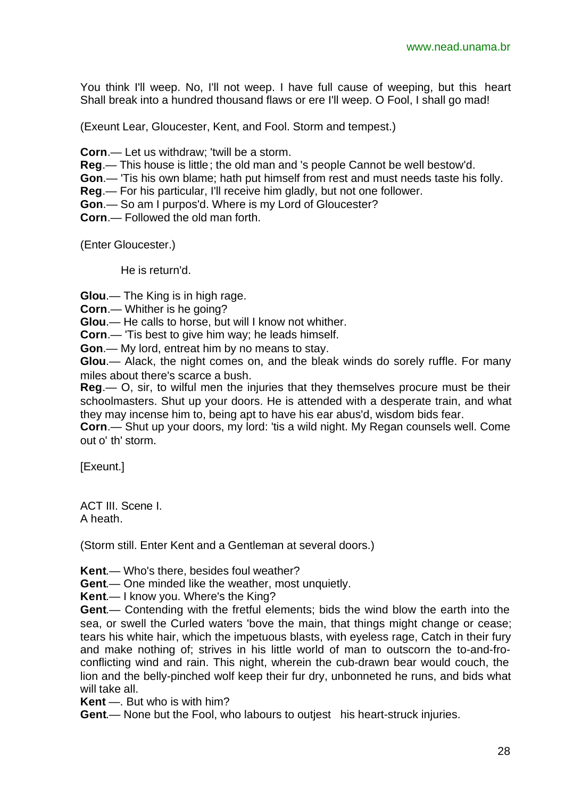You think I'll weep. No, I'll not weep. I have full cause of weeping, but this heart Shall break into a hundred thousand flaws or ere I'll weep. O Fool, I shall go mad!

(Exeunt Lear, Gloucester, Kent, and Fool. Storm and tempest.)

**Corn**.— Let us withdraw; 'twill be a storm.

**Reg**.— This house is little; the old man and 's people Cannot be well bestow'd.

**Gon**.— 'Tis his own blame; hath put himself from rest and must needs taste his folly.

**Reg**.— For his particular, I'll receive him gladly, but not one follower.

**Gon**.— So am I purpos'd. Where is my Lord of Gloucester?

**Corn**.— Followed the old man forth.

(Enter Gloucester.)

He is return'd.

**Glou**.— The King is in high rage.

**Corn**.— Whither is he going?

**Glou**.— He calls to horse, but will I know not whither.

**Corn**.— 'Tis best to give him way; he leads himself.

**Gon**.— My lord, entreat him by no means to stay.

**Glou**.— Alack, the night comes on, and the bleak winds do sorely ruffle. For many miles about there's scarce a bush.

**Reg**.— O, sir, to wilful men the injuries that they themselves procure must be their schoolmasters. Shut up your doors. He is attended with a desperate train, and what they may incense him to, being apt to have his ear abus'd, wisdom bids fear.

**Corn**.— Shut up your doors, my lord: 'tis a wild night. My Regan counsels well. Come out o' th' storm.

[Exeunt.]

ACT III. Scene I. A heath.

(Storm still. Enter Kent and a Gentleman at several doors.)

**Kent**.— Who's there, besides foul weather?

**Gent**.— One minded like the weather, most unquietly.

**Kent**.— I know you. Where's the King?

**Gent**.— Contending with the fretful elements; bids the wind blow the earth into the sea, or swell the Curled waters 'bove the main, that things might change or cease; tears his white hair, which the impetuous blasts, with eyeless rage, Catch in their fury and make nothing of; strives in his little world of man to outscorn the to-and-froconflicting wind and rain. This night, wherein the cub-drawn bear would couch, the lion and the belly-pinched wolf keep their fur dry, unbonneted he runs, and bids what will take all.

**Kent** —. But who is with him?

**Gent**.— None but the Fool, who labours to outjest his heart-struck injuries.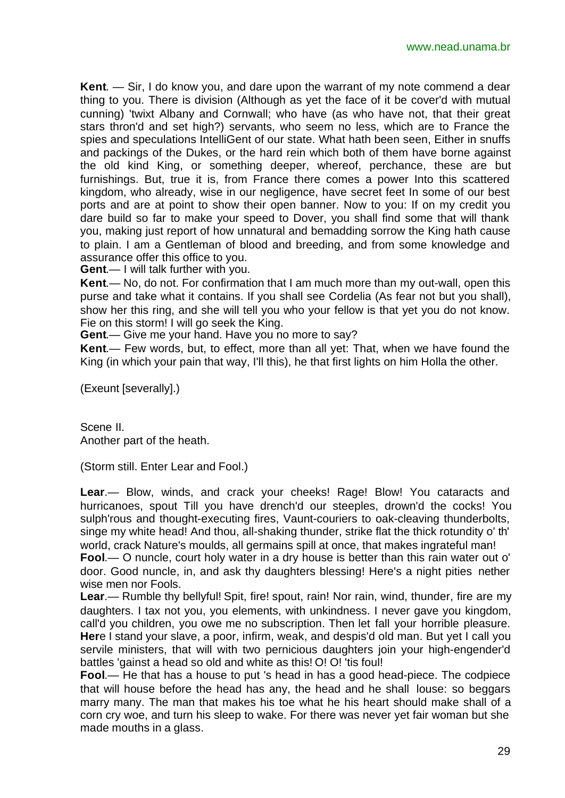**Kent**. — Sir, I do know you, and dare upon the warrant of my note commend a dear thing to you. There is division (Although as yet the face of it be cover'd with mutual cunning) 'twixt Albany and Cornwall; who have (as who have not, that their great stars thron'd and set high?) servants, who seem no less, which are to France the spies and speculations IntelliGent of our state. What hath been seen, Either in snuffs and packings of the Dukes, or the hard rein which both of them have borne against the old kind King, or something deeper, whereof, perchance, these are but furnishings. But, true it is, from France there comes a power Into this scattered kingdom, who already, wise in our negligence, have secret feet In some of our best ports and are at point to show their open banner. Now to you: If on my credit you dare build so far to make your speed to Dover, you shall find some that will thank you, making just report of how unnatural and bemadding sorrow the King hath cause to plain. I am a Gentleman of blood and breeding, and from some knowledge and assurance offer this office to you.

**Gent**.— I will talk further with you.

**Kent**.— No, do not. For confirmation that I am much more than my out-wall, open this purse and take what it contains. If you shall see Cordelia (As fear not but you shall), show her this ring, and she will tell you who your fellow is that yet you do not know. Fie on this storm! I will go seek the King.

**Gent**.— Give me your hand. Have you no more to say?

**Kent**.— Few words, but, to effect, more than all yet: That, when we have found the King (in which your pain that way, I'll this), he that first lights on him Holla the other.

(Exeunt [severally].)

Scene II. Another part of the heath.

(Storm still. Enter Lear and Fool.)

**Lear**.— Blow, winds, and crack your cheeks! Rage! Blow! You cataracts and hurricanoes, spout Till you have drench'd our steeples, drown'd the cocks! You sulph'rous and thought-executing fires, Vaunt-couriers to oak-cleaving thunderbolts, singe my white head! And thou, all-shaking thunder, strike flat the thick rotundity o' th' world, crack Nature's moulds, all germains spill at once, that makes ingrateful man!

**Fool**.— O nuncle, court holy water in a dry house is better than this rain water out o' door. Good nuncle, in, and ask thy daughters blessing! Here's a night pities nether wise men nor Fools.

**Lear**.— Rumble thy bellyful! Spit, fire! spout, rain! Nor rain, wind, thunder, fire are my daughters. I tax not you, you elements, with unkindness. I never gave you kingdom, call'd you children, you owe me no subscription. Then let fall your horrible pleasure. **Her**e I stand your slave, a poor, infirm, weak, and despis'd old man. But yet I call you servile ministers, that will with two pernicious daughters join your high-engender'd battles 'gainst a head so old and white as this! O! O! 'tis foul!

**Fool**.— He that has a house to put 's head in has a good head-piece. The codpiece that will house before the head has any, the head and he shall louse: so beggars marry many. The man that makes his toe what he his heart should make shall of a corn cry woe, and turn his sleep to wake. For there was never yet fair woman but she made mouths in a glass.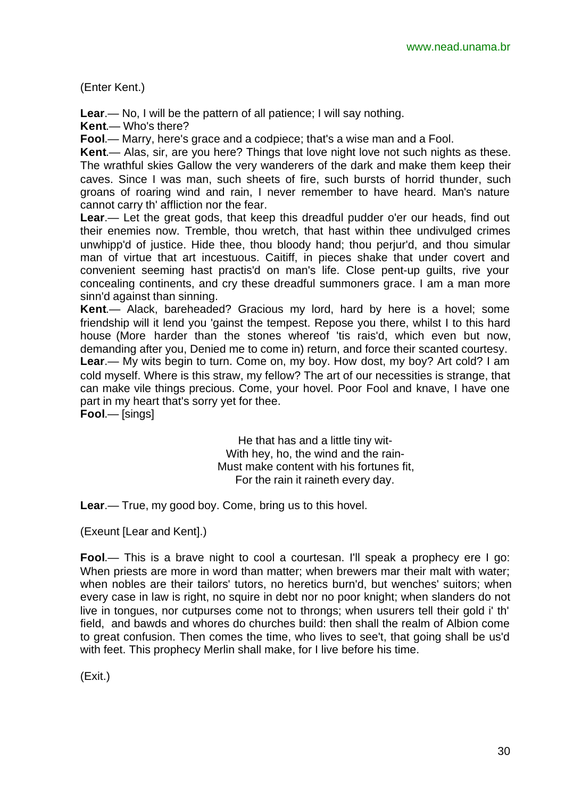(Enter Kent.)

**Lear**.— No, I will be the pattern of all patience; I will say nothing.

**Kent**.— Who's there?

**Fool**.— Marry, here's grace and a codpiece; that's a wise man and a Fool.

**Kent**.— Alas, sir, are you here? Things that love night love not such nights as these. The wrathful skies Gallow the very wanderers of the dark and make them keep their caves. Since I was man, such sheets of fire, such bursts of horrid thunder, such groans of roaring wind and rain, I never remember to have heard. Man's nature cannot carry th' affliction nor the fear.

**Lear**.— Let the great gods, that keep this dreadful pudder o'er our heads, find out their enemies now. Tremble, thou wretch, that hast within thee undivulged crimes unwhipp'd of justice. Hide thee, thou bloody hand; thou perjur'd, and thou simular man of virtue that art incestuous. Caitiff, in pieces shake that under covert and convenient seeming hast practis'd on man's life. Close pent-up guilts, rive your concealing continents, and cry these dreadful summoners grace. I am a man more sinn'd against than sinning.

**Kent**.— Alack, bareheaded? Gracious my lord, hard by here is a hovel; some friendship will it lend you 'gainst the tempest. Repose you there, whilst I to this hard house (More harder than the stones whereof 'tis rais'd, which even but now, demanding after you, Denied me to come in) return, and force their scanted courtesy. **Lear**.— My wits begin to turn. Come on, my boy. How dost, my boy? Art cold? I am cold myself. Where is this straw, my fellow? The art of our necessities is strange, that can make vile things precious. Come, your hovel. Poor Fool and knave, I have one part in my heart that's sorry yet for thee.

**Fool**.— [sings]

He that has and a little tiny wit-With hey, ho, the wind and the rain-Must make content with his fortunes fit, For the rain it raineth every day.

**Lear**.— True, my good boy. Come, bring us to this hovel.

(Exeunt [Lear and Kent].)

**Fool**.— This is a brave night to cool a courtesan. I'll speak a prophecy ere I go: When priests are more in word than matter; when brewers mar their malt with water; when nobles are their tailors' tutors, no heretics burn'd, but wenches' suitors; when every case in law is right, no squire in debt nor no poor knight; when slanders do not live in tongues, nor cutpurses come not to throngs; when usurers tell their gold i' th' field, and bawds and whores do churches build: then shall the realm of Albion come to great confusion. Then comes the time, who lives to see't, that going shall be us'd with feet. This prophecy Merlin shall make, for I live before his time.

(Exit.)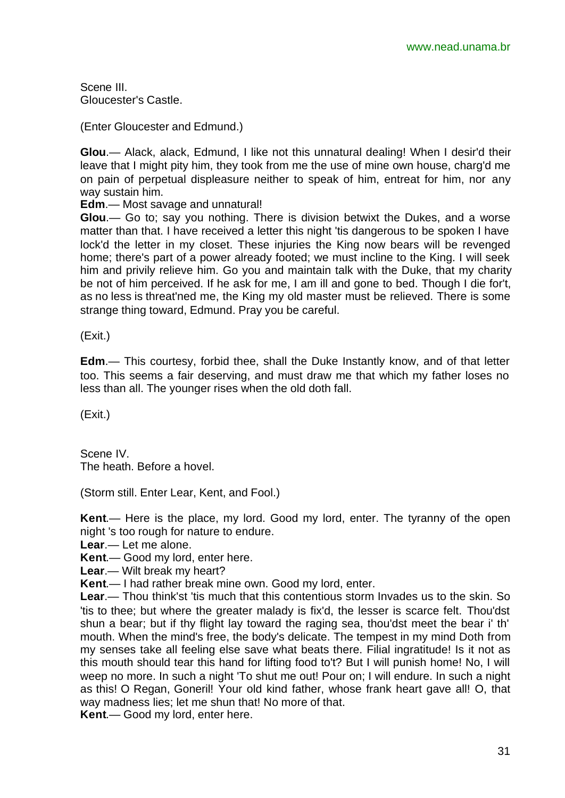Scene III. Gloucester's Castle.

(Enter Gloucester and Edmund.)

**Glou**.— Alack, alack, Edmund, I like not this unnatural dealing! When I desir'd their leave that I might pity him, they took from me the use of mine own house, charg'd me on pain of perpetual displeasure neither to speak of him, entreat for him, nor any way sustain him.

**Edm**.— Most savage and unnatural!

**Glou**.— Go to; say you nothing. There is division betwixt the Dukes, and a worse matter than that. I have received a letter this night 'tis dangerous to be spoken I have lock'd the letter in my closet. These injuries the King now bears will be revenged home; there's part of a power already footed; we must incline to the King. I will seek him and privily relieve him. Go you and maintain talk with the Duke, that my charity be not of him perceived. If he ask for me, I am ill and gone to bed. Though I die for't, as no less is threat'ned me, the King my old master must be relieved. There is some strange thing toward, Edmund. Pray you be careful.

(Exit.)

**Edm**.— This courtesy, forbid thee, shall the Duke Instantly know, and of that letter too. This seems a fair deserving, and must draw me that which my father loses no less than all. The younger rises when the old doth fall.

(Exit.)

Scene IV. The heath. Before a hovel.

(Storm still. Enter Lear, Kent, and Fool.)

**Kent**.— Here is the place, my lord. Good my lord, enter. The tyranny of the open night 's too rough for nature to endure.

**Lear**.— Let me alone.

**Kent**.— Good my lord, enter here.

**Lear**.— Wilt break my heart?

**Kent**.— I had rather break mine own. Good my lord, enter.

**Lear**.— Thou think'st 'tis much that this contentious storm Invades us to the skin. So 'tis to thee; but where the greater malady is fix'd, the lesser is scarce felt. Thou'dst shun a bear; but if thy flight lay toward the raging sea, thou'dst meet the bear i' th' mouth. When the mind's free, the body's delicate. The tempest in my mind Doth from my senses take all feeling else save what beats there. Filial ingratitude! Is it not as this mouth should tear this hand for lifting food to't? But I will punish home! No, I will weep no more. In such a night 'To shut me out! Pour on; I will endure. In such a night as this! O Regan, Goneril! Your old kind father, whose frank heart gave all! O, that way madness lies; let me shun that! No more of that.

**Kent**.— Good my lord, enter here.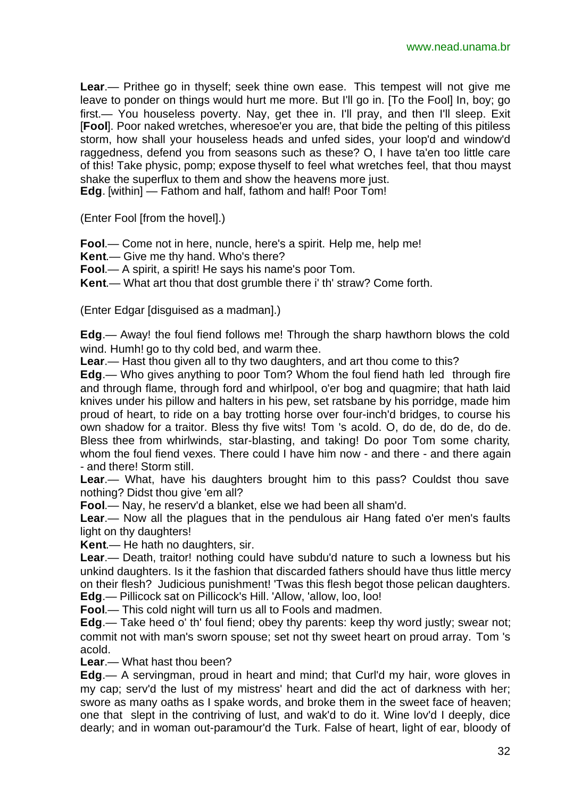**Lear**.— Prithee go in thyself; seek thine own ease. This tempest will not give me leave to ponder on things would hurt me more. But I'll go in. [To the Fool] In, boy; go first.— You houseless poverty. Nay, get thee in. I'll pray, and then I'll sleep. Exit [**Fool**]. Poor naked wretches, wheresoe'er you are, that bide the pelting of this pitiless storm, how shall your houseless heads and unfed sides, your loop'd and window'd raggedness, defend you from seasons such as these? O, I have ta'en too little care of this! Take physic, pomp; expose thyself to feel what wretches feel, that thou mayst shake the superflux to them and show the heavens more just.

**Edg**. [within] — Fathom and half, fathom and half! Poor Tom!

(Enter Fool [from the hovel].)

**Fool**.— Come not in here, nuncle, here's a spirit. Help me, help me!

**Kent**.— Give me thy hand. Who's there?

**Fool**.— A spirit, a spirit! He says his name's poor Tom.

**Kent**.— What art thou that dost grumble there i' th' straw? Come forth.

(Enter Edgar [disguised as a madman].)

**Edg**.— Away! the foul fiend follows me! Through the sharp hawthorn blows the cold wind. Humh! go to thy cold bed, and warm thee.

**Lear**.— Hast thou given all to thy two daughters, and art thou come to this?

**Edg**.— Who gives anything to poor Tom? Whom the foul fiend hath led through fire and through flame, through ford and whirlpool, o'er bog and quagmire; that hath laid knives under his pillow and halters in his pew, set ratsbane by his porridge, made him proud of heart, to ride on a bay trotting horse over four-inch'd bridges, to course his own shadow for a traitor. Bless thy five wits! Tom 's acold. O, do de, do de, do de. Bless thee from whirlwinds, star-blasting, and taking! Do poor Tom some charity, whom the foul fiend vexes. There could I have him now - and there - and there again - and there! Storm still.

**Lear**.— What, have his daughters brought him to this pass? Couldst thou save nothing? Didst thou give 'em all?

**Fool**.— Nay, he reserv'd a blanket, else we had been all sham'd.

**Lear**.— Now all the plagues that in the pendulous air Hang fated o'er men's faults light on thy daughters!

**Kent**.— He hath no daughters, sir.

**Lear**.— Death, traitor! nothing could have subdu'd nature to such a lowness but his unkind daughters. Is it the fashion that discarded fathers should have thus little mercy on their flesh? Judicious punishment! 'Twas this flesh begot those pelican daughters. **Edg**.— Pillicock sat on Pillicock's Hill. 'Allow, 'allow, loo, loo!

**Fool**.— This cold night will turn us all to Fools and madmen.

**Edg**.— Take heed o' th' foul fiend; obey thy parents: keep thy word justly; swear not; commit not with man's sworn spouse; set not thy sweet heart on proud array. Tom 's acold.

**Lear**.— What hast thou been?

**Edg**.— A servingman, proud in heart and mind; that Curl'd my hair, wore gloves in my cap; serv'd the lust of my mistress' heart and did the act of darkness with her; swore as many oaths as I spake words, and broke them in the sweet face of heaven; one that slept in the contriving of lust, and wak'd to do it. Wine lov'd I deeply, dice dearly; and in woman out-paramour'd the Turk. False of heart, light of ear, bloody of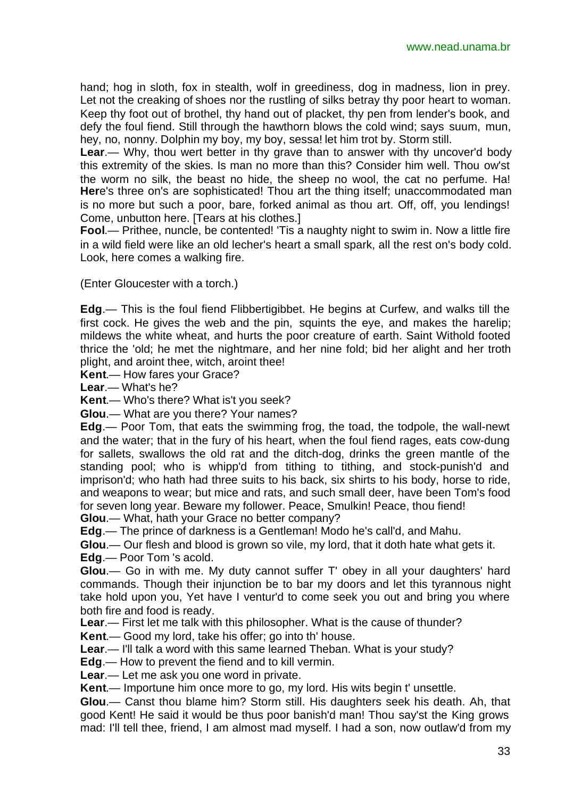hand; hog in sloth, fox in stealth, wolf in greediness, dog in madness, lion in prey. Let not the creaking of shoes nor the rustling of silks betray thy poor heart to woman. Keep thy foot out of brothel, thy hand out of placket, thy pen from lender's book, and defy the foul fiend. Still through the hawthorn blows the cold wind; says suum, mun, hey, no, nonny. Dolphin my boy, my boy, sessa! let him trot by. Storm still.

**Lear**.— Why, thou wert better in thy grave than to answer with thy uncover'd body this extremity of the skies. Is man no more than this? Consider him well. Thou ow'st the worm no silk, the beast no hide, the sheep no wool, the cat no perfume. Ha! **Her**e's three on's are sophisticated! Thou art the thing itself; unaccommodated man is no more but such a poor, bare, forked animal as thou art. Off, off, you lendings! Come, unbutton here. [Tears at his clothes.]

**Fool.**— Prithee, nuncle, be contented! 'Tis a naughty night to swim in. Now a little fire in a wild field were like an old lecher's heart a small spark, all the rest on's body cold. Look, here comes a walking fire.

(Enter Gloucester with a torch.)

**Edg**.— This is the foul fiend Flibbertigibbet. He begins at Curfew, and walks till the first cock. He gives the web and the pin, squints the eye, and makes the harelip; mildews the white wheat, and hurts the poor creature of earth. Saint Withold footed thrice the 'old; he met the nightmare, and her nine fold; bid her alight and her troth plight, and aroint thee, witch, aroint thee!

**Kent**.— How fares your Grace?

**Lear**.— What's he?

**Kent**.— Who's there? What is't you seek?

**Glou**.— What are you there? Your names?

**Edg**.— Poor Tom, that eats the swimming frog, the toad, the todpole, the wall-newt and the water; that in the fury of his heart, when the foul fiend rages, eats cow-dung for sallets, swallows the old rat and the ditch-dog, drinks the green mantle of the standing pool; who is whipp'd from tithing to tithing, and stock-punish'd and imprison'd; who hath had three suits to his back, six shirts to his body, horse to ride, and weapons to wear; but mice and rats, and such small deer, have been Tom's food for seven long year. Beware my follower. Peace, Smulkin! Peace, thou fiend!

**Glou**.— What, hath your Grace no better company?

**Edg**.— The prince of darkness is a Gentleman! Modo he's call'd, and Mahu.

**Glou**.— Our flesh and blood is grown so vile, my lord, that it doth hate what gets it.

**Edg**.— Poor Tom 's acold.

**Glou**.— Go in with me. My duty cannot suffer T' obey in all your daughters' hard commands. Though their injunction be to bar my doors and let this tyrannous night take hold upon you, Yet have I ventur'd to come seek you out and bring you where both fire and food is ready.

**Lear**.— First let me talk with this philosopher. What is the cause of thunder?

**Kent**.— Good my lord, take his offer; go into th' house.

**Lear**.— I'll talk a word with this same learned Theban. What is your study?

**Edg**.— How to prevent the fiend and to kill vermin.

**Lear**.— Let me ask you one word in private.

**Kent**.— Importune him once more to go, my lord. His wits begin t' unsettle.

**Glou**.— Canst thou blame him? Storm still. His daughters seek his death. Ah, that good Kent! He said it would be thus poor banish'd man! Thou say'st the King grows mad: I'll tell thee, friend, I am almost mad myself. I had a son, now outlaw'd from my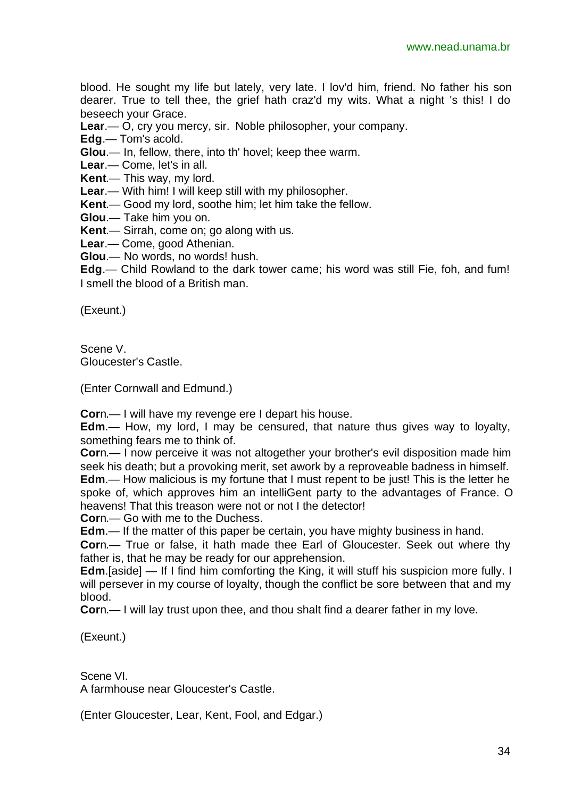blood. He sought my life but lately, very late. I lov'd him, friend. No father his son dearer. True to tell thee, the grief hath craz'd my wits. What a night 's this! I do beseech your Grace.

**Lear**.— O, cry you mercy, sir. Noble philosopher, your company.

**Edg**.— Tom's acold.

**Glou**.— In, fellow, there, into th' hovel; keep thee warm.

**Lear**.— Come, let's in all.

**Kent**.— This way, my lord.

**Lear**.— With him! I will keep still with my philosopher.

**Kent**.— Good my lord, soothe him; let him take the fellow.

**Glou**.— Take him you on.

**Kent**.— Sirrah, come on; go along with us.

**Lear**.— Come, good Athenian.

**Glou**.— No words, no words! hush.

**Edg**.— Child Rowland to the dark tower came; his word was still Fie, foh, and fum! I smell the blood of a British man.

(Exeunt.)

Scene V. Gloucester's Castle.

(Enter Cornwall and Edmund.)

**Cor**n.— I will have my revenge ere I depart his house.

**Edm**.— How, my lord, I may be censured, that nature thus gives way to loyalty, something fears me to think of.

**Cor**n.— I now perceive it was not altogether your brother's evil disposition made him seek his death; but a provoking merit, set awork by a reproveable badness in himself. **Edm**.— How malicious is my fortune that I must repent to be just! This is the letter he spoke of, which approves him an intelliGent party to the advantages of France. O

heavens! That this treason were not or not I the detector!

**Cor**n.— Go with me to the Duchess.

**Edm**.— If the matter of this paper be certain, you have mighty business in hand.

**Cor**n.— True or false, it hath made thee Earl of Gloucester. Seek out where thy father is, that he may be ready for our apprehension.

**Edm**.[aside] — If I find him comforting the King, it will stuff his suspicion more fully. I will persever in my course of loyalty, though the conflict be sore between that and my blood.

**Cor**n.— I will lay trust upon thee, and thou shalt find a dearer father in my love.

(Exeunt.)

Scene VI. A farmhouse near Gloucester's Castle.

(Enter Gloucester, Lear, Kent, Fool, and Edgar.)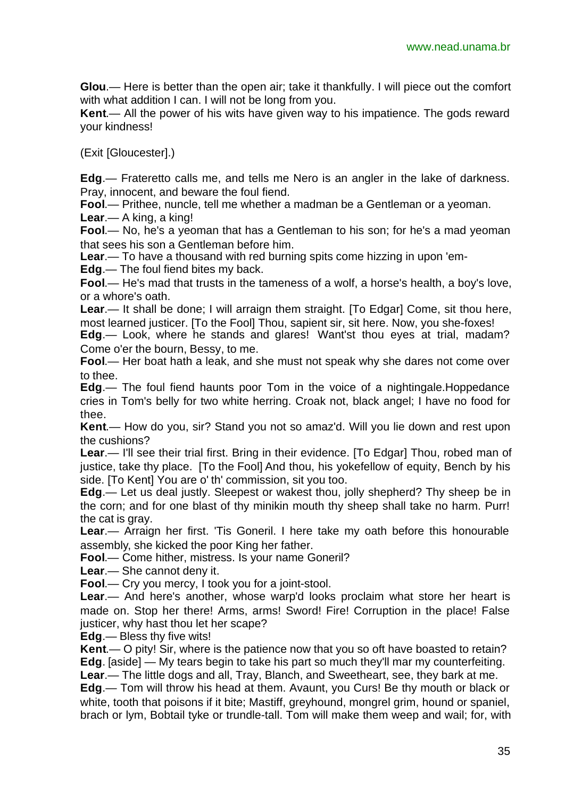**Glou**.— Here is better than the open air; take it thankfully. I will piece out the comfort with what addition I can. I will not be long from you.

**Kent**.— All the power of his wits have given way to his impatience. The gods reward your kindness!

(Exit [Gloucester].)

**Edg**.— Frateretto calls me, and tells me Nero is an angler in the lake of darkness. Pray, innocent, and beware the foul fiend.

**Fool**.— Prithee, nuncle, tell me whether a madman be a Gentleman or a yeoman.

**Lear**.— A king, a king!

**Fool**.— No, he's a yeoman that has a Gentleman to his son; for he's a mad yeoman that sees his son a Gentleman before him.

**Lear**.— To have a thousand with red burning spits come hizzing in upon 'em-

**Edg**.— The foul fiend bites my back.

**Fool**.— He's mad that trusts in the tameness of a wolf, a horse's health, a boy's love, or a whore's oath.

**Lear**.— It shall be done; I will arraign them straight. [To Edgar] Come, sit thou here, most learned justicer. [To the Fool] Thou, sapient sir, sit here. Now, you she-foxes!

**Edg**.— Look, where he stands and glares! Want'st thou eyes at trial, madam? Come o'er the bourn, Bessy, to me.

**Fool**.— Her boat hath a leak, and she must not speak why she dares not come over to thee.

**Edg**.— The foul fiend haunts poor Tom in the voice of a nightingale.Hoppedance cries in Tom's belly for two white herring. Croak not, black angel; I have no food for thee.

**Kent**.— How do you, sir? Stand you not so amaz'd. Will you lie down and rest upon the cushions?

**Lear**.— I'll see their trial first. Bring in their evidence. [To Edgar] Thou, robed man of justice, take thy place. [To the Fool] And thou, his yokefellow of equity, Bench by his side. [To Kent] You are o' th' commission, sit you too.

**Edg**.— Let us deal justly. Sleepest or wakest thou, jolly shepherd? Thy sheep be in the corn; and for one blast of thy minikin mouth thy sheep shall take no harm. Purr! the cat is gray.

**Lear**.— Arraign her first. 'Tis Goneril. I here take my oath before this honourable assembly, she kicked the poor King her father.

**Fool**.— Come hither, mistress. Is your name Goneril?

**Lear**.— She cannot deny it.

**Fool**.— Cry you mercy, I took you for a joint-stool.

**Lear**.— And here's another, whose warp'd looks proclaim what store her heart is made on. Stop her there! Arms, arms! Sword! Fire! Corruption in the place! False justicer, why hast thou let her scape?

**Edg**.— Bless thy five wits!

**Kent**.— O pity! Sir, where is the patience now that you so oft have boasted to retain? **Edg**. [aside] — My tears begin to take his part so much they'll mar my counterfeiting.

**Lear**.— The little dogs and all, Tray, Blanch, and Sweetheart, see, they bark at me.

**Edg**.— Tom will throw his head at them. Avaunt, you Curs! Be thy mouth or black or white, tooth that poisons if it bite; Mastiff, greyhound, mongrel grim, hound or spaniel, brach or lym, Bobtail tyke or trundle-tall. Tom will make them weep and wail; for, with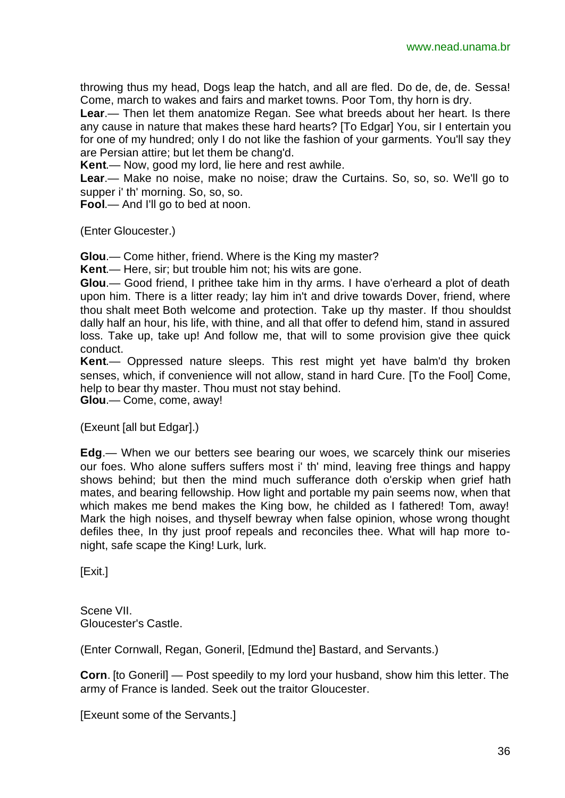throwing thus my head, Dogs leap the hatch, and all are fled. Do de, de, de. Sessa! Come, march to wakes and fairs and market towns. Poor Tom, thy horn is dry.

**Lear**.— Then let them anatomize Regan. See what breeds about her heart. Is there any cause in nature that makes these hard hearts? [To Edgar] You, sir I entertain you for one of my hundred; only I do not like the fashion of your garments. You'll say they are Persian attire; but let them be chang'd.

**Kent**.— Now, good my lord, lie here and rest awhile.

**Lear**.— Make no noise, make no noise; draw the Curtains. So, so, so. We'll go to supper i' th' morning. So, so, so.

**Fool**.— And I'll go to bed at noon.

(Enter Gloucester.)

**Glou**.— Come hither, friend. Where is the King my master?

**Kent**.— Here, sir; but trouble him not; his wits are gone.

**Glou**.— Good friend, I prithee take him in thy arms. I have o'erheard a plot of death upon him. There is a litter ready; lay him in't and drive towards Dover, friend, where thou shalt meet Both welcome and protection. Take up thy master. If thou shouldst dally half an hour, his life, with thine, and all that offer to defend him, stand in assured loss. Take up, take up! And follow me, that will to some provision give thee quick conduct.

**Kent**.— Oppressed nature sleeps. This rest might yet have balm'd thy broken senses, which, if convenience will not allow, stand in hard Cure. [To the Fool] Come, help to bear thy master. Thou must not stay behind. **Glou**.— Come, come, away!

(Exeunt [all but Edgar].)

**Edg**.— When we our betters see bearing our woes, we scarcely think our miseries our foes. Who alone suffers suffers most i' th' mind, leaving free things and happy shows behind; but then the mind much sufferance doth o'erskip when grief hath mates, and bearing fellowship. How light and portable my pain seems now, when that which makes me bend makes the King bow, he childed as I fathered! Tom, away! Mark the high noises, and thyself bewray when false opinion, whose wrong thought defiles thee, In thy just proof repeals and reconciles thee. What will hap more tonight, safe scape the King! Lurk, lurk.

[Exit.]

Scene VII. Gloucester's Castle.

(Enter Cornwall, Regan, Goneril, [Edmund the] Bastard, and Servants.)

**Corn**. [to Goneril] — Post speedily to my lord your husband, show him this letter. The army of France is landed. Seek out the traitor Gloucester.

[Exeunt some of the Servants.]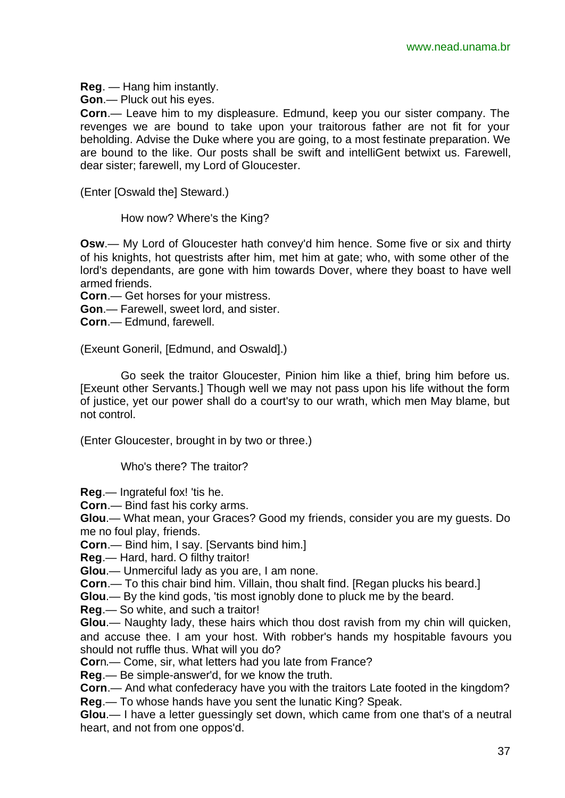**Reg**. — Hang him instantly.

**Gon**.— Pluck out his eyes.

**Corn**.— Leave him to my displeasure. Edmund, keep you our sister company. The revenges we are bound to take upon your traitorous father are not fit for your beholding. Advise the Duke where you are going, to a most festinate preparation. We are bound to the like. Our posts shall be swift and intelliGent betwixt us. Farewell, dear sister; farewell, my Lord of Gloucester.

(Enter [Oswald the] Steward.)

How now? Where's the King?

**Osw**.— My Lord of Gloucester hath convey'd him hence. Some five or six and thirty of his knights, hot questrists after him, met him at gate; who, with some other of the lord's dependants, are gone with him towards Dover, where they boast to have well armed friends.

**Corn**.— Get horses for your mistress.

**Gon**.— Farewell, sweet lord, and sister.

**Corn**.— Edmund, farewell.

(Exeunt Goneril, [Edmund, and Oswald].)

Go seek the traitor Gloucester, Pinion him like a thief, bring him before us. [Exeunt other Servants.] Though well we may not pass upon his life without the form of justice, yet our power shall do a court'sy to our wrath, which men May blame, but not control.

(Enter Gloucester, brought in by two or three.)

Who's there? The traitor?

**Reg**.— Ingrateful fox! 'tis he.

**Corn**.— Bind fast his corky arms.

**Glou**.— What mean, your Graces? Good my friends, consider you are my guests. Do me no foul play, friends.

**Corn**.— Bind him, I say. [Servants bind him.]

**Reg**.— Hard, hard. O filthy traitor!

**Glou**.— Unmerciful lady as you are, I am none.

**Corn**.— To this chair bind him. Villain, thou shalt find. [Regan plucks his beard.]

**Glou**.— By the kind gods, 'tis most ignobly done to pluck me by the beard.

**Reg**.— So white, and such a traitor!

**Glou**.— Naughty lady, these hairs which thou dost ravish from my chin will quicken, and accuse thee. I am your host. With robber's hands my hospitable favours you should not ruffle thus. What will you do?

**Cor**n.— Come, sir, what letters had you late from France?

**Reg**.— Be simple-answer'd, for we know the truth.

**Corn**.— And what confederacy have you with the traitors Late footed in the kingdom? **Reg**.— To whose hands have you sent the lunatic King? Speak.

**Glou**.— I have a letter guessingly set down, which came from one that's of a neutral heart, and not from one oppos'd.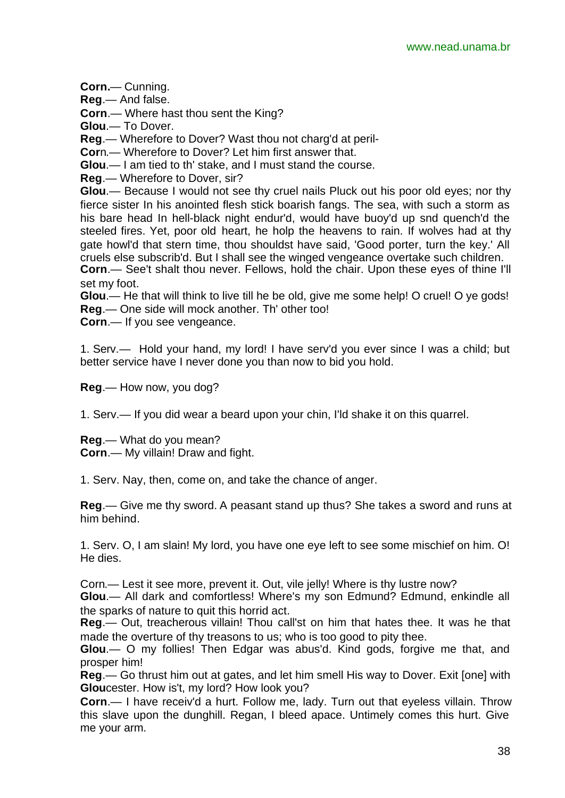**Corn.**— Cunning.

**Reg**.— And false.

**Corn**.— Where hast thou sent the King?

**Glou**.— To Dover.

**Reg**.— Wherefore to Dover? Wast thou not charg'd at peril-

**Cor**n.— Wherefore to Dover? Let him first answer that.

**Glou**.— I am tied to th' stake, and I must stand the course.

**Reg**.— Wherefore to Dover, sir?

**Glou**.— Because I would not see thy cruel nails Pluck out his poor old eyes; nor thy fierce sister In his anointed flesh stick boarish fangs. The sea, with such a storm as his bare head In hell-black night endur'd, would have buoy'd up snd quench'd the steeled fires. Yet, poor old heart, he holp the heavens to rain. If wolves had at thy gate howl'd that stern time, thou shouldst have said, 'Good porter, turn the key.' All cruels else subscrib'd. But I shall see the winged vengeance overtake such children.

**Corn**.— See't shalt thou never. Fellows, hold the chair. Upon these eyes of thine I'll set my foot.

**Glou**.— He that will think to live till he be old, give me some help! O cruel! O ye gods! **Reg**.— One side will mock another. Th' other too!

**Corn**.— If you see vengeance.

1. Serv.— Hold your hand, my lord! I have serv'd you ever since I was a child; but better service have I never done you than now to bid you hold.

**Reg**.— How now, you dog?

1. Serv.— If you did wear a beard upon your chin, I'ld shake it on this quarrel.

**Reg**.— What do you mean? **Corn**.— My villain! Draw and fight.

1. Serv. Nay, then, come on, and take the chance of anger.

**Reg**.— Give me thy sword. A peasant stand up thus? She takes a sword and runs at him behind.

1. Serv. O, I am slain! My lord, you have one eye left to see some mischief on him. O! He dies.

Corn.— Lest it see more, prevent it. Out, vile jelly! Where is thy lustre now?

**Glou**.— All dark and comfortless! Where's my son Edmund? Edmund, enkindle all the sparks of nature to quit this horrid act.

**Reg**.— Out, treacherous villain! Thou call'st on him that hates thee. It was he that made the overture of thy treasons to us; who is too good to pity thee.

**Glou**.— O my follies! Then Edgar was abus'd. Kind gods, forgive me that, and prosper him!

**Reg**.— Go thrust him out at gates, and let him smell His way to Dover. Exit [one] with **Glou**cester. How is't, my lord? How look you?

**Corn**.— I have receiv'd a hurt. Follow me, lady. Turn out that eyeless villain. Throw this slave upon the dunghill. Regan, I bleed apace. Untimely comes this hurt. Give me your arm.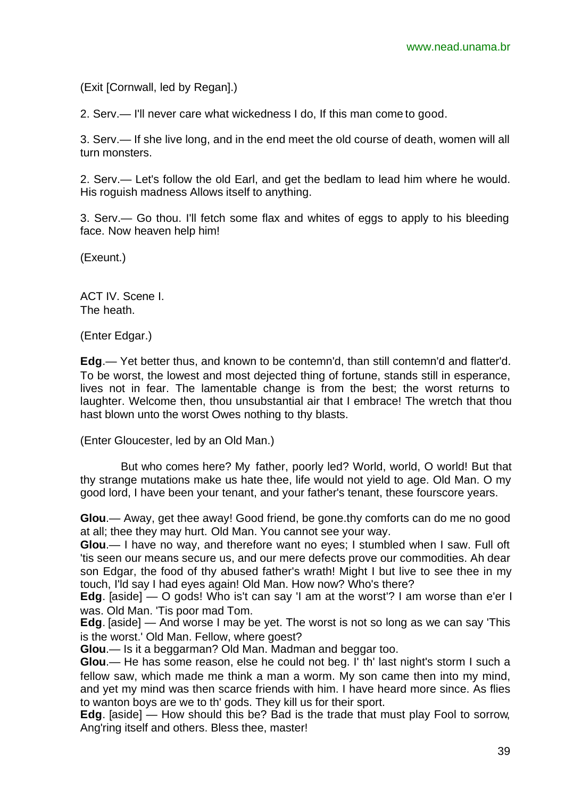(Exit [Cornwall, led by Regan].)

2. Serv.— I'll never care what wickedness I do, If this man come to good.

3. Serv.— If she live long, and in the end meet the old course of death, women will all turn monsters.

2. Serv.— Let's follow the old Earl, and get the bedlam to lead him where he would. His roguish madness Allows itself to anything.

3. Serv.— Go thou. I'll fetch some flax and whites of eggs to apply to his bleeding face. Now heaven help him!

(Exeunt.)

ACT IV. Scene I. The heath.

(Enter Edgar.)

**Edg**.— Yet better thus, and known to be contemn'd, than still contemn'd and flatter'd. To be worst, the lowest and most dejected thing of fortune, stands still in esperance, lives not in fear. The lamentable change is from the best; the worst returns to laughter. Welcome then, thou unsubstantial air that I embrace! The wretch that thou hast blown unto the worst Owes nothing to thy blasts.

(Enter Gloucester, led by an Old Man.)

But who comes here? My father, poorly led? World, world, O world! But that thy strange mutations make us hate thee, life would not yield to age. Old Man. O my good lord, I have been your tenant, and your father's tenant, these fourscore years.

**Glou**.— Away, get thee away! Good friend, be gone.thy comforts can do me no good at all; thee they may hurt. Old Man. You cannot see your way.

**Glou**.— I have no way, and therefore want no eyes; I stumbled when I saw. Full oft 'tis seen our means secure us, and our mere defects prove our commodities. Ah dear son Edgar, the food of thy abused father's wrath! Might I but live to see thee in my touch, I'ld say I had eyes again! Old Man. How now? Who's there?

**Edg**. [aside] — O gods! Who is't can say 'I am at the worst'? I am worse than e'er I was. Old Man. 'Tis poor mad Tom.

**Edg**. [aside] — And worse I may be yet. The worst is not so long as we can say 'This is the worst.' Old Man. Fellow, where goest?

**Glou**.— Is it a beggarman? Old Man. Madman and beggar too.

**Glou**.— He has some reason, else he could not beg. I' th' last night's storm I such a fellow saw, which made me think a man a worm. My son came then into my mind, and yet my mind was then scarce friends with him. I have heard more since. As flies to wanton boys are we to th' gods. They kill us for their sport.

**Edg**. [aside] — How should this be? Bad is the trade that must play Fool to sorrow, Ang'ring itself and others. Bless thee, master!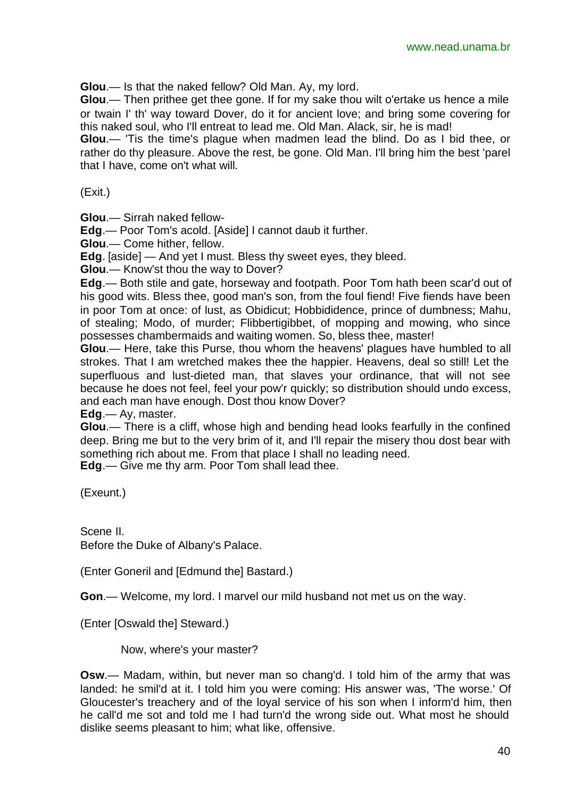**Glou**.— Is that the naked fellow? Old Man. Ay, my lord.

**Glou**.— Then prithee get thee gone. If for my sake thou wilt o'ertake us hence a mile or twain I' th' way toward Dover, do it for ancient love; and bring some covering for this naked soul, who I'll entreat to lead me. Old Man. Alack, sir, he is mad!

**Glou**.— 'Tis the time's plague when madmen lead the blind. Do as I bid thee, or rather do thy pleasure. Above the rest, be gone. Old Man. I'll bring him the best 'parel that I have, come on't what will.

(Exit.)

**Glou**.— Sirrah naked fellow-

**Edg**.— Poor Tom's acold. [Aside] I cannot daub it further.

**Glou**.— Come hither, fellow.

**Edg**. [aside] — And yet I must. Bless thy sweet eyes, they bleed.

**Glou**.— Know'st thou the way to Dover?

**Edg**.— Both stile and gate, horseway and footpath. Poor Tom hath been scar'd out of his good wits. Bless thee, good man's son, from the foul fiend! Five fiends have been in poor Tom at once: of lust, as Obidicut; Hobbididence, prince of dumbness; Mahu, of stealing; Modo, of murder; Flibbertigibbet, of mopping and mowing, who since possesses chambermaids and waiting women. So, bless thee, master!

**Glou**.— Here, take this Purse, thou whom the heavens' plagues have humbled to all strokes. That I am wretched makes thee the happier. Heavens, deal so still! Let the superfluous and lust-dieted man, that slaves your ordinance, that will not see because he does not feel, feel your pow'r quickly; so distribution should undo excess, and each man have enough. Dost thou know Dover?

**Edg**.— Ay, master.

**Glou**.— There is a cliff, whose high and bending head looks fearfully in the confined deep. Bring me but to the very brim of it, and I'll repair the misery thou dost bear with something rich about me. From that place I shall no leading need.

**Edg**.— Give me thy arm. Poor Tom shall lead thee.

(Exeunt.)

Scene II. Before the Duke of Albany's Palace.

(Enter Goneril and [Edmund the] Bastard.)

**Gon**.— Welcome, my lord. I marvel our mild husband not met us on the way.

(Enter [Oswald the] Steward.)

Now, where's your master?

**Osw**.— Madam, within, but never man so chang'd. I told him of the army that was landed: he smil'd at it. I told him you were coming: His answer was, 'The worse.' Of Gloucester's treachery and of the loyal service of his son when I inform'd him, then he call'd me sot and told me I had turn'd the wrong side out. What most he should dislike seems pleasant to him; what like, offensive.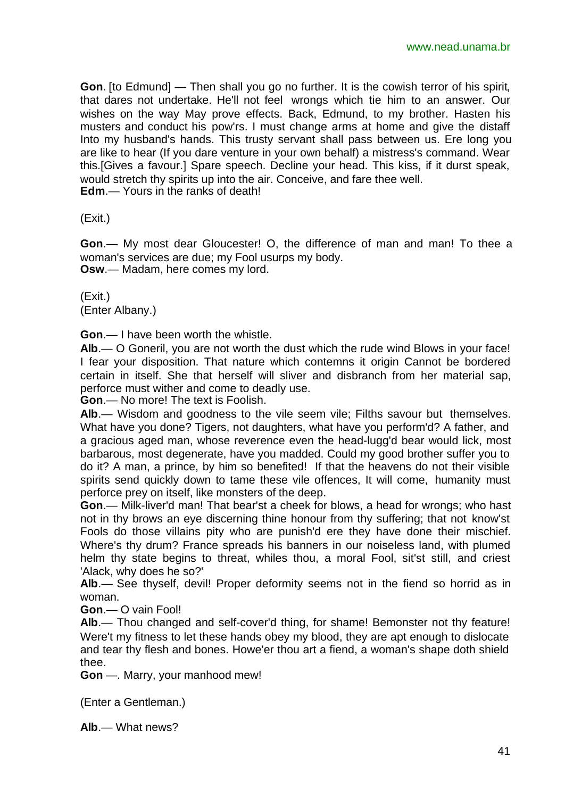**Gon**. [to Edmund] — Then shall you go no further. It is the cowish terror of his spirit, that dares not undertake. He'll not feel wrongs which tie him to an answer. Our wishes on the way May prove effects. Back, Edmund, to my brother. Hasten his musters and conduct his pow'rs. I must change arms at home and give the distaff Into my husband's hands. This trusty servant shall pass between us. Ere long you are like to hear (If you dare venture in your own behalf) a mistress's command. Wear this.[Gives a favour.] Spare speech. Decline your head. This kiss, if it durst speak, would stretch thy spirits up into the air. Conceive, and fare thee well. **Edm**.— Yours in the ranks of death!

(Exit.)

**Gon**.— My most dear Gloucester! O, the difference of man and man! To thee a woman's services are due; my Fool usurps my body. **Osw**.— Madam, here comes my lord.

(Exit.) (Enter Albany.)

**Gon**.— I have been worth the whistle.

**Alb**.— O Goneril, you are not worth the dust which the rude wind Blows in your face! I fear your disposition. That nature which contemns it origin Cannot be bordered certain in itself. She that herself will sliver and disbranch from her material sap, perforce must wither and come to deadly use.

**Gon**.— No more! The text is Foolish.

**Alb**.— Wisdom and goodness to the vile seem vile; Filths savour but themselves. What have you done? Tigers, not daughters, what have you perform'd? A father, and a gracious aged man, whose reverence even the head-lugg'd bear would lick, most barbarous, most degenerate, have you madded. Could my good brother suffer you to do it? A man, a prince, by him so benefited! If that the heavens do not their visible spirits send quickly down to tame these vile offences, It will come, humanity must perforce prey on itself, like monsters of the deep.

**Gon**.— Milk-liver'd man! That bear'st a cheek for blows, a head for wrongs; who hast not in thy brows an eye discerning thine honour from thy suffering; that not know'st Fools do those villains pity who are punish'd ere they have done their mischief. Where's thy drum? France spreads his banners in our noiseless land, with plumed helm thy state begins to threat, whiles thou, a moral Fool, sit'st still, and criest 'Alack, why does he so?'

Alb.— See thyself, devil! Proper deformity seems not in the fiend so horrid as in woman.

**Gon**.— O vain Fool!

**Alb**.— Thou changed and self-cover'd thing, for shame! Bemonster not thy feature! Were't my fitness to let these hands obey my blood, they are apt enough to dislocate and tear thy flesh and bones. Howe'er thou art a fiend, a woman's shape doth shield thee.

**Gon** —. Marry, your manhood mew!

(Enter a Gentleman.)

**Alb**.— What news?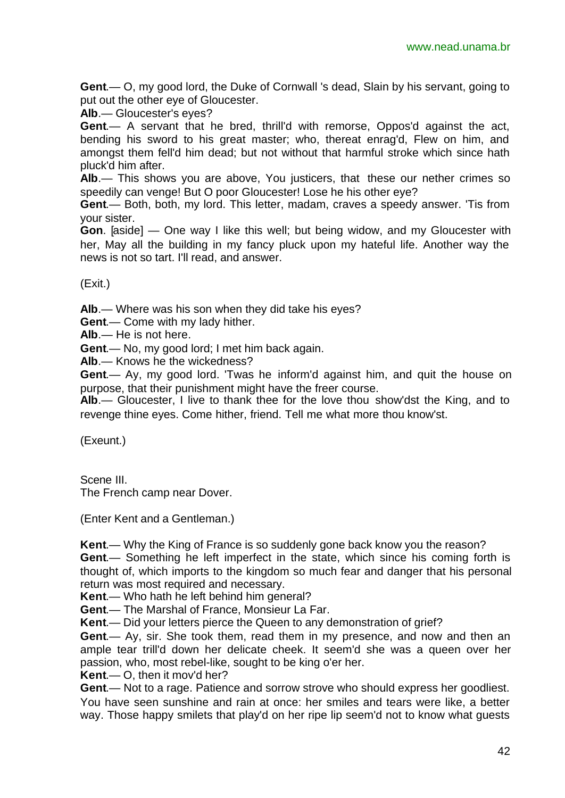**Gent**.— O, my good lord, the Duke of Cornwall 's dead, Slain by his servant, going to put out the other eye of Gloucester.

**Alb**.— Gloucester's eyes?

**Gent**.— A servant that he bred, thrill'd with remorse, Oppos'd against the act, bending his sword to his great master; who, thereat enrag'd, Flew on him, and amongst them fell'd him dead; but not without that harmful stroke which since hath pluck'd him after.

**Alb**.— This shows you are above, You justicers, that these our nether crimes so speedily can venge! But O poor Gloucester! Lose he his other eye?

**Gent**.— Both, both, my lord. This letter, madam, craves a speedy answer. 'Tis from your sister.

**Gon**. [aside] — One way I like this well; but being widow, and my Gloucester with her, May all the building in my fancy pluck upon my hateful life. Another way the news is not so tart. I'll read, and answer.

(Exit.)

**Alb**.— Where was his son when they did take his eyes?

**Gent**.— Come with my lady hither.

**Alb**.— He is not here.

**Gent**.— No, my good lord; I met him back again.

**Alb**.— Knows he the wickedness?

**Gent**.— Ay, my good lord. 'Twas he inform'd against him, and quit the house on purpose, that their punishment might have the freer course.

**Alb**.— Gloucester, I live to thank thee for the love thou show'dst the King, and to revenge thine eyes. Come hither, friend. Tell me what more thou know'st.

(Exeunt.)

Scene III. The French camp near Dover.

(Enter Kent and a Gentleman.)

**Kent**.— Why the King of France is so suddenly gone back know you the reason?

**Gent**.— Something he left imperfect in the state, which since his coming forth is thought of, which imports to the kingdom so much fear and danger that his personal return was most required and necessary.

**Kent**.— Who hath he left behind him general?

**Gent**.— The Marshal of France, Monsieur La Far.

**Kent**.— Did your letters pierce the Queen to any demonstration of grief?

**Gent**.— Ay, sir. She took them, read them in my presence, and now and then an ample tear trill'd down her delicate cheek. It seem'd she was a queen over her passion, who, most rebel-like, sought to be king o'er her.

**Kent**.— O, then it mov'd her?

**Gent**.— Not to a rage. Patience and sorrow strove who should express her goodliest. You have seen sunshine and rain at once: her smiles and tears were like, a better way. Those happy smilets that play'd on her ripe lip seem'd not to know what guests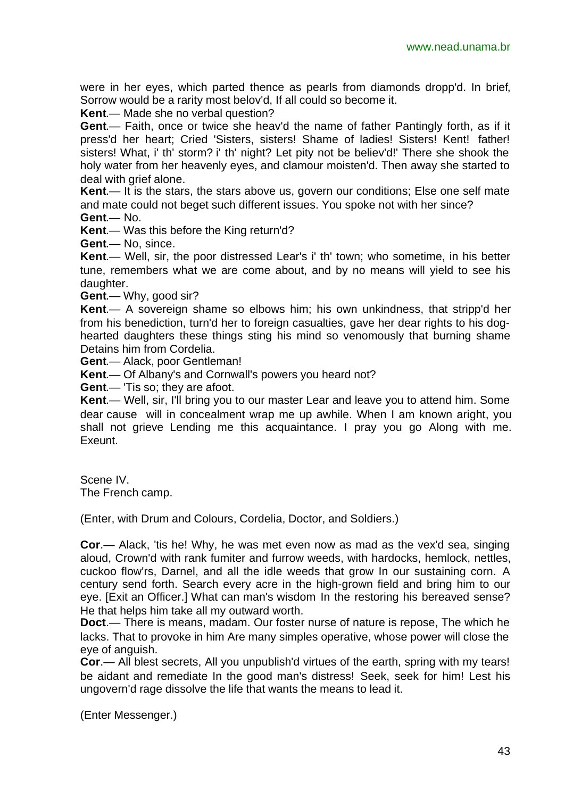were in her eyes, which parted thence as pearls from diamonds dropp'd. In brief, Sorrow would be a rarity most belov'd, If all could so become it.

**Kent**.— Made she no verbal question?

**Gent**.— Faith, once or twice she heav'd the name of father Pantingly forth, as if it press'd her heart; Cried 'Sisters, sisters! Shame of ladies! Sisters! Kent! father! sisters! What, i' th' storm? i' th' night? Let pity not be believ'd!' There she shook the holy water from her heavenly eyes, and clamour moisten'd. Then away she started to deal with grief alone.

**Kent**.— It is the stars, the stars above us, govern our conditions; Else one self mate and mate could not beget such different issues. You spoke not with her since?

**Gent**.— No.

**Kent**.— Was this before the King return'd?

**Gent**.— No, since.

**Kent**.— Well, sir, the poor distressed Lear's i' th' town; who sometime, in his better tune, remembers what we are come about, and by no means will yield to see his daughter.

**Gent**.— Why, good sir?

**Kent**.— A sovereign shame so elbows him; his own unkindness, that stripp'd her from his benediction, turn'd her to foreign casualties, gave her dear rights to his doghearted daughters these things sting his mind so venomously that burning shame Detains him from Cordelia.

**Gent**.— Alack, poor Gentleman!

**Kent**.— Of Albany's and Cornwall's powers you heard not?

**Gent**.— 'Tis so; they are afoot.

**Kent**.— Well, sir, I'll bring you to our master Lear and leave you to attend him. Some dear cause will in concealment wrap me up awhile. When I am known aright, you shall not grieve Lending me this acquaintance. I pray you go Along with me. Exeunt.

Scene IV. The French camp.

(Enter, with Drum and Colours, Cordelia, Doctor, and Soldiers.)

**Cor**.— Alack, 'tis he! Why, he was met even now as mad as the vex'd sea, singing aloud, Crown'd with rank fumiter and furrow weeds, with hardocks, hemlock, nettles, cuckoo flow'rs, Darnel, and all the idle weeds that grow In our sustaining corn. A century send forth. Search every acre in the high-grown field and bring him to our eye. [Exit an Officer.] What can man's wisdom In the restoring his bereaved sense? He that helps him take all my outward worth.

**Doct**.— There is means, madam. Our foster nurse of nature is repose, The which he lacks. That to provoke in him Are many simples operative, whose power will close the eye of anguish.

**Cor**.— All blest secrets, All you unpublish'd virtues of the earth, spring with my tears! be aidant and remediate In the good man's distress! Seek, seek for him! Lest his ungovern'd rage dissolve the life that wants the means to lead it.

(Enter Messenger.)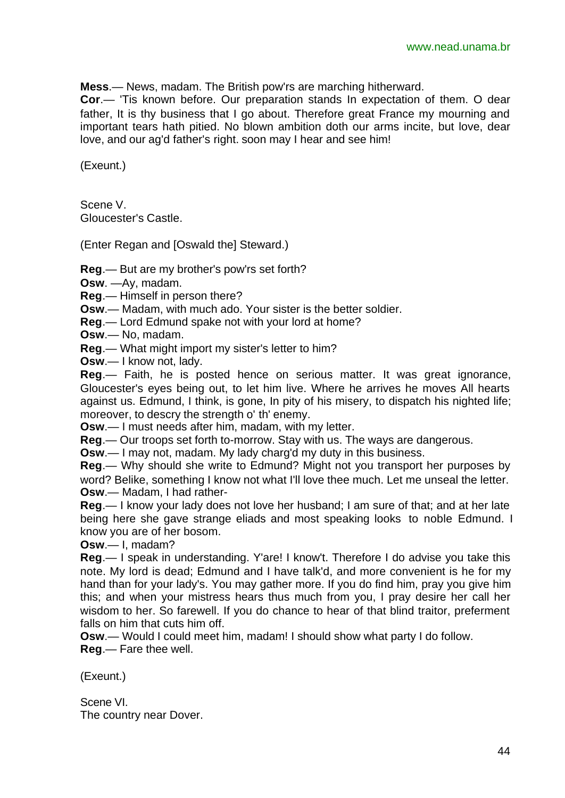**Mess**.— News, madam. The British pow'rs are marching hitherward.

**Cor**.— 'Tis known before. Our preparation stands In expectation of them. O dear father, It is thy business that I go about. Therefore great France my mourning and important tears hath pitied. No blown ambition doth our arms incite, but love, dear love, and our ag'd father's right. soon may I hear and see him!

(Exeunt.)

Scene V. Gloucester's Castle.

(Enter Regan and [Oswald the] Steward.)

**Reg**.— But are my brother's pow'rs set forth?

**Osw**. —Ay, madam.

**Reg**.— Himself in person there?

**Osw**.— Madam, with much ado. Your sister is the better soldier.

**Reg**.— Lord Edmund spake not with your lord at home?

**Osw**.— No, madam.

**Reg**.— What might import my sister's letter to him?

**Osw**.— I know not, lady.

**Reg**.— Faith, he is posted hence on serious matter. It was great ignorance, Gloucester's eyes being out, to let him live. Where he arrives he moves All hearts against us. Edmund, I think, is gone, In pity of his misery, to dispatch his nighted life; moreover, to descry the strength o' th' enemy.

**Osw**.— I must needs after him, madam, with my letter.

**Reg**.— Our troops set forth to-morrow. Stay with us. The ways are dangerous.

**Osw**.— I may not, madam. My lady charg'd my duty in this business.

**Reg**.— Why should she write to Edmund? Might not you transport her purposes by word? Belike, something I know not what I'll love thee much. Let me unseal the letter. **Osw**.— Madam, I had rather-

**Reg**.— I know your lady does not love her husband; I am sure of that; and at her late being here she gave strange eliads and most speaking looks to noble Edmund. I know you are of her bosom.

**Osw**.— I, madam?

**Reg**.— I speak in understanding. Y'are! I know't. Therefore I do advise you take this note. My lord is dead; Edmund and I have talk'd, and more convenient is he for my hand than for your lady's. You may gather more. If you do find him, pray you give him this; and when your mistress hears thus much from you, I pray desire her call her wisdom to her. So farewell. If you do chance to hear of that blind traitor, preferment falls on him that cuts him off.

**Osw**.— Would I could meet him, madam! I should show what party I do follow. **Reg**.— Fare thee well.

(Exeunt.)

Scene VI. The country near Dover.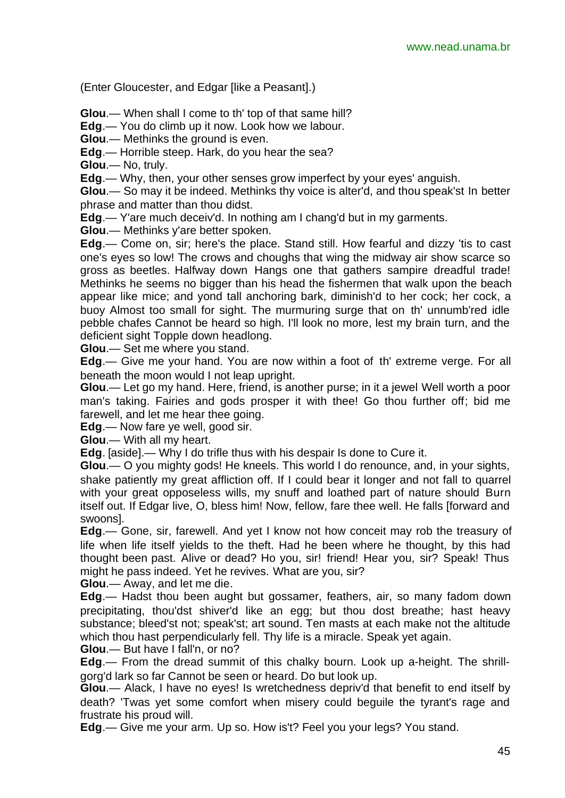(Enter Gloucester, and Edgar [like a Peasant].)

**Glou**.— When shall I come to th' top of that same hill?

**Edg**.— You do climb up it now. Look how we labour.

**Glou**.— Methinks the ground is even.

**Edg**.— Horrible steep. Hark, do you hear the sea?

**Glou**.— No, truly.

**Edg**.— Why, then, your other senses grow imperfect by your eyes' anguish.

**Glou**.— So may it be indeed. Methinks thy voice is alter'd, and thou speak'st In better phrase and matter than thou didst.

**Edg**.— Y'are much deceiv'd. In nothing am I chang'd but in my garments.

**Glou**.— Methinks y'are better spoken.

**Edg**.— Come on, sir; here's the place. Stand still. How fearful and dizzy 'tis to cast one's eyes so low! The crows and choughs that wing the midway air show scarce so gross as beetles. Halfway down Hangs one that gathers sampire dreadful trade! Methinks he seems no bigger than his head the fishermen that walk upon the beach appear like mice; and yond tall anchoring bark, diminish'd to her cock; her cock, a buoy Almost too small for sight. The murmuring surge that on th' unnumb'red idle pebble chafes Cannot be heard so high. I'll look no more, lest my brain turn, and the deficient sight Topple down headlong.

**Glou**.— Set me where you stand.

**Edg**.— Give me your hand. You are now within a foot of th' extreme verge. For all beneath the moon would I not leap upright.

**Glou**.— Let go my hand. Here, friend, is another purse; in it a jewel Well worth a poor man's taking. Fairies and gods prosper it with thee! Go thou further off; bid me farewell, and let me hear thee going.

**Edg**.— Now fare ye well, good sir.

**Glou**.— With all my heart.

**Edg**. [aside].— Why I do trifle thus with his despair Is done to Cure it.

**Glou**.— O you mighty gods! He kneels. This world I do renounce, and, in your sights, shake patiently my great affliction off. If I could bear it longer and not fall to quarrel with your great opposeless wills, my snuff and loathed part of nature should Burn itself out. If Edgar live, O, bless him! Now, fellow, fare thee well. He falls [forward and swoons].

**Edg**.— Gone, sir, farewell. And yet I know not how conceit may rob the treasury of life when life itself yields to the theft. Had he been where he thought, by this had thought been past. Alive or dead? Ho you, sir! friend! Hear you, sir? Speak! Thus might he pass indeed. Yet he revives. What are you, sir?

**Glou**.— Away, and let me die.

**Edg**.— Hadst thou been aught but gossamer, feathers, air, so many fadom down precipitating, thou'dst shiver'd like an egg; but thou dost breathe; hast heavy substance; bleed'st not; speak'st; art sound. Ten masts at each make not the altitude which thou hast perpendicularly fell. Thy life is a miracle. Speak yet again.

**Glou**.— But have I fall'n, or no?

**Edg**.— From the dread summit of this chalky bourn. Look up a-height. The shrillgorg'd lark so far Cannot be seen or heard. Do but look up.

**Glou**.— Alack, I have no eyes! Is wretchedness depriv'd that benefit to end itself by death? 'Twas yet some comfort when misery could beguile the tyrant's rage and frustrate his proud will.

**Edg**.— Give me your arm. Up so. How is't? Feel you your legs? You stand.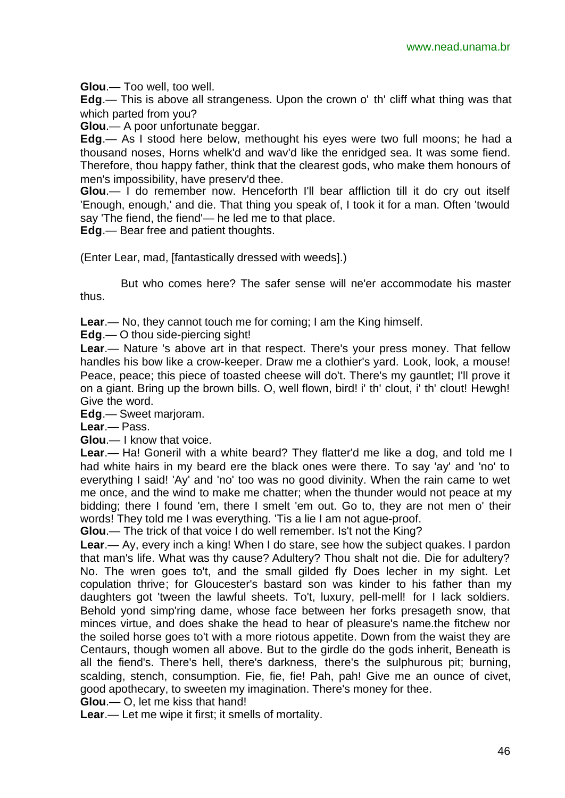**Glou**.— Too well, too well.

**Edg**.— This is above all strangeness. Upon the crown o' th' cliff what thing was that which parted from you?

**Glou**.— A poor unfortunate beggar.

**Edg**.— As I stood here below, methought his eyes were two full moons; he had a thousand noses, Horns whelk'd and wav'd like the enridged sea. It was some fiend. Therefore, thou happy father, think that the clearest gods, who make them honours of men's impossibility, have preserv'd thee.

**Glou**.— I do remember now. Henceforth I'll bear affliction till it do cry out itself 'Enough, enough,' and die. That thing you speak of, I took it for a man. Often 'twould say 'The fiend, the fiend'— he led me to that place.

**Edg**.— Bear free and patient thoughts.

(Enter Lear, mad, [fantastically dressed with weeds].)

But who comes here? The safer sense will ne'er accommodate his master thus.

**Lear**.— No, they cannot touch me for coming; I am the King himself.

**Edg**.— O thou side-piercing sight!

**Lear**.— Nature 's above art in that respect. There's your press money. That fellow handles his bow like a crow-keeper. Draw me a clothier's yard. Look, look, a mouse! Peace, peace; this piece of toasted cheese will do't. There's my gauntlet; I'll prove it on a giant. Bring up the brown bills. O, well flown, bird! i' th' clout, i' th' clout! Hewgh! Give the word.

**Edg**.— Sweet marjoram.

**Lear**.— Pass.

**Glou**.— I know that voice.

**Lear**.— Ha! Goneril with a white beard? They flatter'd me like a dog, and told me I had white hairs in my beard ere the black ones were there. To say 'ay' and 'no' to everything I said! 'Ay' and 'no' too was no good divinity. When the rain came to wet me once, and the wind to make me chatter; when the thunder would not peace at my bidding; there I found 'em, there I smelt 'em out. Go to, they are not men o' their words! They told me I was everything. 'Tis a lie I am not ague-proof.

**Glou**.— The trick of that voice I do well remember. Is't not the King?

**Lear**.— Ay, every inch a king! When I do stare, see how the subject quakes. I pardon that man's life. What was thy cause? Adultery? Thou shalt not die. Die for adultery? No. The wren goes to't, and the small gilded fly Does lecher in my sight. Let copulation thrive; for Gloucester's bastard son was kinder to his father than my daughters got 'tween the lawful sheets. To't, luxury, pell-mell! for I lack soldiers. Behold yond simp'ring dame, whose face between her forks presageth snow, that minces virtue, and does shake the head to hear of pleasure's name.the fitchew nor the soiled horse goes to't with a more riotous appetite. Down from the waist they are Centaurs, though women all above. But to the girdle do the gods inherit, Beneath is all the fiend's. There's hell, there's darkness, there's the sulphurous pit; burning, scalding, stench, consumption. Fie, fie, fie! Pah, pah! Give me an ounce of civet, good apothecary, to sweeten my imagination. There's money for thee.

**Glou**.— O, let me kiss that hand!

**Lear**.— Let me wipe it first; it smells of mortality.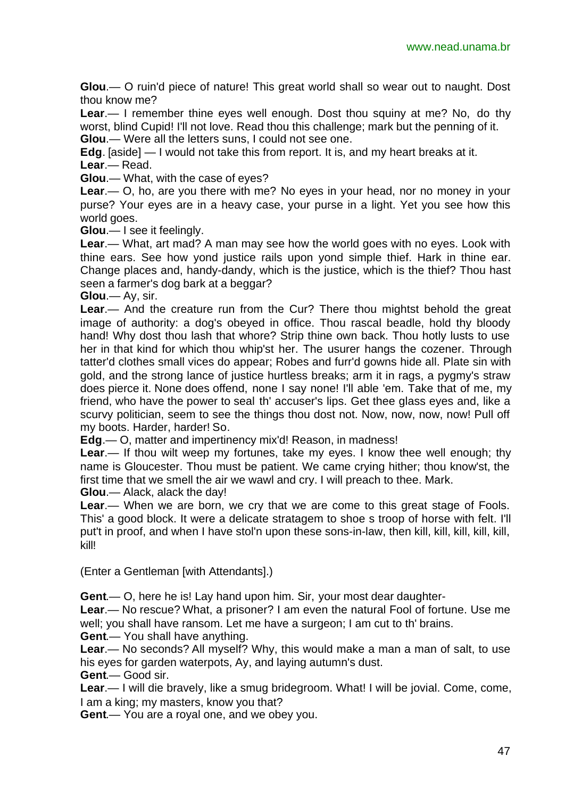**Glou**.— O ruin'd piece of nature! This great world shall so wear out to naught. Dost thou know me?

**Lear**.— I remember thine eyes well enough. Dost thou squiny at me? No, do thy worst, blind Cupid! I'll not love. Read thou this challenge; mark but the penning of it. **Glou**.— Were all the letters suns, I could not see one.

**Edg**. [aside] — I would not take this from report. It is, and my heart breaks at it. **Lear**.— Read.

**Glou**.— What, with the case of eyes?

**Lear**.— O, ho, are you there with me? No eyes in your head, nor no money in your purse? Your eyes are in a heavy case, your purse in a light. Yet you see how this world goes.

**Glou**.— I see it feelingly.

**Lear**.— What, art mad? A man may see how the world goes with no eyes. Look with thine ears. See how yond justice rails upon yond simple thief. Hark in thine ear. Change places and, handy-dandy, which is the justice, which is the thief? Thou hast seen a farmer's dog bark at a beggar?

**Glou**.— Ay, sir.

**Lear**.— And the creature run from the Cur? There thou mightst behold the great image of authority: a dog's obeyed in office. Thou rascal beadle, hold thy bloody hand! Why dost thou lash that whore? Strip thine own back. Thou hotly lusts to use her in that kind for which thou whip'st her. The usurer hangs the cozener. Through tatter'd clothes small vices do appear; Robes and furr'd gowns hide all. Plate sin with gold, and the strong lance of justice hurtless breaks; arm it in rags, a pygmy's straw does pierce it. None does offend, none I say none! I'll able 'em. Take that of me, my friend, who have the power to seal th' accuser's lips. Get thee glass eyes and, like a scurvy politician, seem to see the things thou dost not. Now, now, now, now! Pull off my boots. Harder, harder! So.

**Edg**.— O, matter and impertinency mix'd! Reason, in madness!

**Lear**.— If thou wilt weep my fortunes, take my eyes. I know thee well enough; thy name is Gloucester. Thou must be patient. We came crying hither; thou know'st, the first time that we smell the air we wawl and cry. I will preach to thee. Mark. **Glou**.— Alack, alack the day!

**Lear**.— When we are born, we cry that we are come to this great stage of Fools. This' a good block. It were a delicate stratagem to shoe s troop of horse with felt. I'll put't in proof, and when I have stol'n upon these sons-in-law, then kill, kill, kill, kill, kill, kill!

(Enter a Gentleman [with Attendants].)

**Gent**.— O, here he is! Lay hand upon him. Sir, your most dear daughter-

**Lear**.— No rescue? What, a prisoner? I am even the natural Fool of fortune. Use me well; you shall have ransom. Let me have a surgeon; I am cut to th' brains.

**Gent**.— You shall have anything.

**Lear**.— No seconds? All myself? Why, this would make a man a man of salt, to use his eyes for garden waterpots, Ay, and laying autumn's dust.

**Gent**.— Good sir.

**Lear**.— I will die bravely, like a smug bridegroom. What! I will be jovial. Come, come, I am a king; my masters, know you that?

**Gent**.— You are a royal one, and we obey you.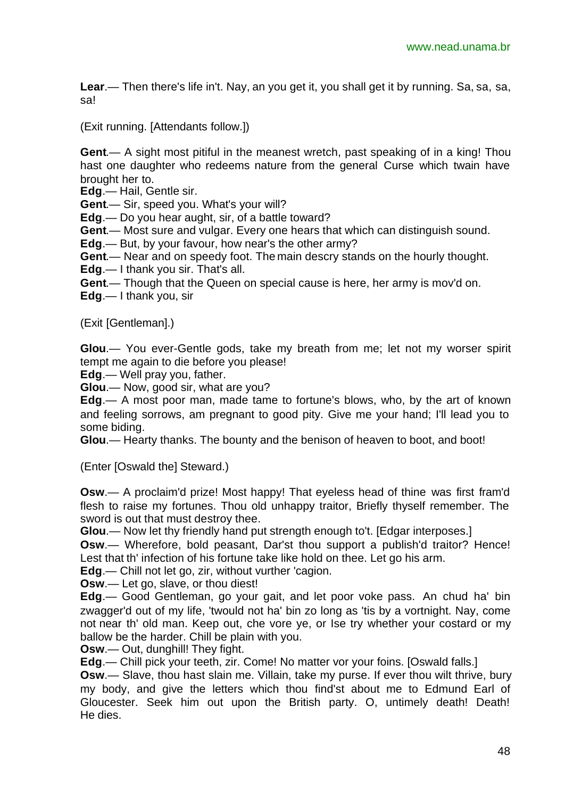**Lear**.— Then there's life in't. Nay, an you get it, you shall get it by running. Sa, sa, sa, sa!

(Exit running. [Attendants follow.])

**Gent**.— A sight most pitiful in the meanest wretch, past speaking of in a king! Thou hast one daughter who redeems nature from the general Curse which twain have brought her to.

**Edg**.— Hail, Gentle sir.

**Gent**.— Sir, speed you. What's your will?

**Edg**.— Do you hear aught, sir, of a battle toward?

**Gent**.— Most sure and vulgar. Every one hears that which can distinguish sound.

**Edg**.— But, by your favour, how near's the other army?

**Gent**.— Near and on speedy foot. The main descry stands on the hourly thought.

**Edg**.— I thank you sir. That's all.

**Gent**.— Though that the Queen on special cause is here, her army is mov'd on.

**Edg**.— I thank you, sir

(Exit [Gentleman].)

**Glou**.— You ever-Gentle gods, take my breath from me; let not my worser spirit tempt me again to die before you please!

**Edg**.— Well pray you, father.

**Glou**.— Now, good sir, what are you?

**Edg**.— A most poor man, made tame to fortune's blows, who, by the art of known and feeling sorrows, am pregnant to good pity. Give me your hand; I'll lead you to some biding.

**Glou**.— Hearty thanks. The bounty and the benison of heaven to boot, and boot!

(Enter [Oswald the] Steward.)

**Osw**.— A proclaim'd prize! Most happy! That eyeless head of thine was first fram'd flesh to raise my fortunes. Thou old unhappy traitor, Briefly thyself remember. The sword is out that must destroy thee.

**Glou**.— Now let thy friendly hand put strength enough to't. [Edgar interposes.]

**Osw**.— Wherefore, bold peasant, Dar'st thou support a publish'd traitor? Hence! Lest that th' infection of his fortune take like hold on thee. Let go his arm.

**Edg**.— Chill not let go, zir, without vurther 'cagion.

**Osw**.— Let go, slave, or thou diest!

**Edg**.— Good Gentleman, go your gait, and let poor voke pass. An chud ha' bin zwagger'd out of my life, 'twould not ha' bin zo long as 'tis by a vortnight. Nay, come not near th' old man. Keep out, che vore ye, or Ise try whether your costard or my ballow be the harder. Chill be plain with you.

**Osw**.— Out, dunghill! They fight.

**Edg**.— Chill pick your teeth, zir. Come! No matter vor your foins. [Oswald falls.]

**Osw**.— Slave, thou hast slain me. Villain, take my purse. If ever thou wilt thrive, bury my body, and give the letters which thou find'st about me to Edmund Earl of Gloucester. Seek him out upon the British party. O, untimely death! Death! He dies.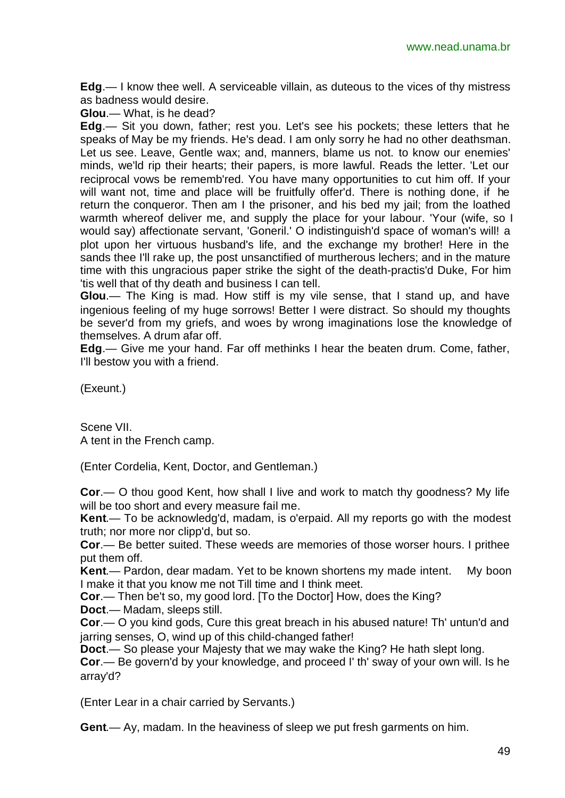**Edg**.— I know thee well. A serviceable villain, as duteous to the vices of thy mistress as badness would desire.

**Glou**.— What, is he dead?

**Edg**.— Sit you down, father; rest you. Let's see his pockets; these letters that he speaks of May be my friends. He's dead. I am only sorry he had no other deathsman. Let us see. Leave, Gentle wax; and, manners, blame us not. to know our enemies' minds, we'ld rip their hearts; their papers, is more lawful. Reads the letter. 'Let our reciprocal vows be rememb'red. You have many opportunities to cut him off. If your will want not, time and place will be fruitfully offer'd. There is nothing done, if he return the conqueror. Then am I the prisoner, and his bed my jail; from the loathed warmth whereof deliver me, and supply the place for your labour. 'Your (wife, so I would say) affectionate servant, 'Goneril.' O indistinguish'd space of woman's will! a plot upon her virtuous husband's life, and the exchange my brother! Here in the sands thee I'll rake up, the post unsanctified of murtherous lechers; and in the mature time with this ungracious paper strike the sight of the death-practis'd Duke, For him 'tis well that of thy death and business I can tell.

**Glou**.— The King is mad. How stiff is my vile sense, that I stand up, and have ingenious feeling of my huge sorrows! Better I were distract. So should my thoughts be sever'd from my griefs, and woes by wrong imaginations lose the knowledge of themselves. A drum afar off.

**Edg**.— Give me your hand. Far off methinks I hear the beaten drum. Come, father, I'll bestow you with a friend.

(Exeunt.)

Scene VII. A tent in the French camp.

(Enter Cordelia, Kent, Doctor, and Gentleman.)

**Cor**.— O thou good Kent, how shall I live and work to match thy goodness? My life will be too short and every measure fail me.

**Kent**.— To be acknowledg'd, madam, is o'erpaid. All my reports go with the modest truth; nor more nor clipp'd, but so.

**Cor**.— Be better suited. These weeds are memories of those worser hours. I prithee put them off.

**Kent**.— Pardon, dear madam. Yet to be known shortens my made intent. My boon I make it that you know me not Till time and I think meet.

**Cor**.— Then be't so, my good lord. [To the Doctor] How, does the King?

**Doct**.— Madam, sleeps still.

**Cor**.— O you kind gods, Cure this great breach in his abused nature! Th' untun'd and jarring senses, O, wind up of this child-changed father!

**Doct**.— So please your Majesty that we may wake the King? He hath slept long.

**Cor**.— Be govern'd by your knowledge, and proceed I' th' sway of your own will. Is he array'd?

(Enter Lear in a chair carried by Servants.)

**Gent**.— Ay, madam. In the heaviness of sleep we put fresh garments on him.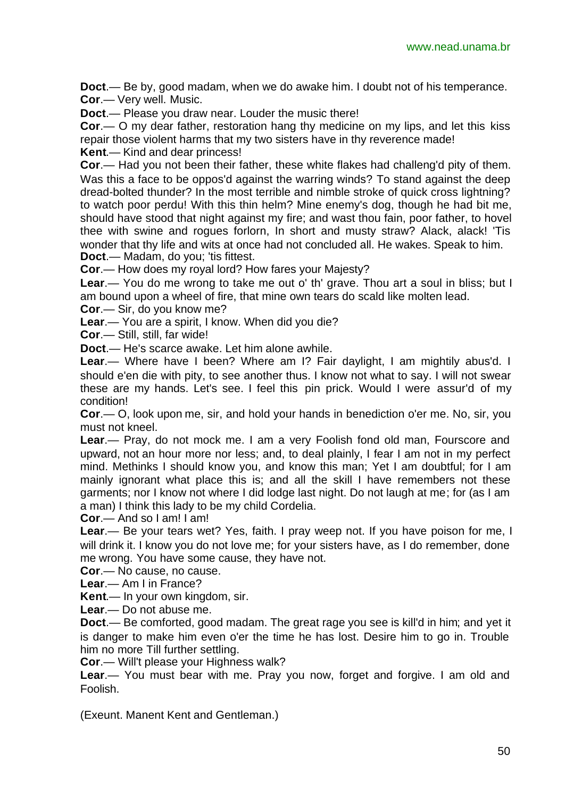**Doct**.— Be by, good madam, when we do awake him. I doubt not of his temperance. **Cor**.— Very well. Music.

**Doct**.— Please you draw near. Louder the music there!

**Cor**.— O my dear father, restoration hang thy medicine on my lips, and let this kiss repair those violent harms that my two sisters have in thy reverence made!

**Kent**.— Kind and dear princess!

**Cor**.— Had you not been their father, these white flakes had challeng'd pity of them. Was this a face to be oppos'd against the warring winds? To stand against the deep dread-bolted thunder? In the most terrible and nimble stroke of quick cross lightning? to watch poor perdu! With this thin helm? Mine enemy's dog, though he had bit me, should have stood that night against my fire; and wast thou fain, poor father, to hovel thee with swine and rogues forlorn, In short and musty straw? Alack, alack! 'Tis wonder that thy life and wits at once had not concluded all. He wakes. Speak to him. **Doct**.— Madam, do you; 'tis fittest.

**Cor**.— How does my royal lord? How fares your Majesty?

**Lear**.— You do me wrong to take me out o' th' grave. Thou art a soul in bliss; but I am bound upon a wheel of fire, that mine own tears do scald like molten lead.

**Cor**.— Sir, do you know me?

**Lear**.— You are a spirit, I know. When did you die?

**Cor**.— Still, still, far wide!

**Doct**.— He's scarce awake. Let him alone awhile.

**Lear**.— Where have I been? Where am I? Fair daylight, I am mightily abus'd. I should e'en die with pity, to see another thus. I know not what to say. I will not swear these are my hands. Let's see. I feel this pin prick. Would I were assur'd of my condition!

**Cor**.— O, look upon me, sir, and hold your hands in benediction o'er me. No, sir, you must not kneel.

**Lear**.— Pray, do not mock me. I am a very Foolish fond old man, Fourscore and upward, not an hour more nor less; and, to deal plainly, I fear I am not in my perfect mind. Methinks I should know you, and know this man; Yet I am doubtful; for I am mainly ignorant what place this is; and all the skill I have remembers not these garments; nor I know not where I did lodge last night. Do not laugh at me; for (as I am a man) I think this lady to be my child Cordelia.

**Cor**.— And so I am! I am!

**Lear**.— Be your tears wet? Yes, faith. I pray weep not. If you have poison for me, I will drink it. I know you do not love me; for your sisters have, as I do remember, done me wrong. You have some cause, they have not.

**Cor**.— No cause, no cause.

**Lear**.— Am I in France?

**Kent**.— In your own kingdom, sir.

**Lear**.— Do not abuse me.

**Doct**.— Be comforted, good madam. The great rage you see is kill'd in him; and yet it is danger to make him even o'er the time he has lost. Desire him to go in. Trouble him no more Till further settling.

**Cor**.— Will't please your Highness walk?

**Lear**.— You must bear with me. Pray you now, forget and forgive. I am old and Foolish.

(Exeunt. Manent Kent and Gentleman.)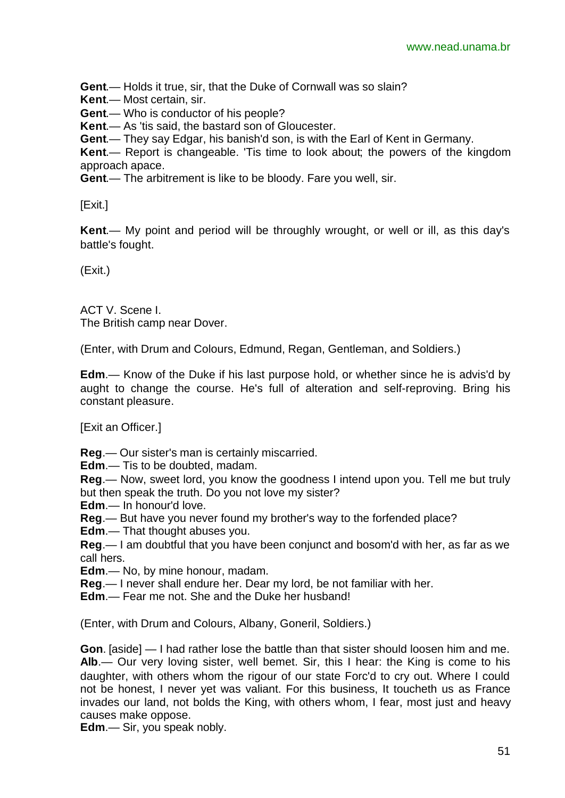**Gent**.— Holds it true, sir, that the Duke of Cornwall was so slain?

**Kent**.— Most certain, sir.

**Gent**.— Who is conductor of his people?

**Kent**.— As 'tis said, the bastard son of Gloucester.

**Gent**.— They say Edgar, his banish'd son, is with the Earl of Kent in Germany.

**Kent**.— Report is changeable. 'Tis time to look about; the powers of the kingdom approach apace.

**Gent**.— The arbitrement is like to be bloody. Fare you well, sir.

[Exit.]

**Kent**.— My point and period will be throughly wrought, or well or ill, as this day's battle's fought.

(Exit.)

ACT V. Scene I. The British camp near Dover.

(Enter, with Drum and Colours, Edmund, Regan, Gentleman, and Soldiers.)

**Edm**.— Know of the Duke if his last purpose hold, or whether since he is advis'd by aught to change the course. He's full of alteration and self-reproving. Bring his constant pleasure.

[Exit an Officer.]

- **Reg**.— Our sister's man is certainly miscarried.
- **Edm**.— Tis to be doubted, madam.
- **Reg**.— Now, sweet lord, you know the goodness I intend upon you. Tell me but truly but then speak the truth. Do you not love my sister?

**Edm**.— In honour'd love.

**Reg**.— But have you never found my brother's way to the forfended place?

**Edm**.— That thought abuses you.

**Reg**.— I am doubtful that you have been conjunct and bosom'd with her, as far as we call hers.

**Edm**.— No, by mine honour, madam.

**Reg**.— I never shall endure her. Dear my lord, be not familiar with her.

**Edm**.— Fear me not. She and the Duke her husband!

(Enter, with Drum and Colours, Albany, Goneril, Soldiers.)

**Gon**. [aside] — I had rather lose the battle than that sister should loosen him and me. **Alb**.— Our very loving sister, well bemet. Sir, this I hear: the King is come to his daughter, with others whom the rigour of our state Forc'd to cry out. Where I could not be honest, I never yet was valiant. For this business, It toucheth us as France invades our land, not bolds the King, with others whom, I fear, most just and heavy causes make oppose.

**Edm**.— Sir, you speak nobly.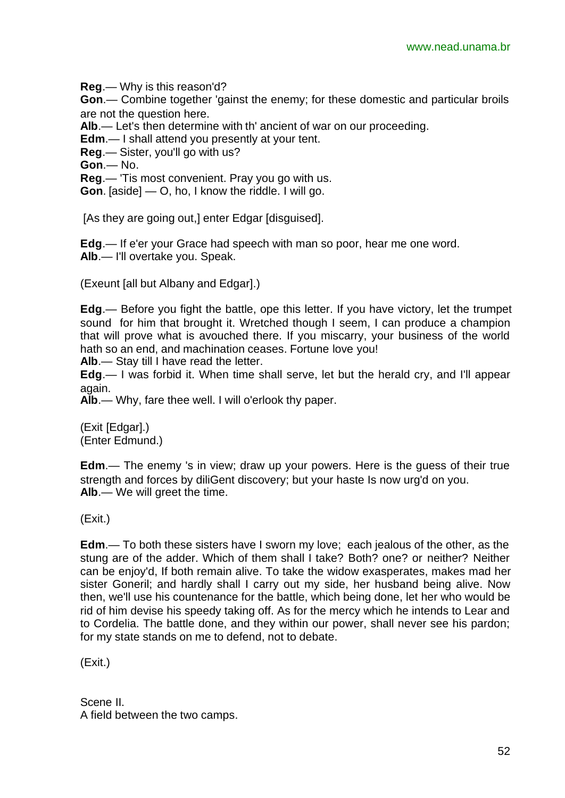**Reg**.— Why is this reason'd?

**Gon**.— Combine together 'gainst the enemy; for these domestic and particular broils are not the question here.

**Alb**.— Let's then determine with th' ancient of war on our proceeding.

**Edm**.— I shall attend you presently at your tent.

**Reg**.— Sister, you'll go with us?

**Gon**.— No.

**Reg**.— 'Tis most convenient. Pray you go with us.

**Gon**. [aside] — O, ho, I know the riddle. I will go.

[As they are going out,] enter Edgar [disguised].

**Edg**.— If e'er your Grace had speech with man so poor, hear me one word. **Alb**.— I'll overtake you. Speak.

(Exeunt [all but Albany and Edgar].)

**Edg**.— Before you fight the battle, ope this letter. If you have victory, let the trumpet sound for him that brought it. Wretched though I seem, I can produce a champion that will prove what is avouched there. If you miscarry, your business of the world hath so an end, and machination ceases. Fortune love you!

**Alb**.— Stay till I have read the letter.

**Edg**.— I was forbid it. When time shall serve, let but the herald cry, and I'll appear again.

**Alb**.— Why, fare thee well. I will o'erlook thy paper.

(Exit [Edgar].) (Enter Edmund.)

**Edm**.— The enemy 's in view; draw up your powers. Here is the guess of their true strength and forces by diliGent discovery; but your haste Is now urg'd on you. **Alb**.— We will greet the time.

(Exit.)

**Edm**.— To both these sisters have I sworn my love; each jealous of the other, as the stung are of the adder. Which of them shall I take? Both? one? or neither? Neither can be enjoy'd, If both remain alive. To take the widow exasperates, makes mad her sister Goneril; and hardly shall I carry out my side, her husband being alive. Now then, we'll use his countenance for the battle, which being done, let her who would be rid of him devise his speedy taking off. As for the mercy which he intends to Lear and to Cordelia. The battle done, and they within our power, shall never see his pardon; for my state stands on me to defend, not to debate.

(Exit.)

Scene II. A field between the two camps.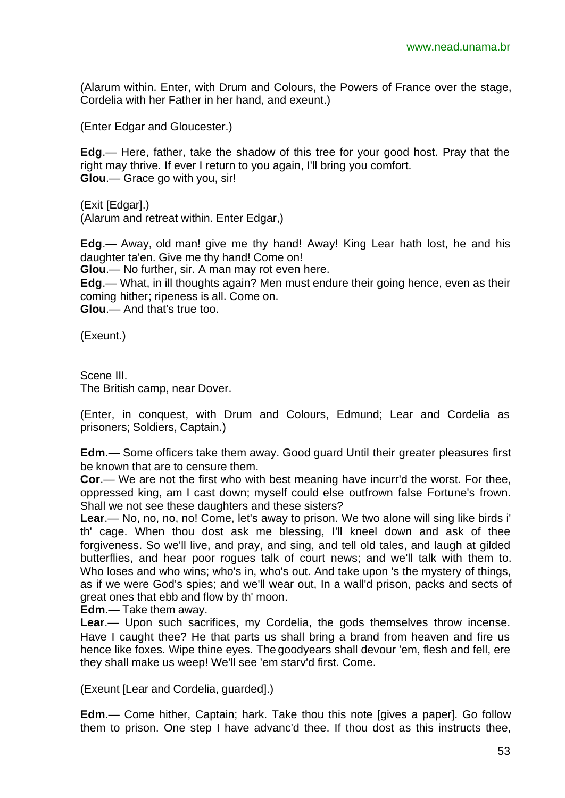(Alarum within. Enter, with Drum and Colours, the Powers of France over the stage, Cordelia with her Father in her hand, and exeunt.)

(Enter Edgar and Gloucester.)

**Edg**.— Here, father, take the shadow of this tree for your good host. Pray that the right may thrive. If ever I return to you again, I'll bring you comfort. **Glou**.— Grace go with you, sir!

(Exit [Edgar].) (Alarum and retreat within. Enter Edgar,)

**Edg**.— Away, old man! give me thy hand! Away! King Lear hath lost, he and his daughter ta'en. Give me thy hand! Come on!

**Glou**.— No further, sir. A man may rot even here.

**Edg**.— What, in ill thoughts again? Men must endure their going hence, even as their coming hither; ripeness is all. Come on.

**Glou**.— And that's true too.

(Exeunt.)

Scene III. The British camp, near Dover.

(Enter, in conquest, with Drum and Colours, Edmund; Lear and Cordelia as prisoners; Soldiers, Captain.)

**Edm**.— Some officers take them away. Good guard Until their greater pleasures first be known that are to censure them.

**Cor**.— We are not the first who with best meaning have incurr'd the worst. For thee, oppressed king, am I cast down; myself could else outfrown false Fortune's frown. Shall we not see these daughters and these sisters?

**Lear.**— No, no, no, no! Come, let's away to prison. We two alone will sing like birds i' th' cage. When thou dost ask me blessing, I'll kneel down and ask of thee forgiveness. So we'll live, and pray, and sing, and tell old tales, and laugh at gilded butterflies, and hear poor rogues talk of court news; and we'll talk with them to. Who loses and who wins; who's in, who's out. And take upon 's the mystery of things, as if we were God's spies; and we'll wear out, In a wall'd prison, packs and sects of great ones that ebb and flow by th' moon.

**Edm**.— Take them away.

**Lear**.— Upon such sacrifices, my Cordelia, the gods themselves throw incense. Have I caught thee? He that parts us shall bring a brand from heaven and fire us hence like foxes. Wipe thine eyes. The goodyears shall devour 'em, flesh and fell, ere they shall make us weep! We'll see 'em starv'd first. Come.

(Exeunt [Lear and Cordelia, guarded].)

**Edm**.— Come hither, Captain; hark. Take thou this note [gives a paper]. Go follow them to prison. One step I have advanc'd thee. If thou dost as this instructs thee,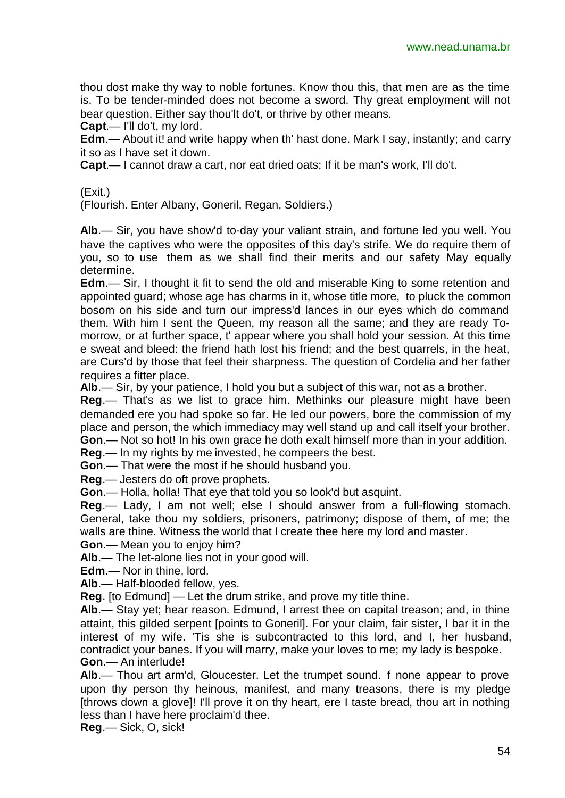thou dost make thy way to noble fortunes. Know thou this, that men are as the time is. To be tender-minded does not become a sword. Thy great employment will not bear question. Either say thou'lt do't, or thrive by other means.

**Capt**.— I'll do't, my lord.

**Edm**.— About it! and write happy when th' hast done. Mark I say, instantly; and carry it so as I have set it down.

**Capt**.— I cannot draw a cart, nor eat dried oats; If it be man's work, I'll do't.

#### (Exit.)

(Flourish. Enter Albany, Goneril, Regan, Soldiers.)

**Alb**.— Sir, you have show'd to-day your valiant strain, and fortune led you well. You have the captives who were the opposites of this day's strife. We do require them of you, so to use them as we shall find their merits and our safety May equally determine.

**Edm**.— Sir, I thought it fit to send the old and miserable King to some retention and appointed guard; whose age has charms in it, whose title more, to pluck the common bosom on his side and turn our impress'd lances in our eyes which do command them. With him I sent the Queen, my reason all the same; and they are ready Tomorrow, or at further space, t' appear where you shall hold your session. At this time e sweat and bleed: the friend hath lost his friend; and the best quarrels, in the heat, are Curs'd by those that feel their sharpness. The question of Cordelia and her father requires a fitter place.

**Alb**.— Sir, by your patience, I hold you but a subject of this war, not as a brother.

**Reg**.— That's as we list to grace him. Methinks our pleasure might have been demanded ere you had spoke so far. He led our powers, bore the commission of my place and person, the which immediacy may well stand up and call itself your brother. **Gon**.— Not so hot! In his own grace he doth exalt himself more than in your addition.

**Reg**.— In my rights by me invested, he compeers the best.

**Gon**.— That were the most if he should husband you.

**Reg**.— Jesters do oft prove prophets.

**Gon**.— Holla, holla! That eye that told you so look'd but asquint.

**Reg**.— Lady, I am not well; else I should answer from a full-flowing stomach. General, take thou my soldiers, prisoners, patrimony; dispose of them, of me; the walls are thine. Witness the world that I create thee here my lord and master.

**Gon**.— Mean you to enjoy him?

**Alb**.— The let-alone lies not in your good will.

**Edm**.— Nor in thine, lord.

**Alb**.— Half-blooded fellow, yes.

**Reg**. [to Edmund] — Let the drum strike, and prove my title thine.

**Alb**.— Stay yet; hear reason. Edmund, I arrest thee on capital treason; and, in thine attaint, this gilded serpent [points to Goneril]. For your claim, fair sister, I bar it in the interest of my wife. 'Tis she is subcontracted to this lord, and I, her husband, contradict your banes. If you will marry, make your loves to me; my lady is bespoke. **Gon**.— An interlude!

**Alb**.— Thou art arm'd, Gloucester. Let the trumpet sound. f none appear to prove upon thy person thy heinous, manifest, and many treasons, there is my pledge [throws down a glove]! I'll prove it on thy heart, ere I taste bread, thou art in nothing less than I have here proclaim'd thee.

**Reg**.— Sick, O, sick!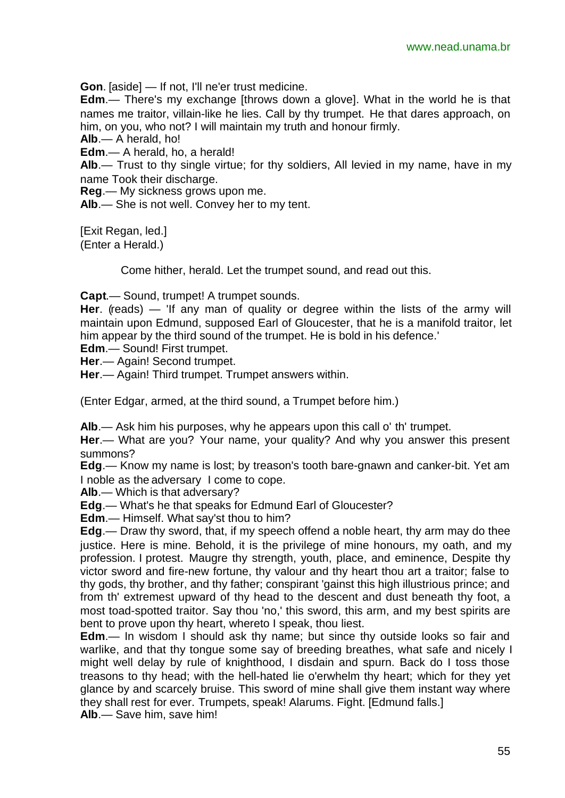**Gon**. [aside] — If not, I'll ne'er trust medicine.

**Edm**.— There's my exchange [throws down a glove]. What in the world he is that names me traitor, villain-like he lies. Call by thy trumpet. He that dares approach, on him, on you, who not? I will maintain my truth and honour firmly.

**Alb**.— A herald, ho!

**Edm**.— A herald, ho, a herald!

**Alb**.— Trust to thy single virtue; for thy soldiers, All levied in my name, have in my name Took their discharge.

**Reg**.— My sickness grows upon me.

**Alb**.— She is not well. Convey her to my tent.

[Exit Regan, led.] (Enter a Herald.)

Come hither, herald. Let the trumpet sound, and read out this.

**Capt**.— Sound, trumpet! A trumpet sounds.

**Her**. (reads) — 'If any man of quality or degree within the lists of the army will maintain upon Edmund, supposed Earl of Gloucester, that he is a manifold traitor, let him appear by the third sound of the trumpet. He is bold in his defence.'

**Edm**.— Sound! First trumpet.

**Her**.— Again! Second trumpet.

**Her**.— Again! Third trumpet. Trumpet answers within.

(Enter Edgar, armed, at the third sound, a Trumpet before him.)

**Alb**.— Ask him his purposes, why he appears upon this call o' th' trumpet.

**Her**.— What are you? Your name, your quality? And why you answer this present summons?

**Edg**.— Know my name is lost; by treason's tooth bare-gnawn and canker-bit. Yet am I noble as the adversary I come to cope.

**Alb**.— Which is that adversary?

**Edg**.— What's he that speaks for Edmund Earl of Gloucester?

**Edm**.— Himself. What say'st thou to him?

**Edg**.— Draw thy sword, that, if my speech offend a noble heart, thy arm may do thee justice. Here is mine. Behold, it is the privilege of mine honours, my oath, and my profession. I protest. Maugre thy strength, youth, place, and eminence, Despite thy victor sword and fire-new fortune, thy valour and thy heart thou art a traitor; false to thy gods, thy brother, and thy father; conspirant 'gainst this high illustrious prince; and from th' extremest upward of thy head to the descent and dust beneath thy foot, a most toad-spotted traitor. Say thou 'no,' this sword, this arm, and my best spirits are bent to prove upon thy heart, whereto I speak, thou liest.

**Edm**.— In wisdom I should ask thy name; but since thy outside looks so fair and warlike, and that thy tongue some say of breeding breathes, what safe and nicely I might well delay by rule of knighthood, I disdain and spurn. Back do I toss those treasons to thy head; with the hell-hated lie o'erwhelm thy heart; which for they yet glance by and scarcely bruise. This sword of mine shall give them instant way where they shall rest for ever. Trumpets, speak! Alarums. Fight. [Edmund falls.] **Alb**.— Save him, save him!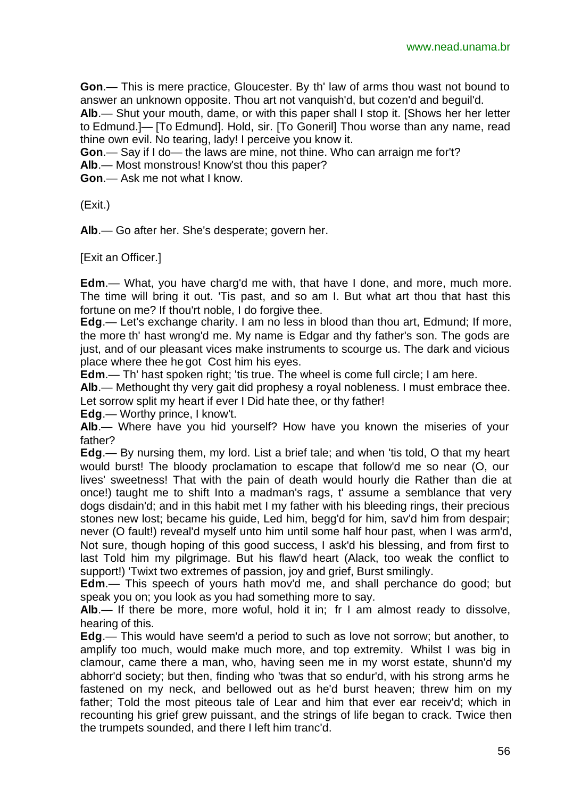**Gon**.— This is mere practice, Gloucester. By th' law of arms thou wast not bound to answer an unknown opposite. Thou art not vanquish'd, but cozen'd and beguil'd.

**Alb**.— Shut your mouth, dame, or with this paper shall I stop it. [Shows her her letter to Edmund.]— [To Edmund]. Hold, sir. [To Goneril] Thou worse than any name, read thine own evil. No tearing, lady! I perceive you know it.

**Gon**.— Say if I do— the laws are mine, not thine. Who can arraign me for't?

**Alb**.— Most monstrous! Know'st thou this paper?

**Gon**.— Ask me not what I know.

(Exit.)

**Alb**.— Go after her. She's desperate; govern her.

[Exit an Officer.]

**Edm**.— What, you have charg'd me with, that have I done, and more, much more. The time will bring it out. 'Tis past, and so am I. But what art thou that hast this fortune on me? If thou'rt noble, I do forgive thee.

**Edg**.— Let's exchange charity. I am no less in blood than thou art, Edmund; If more, the more th' hast wrong'd me. My name is Edgar and thy father's son. The gods are just, and of our pleasant vices make instruments to scourge us. The dark and vicious place where thee he got Cost him his eyes.

**Edm.**— Th' hast spoken right; 'tis true. The wheel is come full circle; I am here.

**Alb**.— Methought thy very gait did prophesy a royal nobleness. I must embrace thee. Let sorrow split my heart if ever I Did hate thee, or thy father!

**Edg**.— Worthy prince, I know't.

**Alb**.— Where have you hid yourself? How have you known the miseries of your father?

**Edg**.— By nursing them, my lord. List a brief tale; and when 'tis told, O that my heart would burst! The bloody proclamation to escape that follow'd me so near (O, our lives' sweetness! That with the pain of death would hourly die Rather than die at once!) taught me to shift Into a madman's rags, t' assume a semblance that very dogs disdain'd; and in this habit met I my father with his bleeding rings, their precious stones new lost; became his guide, Led him, begg'd for him, sav'd him from despair; never (O fault!) reveal'd myself unto him until some half hour past, when I was arm'd, Not sure, though hoping of this good success, I ask'd his blessing, and from first to last Told him my pilgrimage. But his flaw'd heart (Alack, too weak the conflict to support!) 'Twixt two extremes of passion, joy and grief, Burst smilingly.

**Edm**.— This speech of yours hath mov'd me, and shall perchance do good; but speak you on; you look as you had something more to say.

**Alb**.— If there be more, more woful, hold it in; fr I am almost ready to dissolve, hearing of this.

**Edg**.— This would have seem'd a period to such as love not sorrow; but another, to amplify too much, would make much more, and top extremity. Whilst I was big in clamour, came there a man, who, having seen me in my worst estate, shunn'd my abhorr'd society; but then, finding who 'twas that so endur'd, with his strong arms he fastened on my neck, and bellowed out as he'd burst heaven; threw him on my father; Told the most piteous tale of Lear and him that ever ear receiv'd; which in recounting his grief grew puissant, and the strings of life began to crack. Twice then the trumpets sounded, and there I left him tranc'd.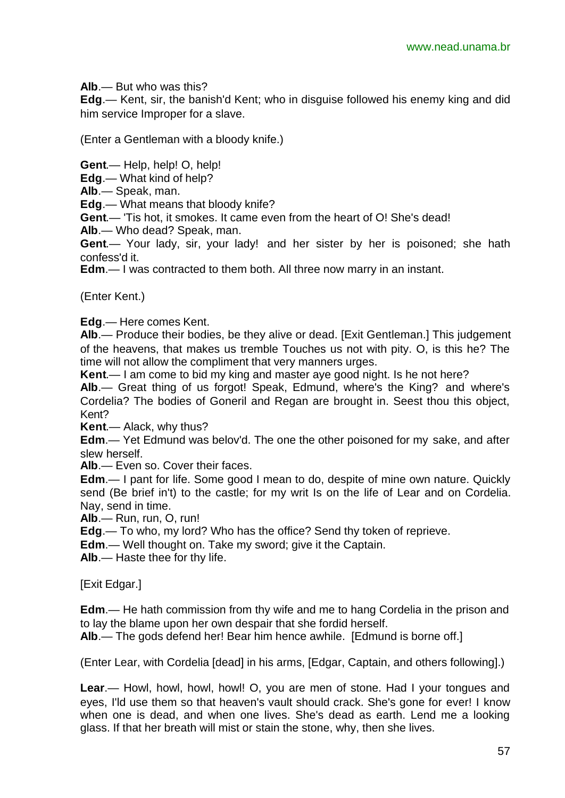**Alb**.— But who was this?

**Edg**.— Kent, sir, the banish'd Kent; who in disguise followed his enemy king and did him service Improper for a slave.

(Enter a Gentleman with a bloody knife.)

**Gent**.— Help, help! O, help!

**Edg**.— What kind of help?

**Alb**.— Speak, man.

**Edg**.— What means that bloody knife?

**Gent**.— 'Tis hot, it smokes. It came even from the heart of O! She's dead!

**Alb**.— Who dead? Speak, man.

**Gent**.— Your lady, sir, your lady! and her sister by her is poisoned; she hath confess'd it.

**Edm**.— I was contracted to them both. All three now marry in an instant.

(Enter Kent.)

**Edg**.— Here comes Kent.

**Alb**.— Produce their bodies, be they alive or dead. [Exit Gentleman.] This judgement of the heavens, that makes us tremble Touches us not with pity. O, is this he? The time will not allow the compliment that very manners urges.

**Kent**.— I am come to bid my king and master aye good night. Is he not here?

**Alb**.— Great thing of us forgot! Speak, Edmund, where's the King? and where's Cordelia? The bodies of Goneril and Regan are brought in. Seest thou this object, Kent?

**Kent**.— Alack, why thus?

**Edm**.— Yet Edmund was belov'd. The one the other poisoned for my sake, and after slew herself.

**Alb**.— Even so. Cover their faces.

**Edm**.— I pant for life. Some good I mean to do, despite of mine own nature. Quickly send (Be brief in't) to the castle; for my writ Is on the life of Lear and on Cordelia. Nay, send in time.

**Alb**.— Run, run, O, run!

**Edg**.— To who, my lord? Who has the office? Send thy token of reprieve.

**Edm**.— Well thought on. Take my sword; give it the Captain.

**Alb**.— Haste thee for thy life.

[Exit Edgar.]

**Edm**.— He hath commission from thy wife and me to hang Cordelia in the prison and to lay the blame upon her own despair that she fordid herself.

**Alb**.— The gods defend her! Bear him hence awhile. [Edmund is borne off.]

(Enter Lear, with Cordelia [dead] in his arms, [Edgar, Captain, and others following].)

**Lear**.— Howl, howl, howl, howl! O, you are men of stone. Had I your tongues and eyes, I'ld use them so that heaven's vault should crack. She's gone for ever! I know when one is dead, and when one lives. She's dead as earth. Lend me a looking glass. If that her breath will mist or stain the stone, why, then she lives.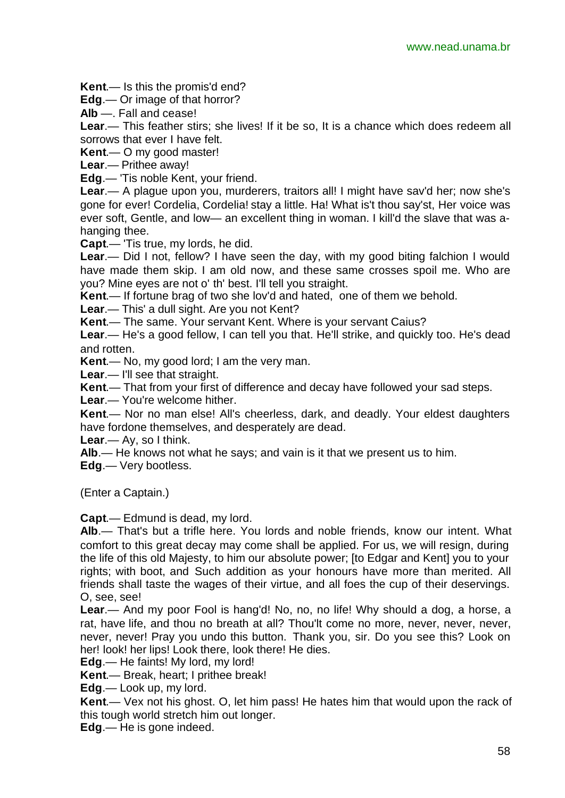**Kent**.— Is this the promis'd end?

**Edg**.— Or image of that horror?

**Alb** —. Fall and cease!

**Lear.**— This feather stirs; she lives! If it be so, It is a chance which does redeem all sorrows that ever I have felt.

**Kent**.— O my good master!

**Lear**.— Prithee away!

**Edg**.— 'Tis noble Kent, your friend.

**Lear**.— A plague upon you, murderers, traitors all! I might have sav'd her; now she's gone for ever! Cordelia, Cordelia! stay a little. Ha! What is't thou say'st, Her voice was ever soft, Gentle, and low— an excellent thing in woman. I kill'd the slave that was ahanging thee.

**Capt**.— 'Tis true, my lords, he did.

**Lear**.— Did I not, fellow? I have seen the day, with my good biting falchion I would have made them skip. I am old now, and these same crosses spoil me. Who are you? Mine eyes are not o' th' best. I'll tell you straight.

**Kent**.— If fortune brag of two she lov'd and hated, one of them we behold.

**Lear**.— This' a dull sight. Are you not Kent?

**Kent**.— The same. Your servant Kent. Where is your servant Caius?

**Lear**.— He's a good fellow, I can tell you that. He'll strike, and quickly too. He's dead and rotten.

**Kent**.— No, my good lord; I am the very man.

**Lear**.— I'll see that straight.

**Kent**.— That from your first of difference and decay have followed your sad steps.

**Lear**.— You're welcome hither.

**Kent**.— Nor no man else! All's cheerless, dark, and deadly. Your eldest daughters have fordone themselves, and desperately are dead.

**Lear**.— Ay, so I think.

**Alb**.— He knows not what he says; and vain is it that we present us to him.

**Edg**.— Very bootless.

(Enter a Captain.)

**Capt**.— Edmund is dead, my lord.

**Alb**.— That's but a trifle here. You lords and noble friends, know our intent. What comfort to this great decay may come shall be applied. For us, we will resign, during the life of this old Majesty, to him our absolute power; [to Edgar and Kent] you to your rights; with boot, and Such addition as your honours have more than merited. All friends shall taste the wages of their virtue, and all foes the cup of their deservings. O, see, see!

**Lear**.— And my poor Fool is hang'd! No, no, no life! Why should a dog, a horse, a rat, have life, and thou no breath at all? Thou'lt come no more, never, never, never, never, never! Pray you undo this button. Thank you, sir. Do you see this? Look on her! look! her lips! Look there, look there! He dies.

**Edg**.— He faints! My lord, my lord!

**Kent**.— Break, heart; I prithee break!

**Edg**.— Look up, my lord.

**Kent**.— Vex not his ghost. O, let him pass! He hates him that would upon the rack of this tough world stretch him out longer.

**Edg**.— He is gone indeed.